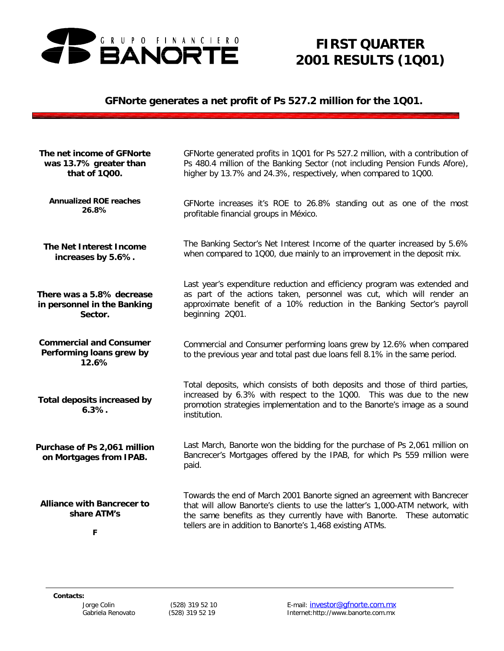

# *FIRST QUARTER 2001 RESULTS (1Q01)*

## *GFNorte generates a net profit of Ps 527.2 million for the 1Q01.*

| The net income of GFNorte<br>was 13.7% greater than<br>that of 1000. | GFNorte generated profits in 1Q01 for Ps 527.2 million, with a contribution of<br>Ps 480.4 million of the Banking Sector (not including Pension Funds Afore),<br>higher by 13.7% and 24.3%, respectively, when compared to 1000.                                                                 |
|----------------------------------------------------------------------|--------------------------------------------------------------------------------------------------------------------------------------------------------------------------------------------------------------------------------------------------------------------------------------------------|
| <b>Annualized ROE reaches</b><br>26.8%                               | GFNorte increases it's ROE to 26.8% standing out as one of the most<br>profitable financial groups in México.                                                                                                                                                                                    |
| <b>The Net Interest Income</b><br>increases by 5.6%.                 | The Banking Sector's Net Interest Income of the quarter increased by 5.6%<br>when compared to 1000, due mainly to an improvement in the deposit mix.                                                                                                                                             |
| There was a 5.8% decrease<br>in personnel in the Banking<br>Sector.  | Last year's expenditure reduction and efficiency program was extended and<br>as part of the actions taken, personnel was cut, which will render an<br>approximate benefit of a 10% reduction in the Banking Sector's payroll<br>beginning 2001.                                                  |
| <b>Commercial and Consumer</b><br>Performing loans grew by<br>12.6%  | Commercial and Consumer performing loans grew by 12.6% when compared<br>to the previous year and total past due loans fell 8.1% in the same period.                                                                                                                                              |
| Total deposits increased by<br>6.3%                                  | Total deposits, which consists of both deposits and those of third parties,<br>increased by 6.3% with respect to the 1Q00. This was due to the new<br>promotion strategies implementation and to the Banorte's image as a sound<br>institution.                                                  |
| Purchase of Ps 2,061 million<br>on Mortgages from IPAB.              | Last March, Banorte won the bidding for the purchase of Ps 2,061 million on<br>Bancrecer's Mortgages offered by the IPAB, for which Ps 559 million were<br>paid.                                                                                                                                 |
| <b>Alliance with Bancrecer to</b><br>share ATM's<br>F                | Towards the end of March 2001 Banorte signed an agreement with Bancrecer<br>that will allow Banorte's clients to use the latter's 1,000-ATM network, with<br>the same benefits as they currently have with Banorte. These automatic<br>tellers are in addition to Banorte's 1,468 existing ATMs. |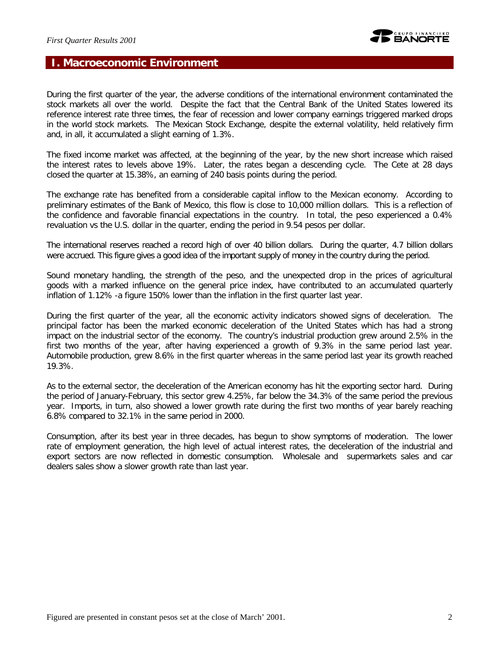

#### **I. Macroeconomic Environment**

During the first quarter of the year, the adverse conditions of the international environment contaminated the stock markets all over the world. Despite the fact that the Central Bank of the United States lowered its reference interest rate three times, the fear of recession and lower company earnings triggered marked drops in the world stock markets. The Mexican Stock Exchange, despite the external volatility, held relatively firm and, in all, it accumulated a slight earning of 1.3%.

The fixed income market was affected, at the beginning of the year, by the new short increase which raised the interest rates to levels above 19%. Later, the rates began a descending cycle. The Cete at 28 days closed the quarter at 15.38%, an earning of 240 basis points during the period.

The exchange rate has benefited from a considerable capital inflow to the Mexican economy. According to preliminary estimates of the Bank of Mexico, this flow is close to 10,000 million dollars. This is a reflection of the confidence and favorable financial expectations in the country. In total, the peso experienced a 0.4% revaluation vs the U.S. dollar in the quarter, ending the period in 9.54 pesos per dollar.

The international reserves reached a record high of over 40 billion dollars. During the quarter, 4.7 billion dollars were accrued. This figure gives a good idea of the important supply of money in the country during the period.

Sound monetary handling, the strength of the peso, and the unexpected drop in the prices of agricultural goods with a marked influence on the general price index, have contributed to an accumulated quarterly inflation of 1.12% -a figure 150% lower than the inflation in the first quarter last year.

During the first quarter of the year, all the economic activity indicators showed signs of deceleration. The principal factor has been the marked economic deceleration of the United States which has had a strong impact on the industrial sector of the economy. The country's industrial production grew around 2.5% in the first two months of the year, after having experienced a growth of 9.3% in the same period last year. Automobile production, grew 8.6% in the first quarter whereas in the same period last year its growth reached 19.3%.

As to the external sector, the deceleration of the American economy has hit the exporting sector hard. During the period of January-February, this sector grew 4.25%, far below the 34.3% of the same period the previous year. Imports, in turn, also showed a lower growth rate during the first two months of year barely reaching 6.8% compared to 32.1% in the same period in 2000.

Consumption, after its best year in three decades, has begun to show symptoms of moderation. The lower rate of employment generation, the high level of actual interest rates, the deceleration of the industrial and export sectors are now reflected in domestic consumption. Wholesale and supermarkets sales and car dealers sales show a slower growth rate than last year.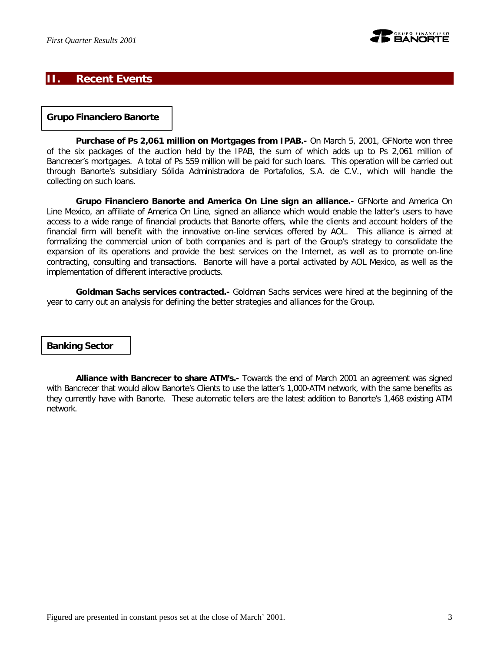

### **II. Recent Events**

#### *Grupo Financiero Banorte*

**Purchase of Ps 2,061 million on Mortgages from IPAB.** - On March 5, 2001, GFNorte won three of the six packages of the auction held by the IPAB, the sum of which adds up to Ps 2,061 million of Bancrecer's mortgages. A total of Ps 559 million will be paid for such loans. This operation will be carried out through Banorte's subsidiary Sólida Administradora de Portafolios, S.A. de C.V., which will handle the collecting on such loans.

*Grupo Financiero Banorte and America On Line sign an alliance.-* GFNorte and America On Line Mexico, an affiliate of America On Line, signed an alliance which would enable the latter's users to have access to a wide range of financial products that Banorte offers, while the clients and account holders of the financial firm will benefit with the innovative on-line services offered by AOL. This alliance is aimed at formalizing the commercial union of both companies and is part of the Group's strategy to consolidate the expansion of its operations and provide the best services on the Internet, as well as to promote on-line contracting, consulting and transactions. Banorte will have a portal activated by AOL Mexico, as well as the implementation of different interactive products.

*Goldman Sachs services contracted.-* Goldman Sachs services were hired at the beginning of the year to carry out an analysis for defining the better strategies and alliances for the Group.

#### *Banking Sector*

*Alliance with Bancrecer to share ATM's.-* Towards the end of March 2001 an agreement was signed with Bancrecer that would allow Banorte's Clients to use the latter's 1,000-ATM network, with the same benefits as they currently have with Banorte. These automatic tellers are the latest addition to Banorte's 1,468 existing ATM network.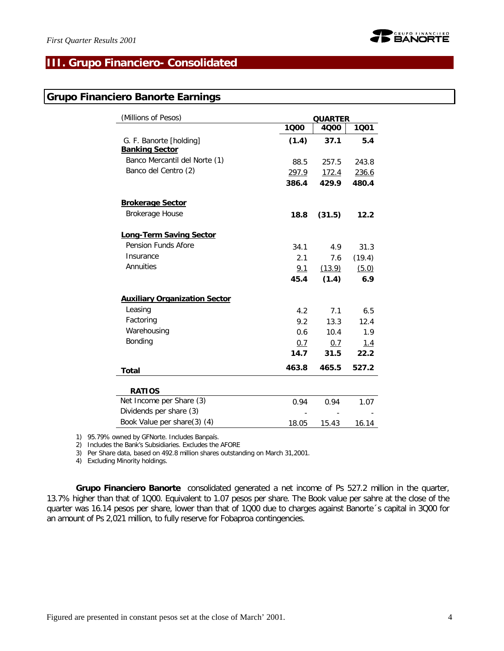

## **III. Grupo Financiero- Consolidated**

## **Grupo Financiero Banorte Earnings**

| (Millions of Pesos)                  | <b>QUARTER</b> |        |        |  |  |
|--------------------------------------|----------------|--------|--------|--|--|
|                                      | 1000           | 4000   | 1001   |  |  |
| G. F. Banorte [holding]              | (1.4)          | 37.1   | 5.4    |  |  |
| <b>Banking Sector</b>                |                |        |        |  |  |
| Banco Mercantil del Norte (1)        | 88.5           | 257.5  | 243.8  |  |  |
| Banco del Centro (2)                 | 297.9          | 172.4  | 236.6  |  |  |
|                                      | 386.4          | 429.9  | 480.4  |  |  |
| <b>Brokerage Sector</b>              |                |        |        |  |  |
| <b>Brokerage House</b>               | 18.8           | (31.5) | 12.2   |  |  |
| <b>Long-Term Saving Sector</b>       |                |        |        |  |  |
| Pension Funds Afore                  | 34.1           | 4.9    | 31.3   |  |  |
| Insurance                            | 2.1            | 7.6    | (19.4) |  |  |
| Annuities                            | 9.1            | (13.9) | (5.0)  |  |  |
|                                      | 45.4           | (1.4)  | 6.9    |  |  |
| <b>Auxiliary Organization Sector</b> |                |        |        |  |  |
| Leasing                              | 4.2            | 7.1    | 6.5    |  |  |
| Factoring                            | 9.2            | 13.3   | 12.4   |  |  |
| Warehousing                          | 0.6            | 10.4   | 1.9    |  |  |
| Bonding                              | 0.7            | 0.7    | 1.4    |  |  |
|                                      | 14.7           | 31.5   | 22.2   |  |  |
| <b>Total</b>                         | 463.8          | 465.5  | 527.2  |  |  |
| <b>RATIOS</b>                        |                |        |        |  |  |
| Net Income per Share (3)             | 0.94           | 0.94   | 1.07   |  |  |
| Dividends per share (3)              |                |        |        |  |  |
| Book Value per share(3) (4)          | 18.05          | 15.43  | 16.14  |  |  |

1) 95.79% owned by GFNorte. Includes Banpaís.

2) Includes the Bank's Subsidiaries. Excludes the AFORE

3) Per Share data, based on 492.8 million shares outstanding on March 31,2001.

4) Excluding Minority holdings.

*Grupo Financiero Banorte* consolidated generated a net income of Ps 527.2 million in the quarter, 13.7% higher than that of 1Q00. Equivalent to 1.07 pesos per share. The Book value per sahre at the close of the quarter was 16.14 pesos per share, lower than that of 1Q00 due to charges against Banorte´s capital in 3Q00 for an amount of Ps 2,021 million, to fully reserve for Fobaproa contingencies.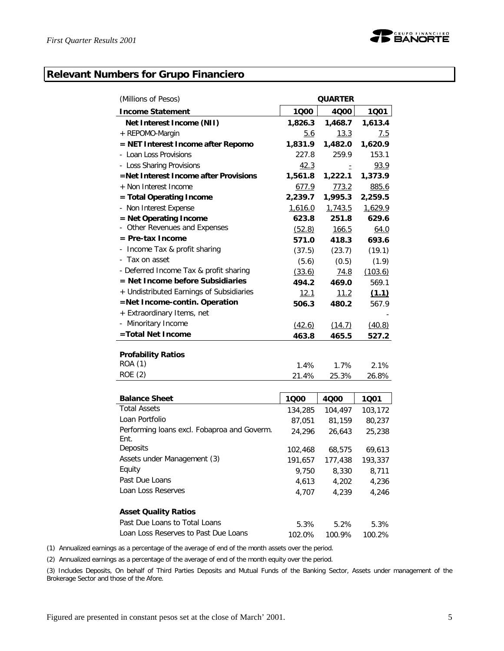

## **Relevant Numbers for Grupo Financiero**

| (Millions of Pesos)                         | <b>QUARTER</b> |              |            |  |  |
|---------------------------------------------|----------------|--------------|------------|--|--|
| <b>Income Statement</b>                     | 1000           | 4000         | 1001       |  |  |
| Net Interest Income (NII)                   | 1,826.3        | 1,468.7      | 1,613.4    |  |  |
| + REPOMO-Margin                             | 5.6            | <u>13.3</u>  | <u>7.5</u> |  |  |
| = NET Interest Income after Repomo          | 1,831.9        | 1,482.0      | 1,620.9    |  |  |
| - Loan Loss Provisions                      | 227.8          | 259.9        | 153.1      |  |  |
| - Loss Sharing Provisions                   | 42.3           | $\bar{=}$    | 93.9       |  |  |
| =Net Interest Income after Provisions       | 1,561.8        | 1,222.1      | 1,373.9    |  |  |
| + Non Interest Income                       | 677.9          | 773.2        | 885.6      |  |  |
| = Total Operating Income                    | 2,239.7        | 1,995.3      | 2,259.5    |  |  |
| - Non Interest Expense                      | 1,616.0        | 1,743.5      | 1,629.9    |  |  |
| = Net Operating Income                      | 623.8          | 251.8        | 629.6      |  |  |
| - Other Revenues and Expenses               | (52.8)         | <u>166.5</u> | 64.0       |  |  |
| $=$ Pre-tax Income                          | 571.0          | 418.3        | 693.6      |  |  |
| Income Tax & profit sharing                 | (37.5)         | (23.7)       | (19.1)     |  |  |
| Tax on asset                                | (5.6)          | (0.5)        | (1.9)      |  |  |
| - Deferred Income Tax & profit sharing      | (33.6)         | 74.8         | (103.6)    |  |  |
| = Net Income before Subsidiaries            | 494.2          | 469.0        | 569.1      |  |  |
| + Undistributed Earnings of Subsidiaries    | 12.1           | 11.2         | (1.1)      |  |  |
| =Net Income-contin. Operation               | 506.3          | 480.2        | 567.9      |  |  |
| + Extraordinary Items, net                  |                |              |            |  |  |
| - Minoritary Income                         | (42.6)         | (14.7)       | (40.8)     |  |  |
| =Total Net Income                           | 463.8          | 465.5        | 527.2      |  |  |
|                                             |                |              |            |  |  |
| <b>Profability Ratios</b><br><b>ROA</b> (1) |                |              |            |  |  |
| ROE (2)                                     | 1.4%           | 1.7%         | 2.1%       |  |  |
|                                             | 21.4%          | 25.3%        | 26.8%      |  |  |
|                                             |                |              |            |  |  |
| <b>Balance Sheet</b><br>Total Assets        | 1Q00           | 4000         | 1001       |  |  |
| Loan Portfolio                              | 134,285        | 104,497      | 103,172    |  |  |
| Performing loans excl. Fobaproa and Goverm. | 87,051         | 81,159       | 80,237     |  |  |
| Ent.                                        | 24,296         | 26,643       | 25,238     |  |  |
| Deposits                                    | 102,468        | 68,575       | 69,613     |  |  |
| Assets under Management (3)                 | 191,657        | 177,438      | 193,337    |  |  |
| Equity                                      | 9,750          | 8,330        | 8,711      |  |  |
| Past Due Loans                              | 4,613          | 4,202        | 4,236      |  |  |
| Loan Loss Reserves                          | 4,707          | 4,239        | 4,246      |  |  |
|                                             |                |              |            |  |  |
| <b>Asset Quality Ratios</b>                 |                |              |            |  |  |
| Past Due Loans to Total Loans               | 5.3%           | 5.2%         | 5.3%       |  |  |
| Loan Loss Reserves to Past Due Loans        | 102.0%         | 100.9%       | 100.2%     |  |  |

(1) Annualized earnings as a percentage of the average of end of the month assets over the period.

(2) Annualized earnings as a percentage of the average of end of the month equity over the period.

(3) Includes Deposits, On behalf of Third Parties Deposits and Mutual Funds of the Banking Sector, Assets under management of the Brokerage Sector and those of the Afore.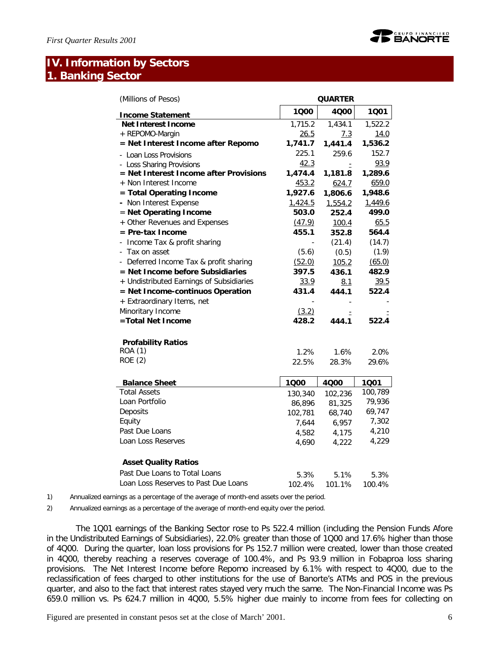# **IV. Information by Sectors 1. Banking Sector**

| (Millions of Pesos)                      | <b>QUARTER</b> |         |         |  |  |
|------------------------------------------|----------------|---------|---------|--|--|
| <b>Income Statement</b>                  | 1000           | 4000    | 1001    |  |  |
| <b>Net Interest Income</b>               | 1,715.2        | 1,434.1 | 1,522.2 |  |  |
| + REPOMO-Margin                          | 26.5           | 7.3     | 14.0    |  |  |
| = Net Interest Income after Repomo       | 1,741.7        | 1,441.4 | 1,536.2 |  |  |
| - Loan Loss Provisions                   | 225.1          | 259.6   | 152.7   |  |  |
| - Loss Sharing Provisions                | 42.3           | Ξ       | 93.9    |  |  |
| = Net Interest Income after Provisions   | 1,474.4        | 1,181.8 | 1,289.6 |  |  |
| + Non Interest Income                    | 453.2          | 624.7   | 659.0   |  |  |
| = Total Operating Income                 | 1,927.6        | 1,806.6 | 1,948.6 |  |  |
| - Non Interest Expense                   | 1,424.5        | 1,554.2 | 1,449.6 |  |  |
| = Net Operating Income                   | 503.0          | 252.4   | 499.0   |  |  |
| + Other Revenues and Expenses            | (47.9)         | 100.4   | 65.5    |  |  |
| = Pre-tax Income                         | 455.1          | 352.8   | 564.4   |  |  |
| Income Tax & profit sharing              |                | (21.4)  | (14.7)  |  |  |
| Tax on asset                             | (5.6)          | (0.5)   | (1.9)   |  |  |
| - Deferred Income Tax & profit sharing   | (52.0)         | 105.2   | (65.0)  |  |  |
| = Net Income before Subsidiaries         | 397.5          | 436.1   | 482.9   |  |  |
| + Undistributed Earnings of Subsidiaries | 33.9           | 8.1     | 39.5    |  |  |
| = Net Income-continuos Operation         | 431.4          | 444.1   | 522.4   |  |  |
| + Extraordinary Items, net               |                |         |         |  |  |
| Minoritary Income                        | (3.2)          |         |         |  |  |
| =Total Net Income                        | 428.2          | 444.1   | 522.4   |  |  |
|                                          |                |         |         |  |  |
| <b>Profability Ratios</b>                |                |         |         |  |  |
| <b>ROA (1)</b>                           | 1.2%           | 1.6%    | 2.0%    |  |  |
| <b>ROE (2)</b>                           | 22.5%          | 28.3%   | 29.6%   |  |  |
| <b>Balance Sheet</b>                     | 1000           | 4000    | 1001    |  |  |
| <b>Total Assets</b>                      | 130,340        | 102,236 | 100,789 |  |  |
| Loan Portfolio                           | 86,896         | 81,325  | 79,936  |  |  |
| Deposits                                 | 102,781        | 68,740  | 69,747  |  |  |
| Equity                                   | 7,644          | 6,957   | 7,302   |  |  |
| Past Due Loans                           | 4,582          | 4,175   | 4,210   |  |  |
| Loan Loss Reserves                       | 4,690          | 4,222   | 4,229   |  |  |
|                                          |                |         |         |  |  |
| <b>Asset Quality Ratios</b>              |                |         |         |  |  |
| Past Due Loans to Total Loans            | 5.3%           | 5.1%    | 5.3%    |  |  |
| Loan Loss Reserves to Past Due Loans     | 102.4%         | 101.1%  | 100.4%  |  |  |

1) Annualized earnings as a percentage of the average of month-end assets over the period.

2) Annualized earnings as a percentage of the average of month-end equity over the period.

The 1Q01 earnings of the Banking Sector rose to Ps 522.4 million (including the Pension Funds Afore in the Undistributed Earnings of Subsidiaries), 22.0% greater than those of 1Q00 and 17.6% higher than those of 4Q00. During the quarter, loan loss provisions for Ps 152.7 million were created, lower than those created in 4Q00, thereby reaching a reserves coverage of 100.4%, and Ps 93.9 million in Fobaproa loss sharing provisions. The Net Interest Income before Repomo increased by 6.1% with respect to 4Q00, due to the reclassification of fees charged to other institutions for the use of Banorte's ATMs and POS in the previous quarter, and also to the fact that interest rates stayed very much the same. The Non-Financial Income was Ps 659.0 million vs. Ps 624.7 million in 4Q00, 5.5% higher due mainly to income from fees for collecting on

Figured are presented in constant pesos set at the close of March' 2001. 6

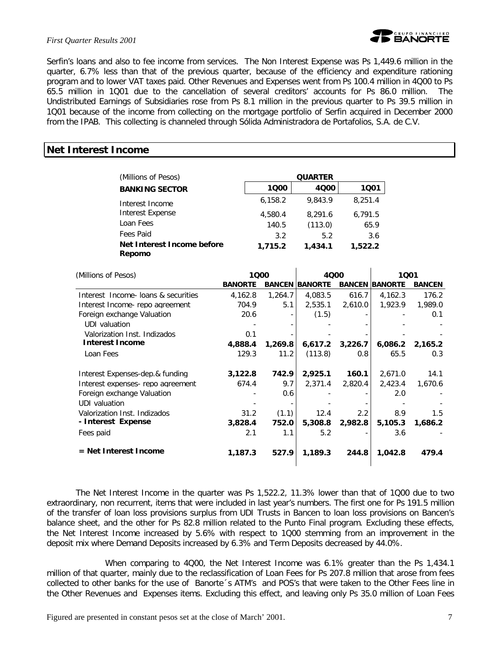#### *First Quarter Results 2001*



Serfin's loans and also to fee income from services. The Non Interest Expense was Ps 1,449.6 million in the quarter, 6.7% less than that of the previous quarter, because of the efficiency and expenditure rationing program and to lower VAT taxes paid. Other Revenues and Expenses went from Ps 100.4 million in 4Q00 to Ps 65.5 million in 1Q01 due to the cancellation of several creditors' accounts for Ps 86.0 million. The Undistributed Earnings of Subsidiaries rose from Ps 8.1 million in the previous quarter to Ps 39.5 million in 1Q01 because of the income from collecting on the mortgage portfolio of Serfin acquired in December 2000 from the IPAB. This collecting is channeled through Sólida Administradora de Portafolios, S.A. de C.V.

#### **Net Interest Income**

| (Millions of Pesos)                  | <b>QUARTER</b> |         |         |  |  |  |  |
|--------------------------------------|----------------|---------|---------|--|--|--|--|
| <b>BANKING SECTOR</b>                | 1000           | 4000    | 1001    |  |  |  |  |
| Interest Income                      | 6,158.2        | 9.843.9 | 8,251.4 |  |  |  |  |
| <b>Interest Expense</b>              | 4,580.4        | 8,291.6 | 6.791.5 |  |  |  |  |
| Loan Fees                            | 140.5          | (113.0) | 65.9    |  |  |  |  |
| Fees Paid                            | 3.2            | 5.2     | 3.6     |  |  |  |  |
| Net Interest Income before<br>Repomo | 1,715.2        | 1,434.1 | 1,522.2 |  |  |  |  |

| (Millions of Pesos)                | 1000           |         | 4000                  |         | 1001                  |               |  |
|------------------------------------|----------------|---------|-----------------------|---------|-----------------------|---------------|--|
|                                    | <b>BANORTE</b> |         | <b>BANCEN BANORTE</b> |         | <b>BANCEN BANORTE</b> | <b>BANCEN</b> |  |
| Interest Income loans & securities | 4,162.8        | 1,264.7 | 4,083.5               | 616.7   | 4,162.3               | 176.2         |  |
| Interest Income- repo agreement    | 704.9          | 5.1     | 2,535.1               | 2,610.0 | 1,923.9               | 1,989.0       |  |
| Foreign exchange Valuation         | 20.6           |         | (1.5)                 |         |                       | 0.1           |  |
| UDI valuation                      |                |         |                       |         |                       |               |  |
| Valorization Inst. Indizados       | 0.1            |         |                       |         |                       |               |  |
| <b>Interest Income</b>             | 4,888.4        | 1,269.8 | 6,617.2               | 3,226.7 | 6,086.2               | 2,165.2       |  |
| Loan Fees                          | 129.3          | 11.2    | (113.8)               | 0.8     | 65.5                  | 0.3           |  |
| Interest Expenses-dep.& funding    | 3,122.8        | 742.9   | 2,925.1               | 160.1   | 2,671.0               | 14.1          |  |
| Interest expenses- repo agreement  | 674.4          | 9.7     | 2,371.4               | 2,820.4 | 2,423.4               | 1,670.6       |  |
| Foreign exchange Valuation         |                | 0.6     |                       |         | 2.0                   |               |  |
| UDI valuation                      |                |         |                       |         |                       |               |  |
| Valorization Inst. Indizados       | 31.2           | (1.1)   | 12.4                  | 2.2     | 8.9                   | 1.5           |  |
| - Interest Expense                 | 3,828.4        | 752.0   | 5,308.8               | 2,982.8 | 5,105.3               | 1,686.2       |  |
| Fees paid                          | 2.1            | 1.1     | 5.2                   |         | 3.6                   |               |  |
| $=$ Net Interest Income            | 1,187.3        | 527.9   | 1,189.3               | 244.8   | 1,042.8               | 479.4         |  |

The Net Interest Income in the quarter was Ps 1,522.2, 11.3% lower than that of 1Q00 due to two extraordinary, non recurrent, items that were included in last year's numbers. The first one for Ps 191.5 million of the transfer of loan loss provisions surplus from UDI Trusts in Bancen to loan loss provisions on Bancen's balance sheet, and the other for Ps 82.8 million related to the Punto Final program. Excluding these effects, the Net Interest Income increased by 5.6% with respect to 1Q00 stemming from an improvement in the deposit mix where Demand Deposits increased by 6.3% and Term Deposits decreased by 44.0%.

When comparing to 4Q00, the Net Interest Income was 6.1% greater than the Ps 1,434.1 million of that quarter, mainly due to the reclassification of Loan Fees for Ps 207.8 million that arose from fees collected to other banks for the use of Banorte´s ATM's and POS's that were taken to the Other Fees line in the Other Revenues and Expenses items. Excluding this effect, and leaving only Ps 35.0 million of Loan Fees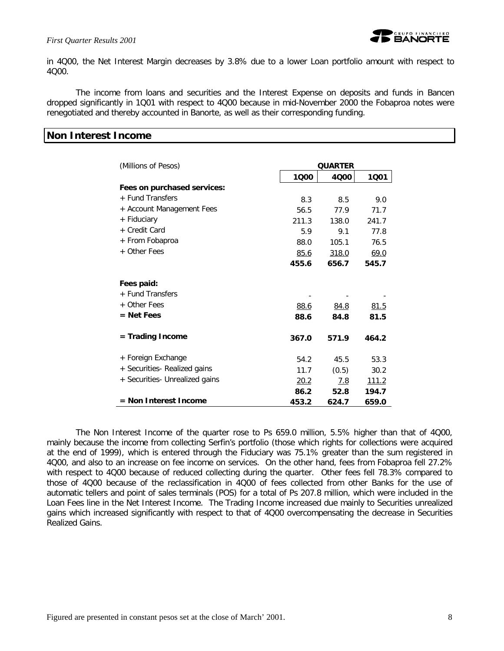#### *First Quarter Results 2001*



in 4Q00, the Net Interest Margin decreases by 3.8% due to a lower Loan portfolio amount with respect to 4Q00.

The income from loans and securities and the Interest Expense on deposits and funds in Bancen dropped significantly in 1Q01 with respect to 4Q00 because in mid-November 2000 the Fobaproa notes were renegotiated and thereby accounted in Banorte, as well as their corresponding funding.

# **Non Interest Income**

| (Millions of Pesos)            | <b>QUARTER</b> |       |       |  |  |  |
|--------------------------------|----------------|-------|-------|--|--|--|
|                                | 1000           | 4000  | 1001  |  |  |  |
| Fees on purchased services:    |                |       |       |  |  |  |
| + Fund Transfers               | 8.3            | 8.5   | 9.0   |  |  |  |
| + Account Management Fees      | 56.5           | 77.9  | 71.7  |  |  |  |
| + Fiduciary                    | 211.3          | 138.0 | 241.7 |  |  |  |
| + Credit Card                  | 5.9            | 9.1   | 77.8  |  |  |  |
| + From Fobaproa                | 88.0           | 105.1 | 76.5  |  |  |  |
| + Other Fees                   | 85.6           | 318.0 | 69.0  |  |  |  |
|                                | 455.6          | 656.7 | 545.7 |  |  |  |
| Fees paid:                     |                |       |       |  |  |  |
| + Fund Transfers               |                |       |       |  |  |  |
| + Other Fees                   | 88.6           | 84.8  | 81.5  |  |  |  |
| $=$ Net Fees                   | 88.6           | 84.8  | 81.5  |  |  |  |
| $=$ Trading Income             | 367.0          | 571.9 | 464.2 |  |  |  |
| + Foreign Exchange             | 54.2           | 45.5  | 53.3  |  |  |  |
| + Securities- Realized gains   | 11.7           | (0.5) | 30.2  |  |  |  |
| + Securities- Unrealized gains | 20.2           | 7.8   | 111.2 |  |  |  |
|                                | 86.2           | 52.8  | 194.7 |  |  |  |
| = Non Interest Income          | 453.2          | 624.7 | 659.0 |  |  |  |

The Non Interest Income of the quarter rose to Ps 659.0 million, 5.5% higher than that of 4Q00, mainly because the income from collecting Serfin's portfolio (those which rights for collections were acquired at the end of 1999), which is entered through the Fiduciary was 75.1% greater than the sum registered in 4Q00, and also to an increase on fee income on services. On the other hand, fees from Fobaproa fell 27.2% with respect to 4Q00 because of reduced collecting during the quarter. Other fees fell 78.3% compared to those of 4Q00 because of the reclassification in 4Q00 of fees collected from other Banks for the use of automatic tellers and point of sales terminals (POS) for a total of Ps 207.8 million, which were included in the Loan Fees line in the Net Interest Income. The Trading Income increased due mainly to Securities unrealized gains which increased significantly with respect to that of 4Q00 overcompensating the decrease in Securities Realized Gains.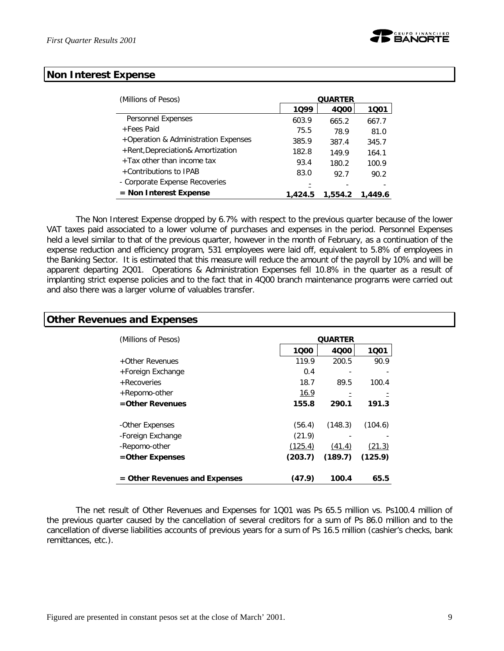

#### **Non Interest Expense**

| (Millions of Pesos)                  | <b>QUARTER</b> |         |         |  |  |  |
|--------------------------------------|----------------|---------|---------|--|--|--|
|                                      | 1099           | 4000    | 1001    |  |  |  |
| Personnel Expenses                   | 603.9          | 665.2   | 667.7   |  |  |  |
| +Fees Paid                           | 75.5           | 78.9    | 81.0    |  |  |  |
| +Operation & Administration Expenses | 385.9          | 387.4   | 345.7   |  |  |  |
| +Rent, Depreciation& Amortization    | 182.8          | 149.9   | 164.1   |  |  |  |
| $+$ Tax other than income tax        | 93.4           | 180.2   | 100.9   |  |  |  |
| +Contributions to IPAB               | 83.0           | 92.7    | 90.2    |  |  |  |
| - Corporate Expense Recoveries       |                |         |         |  |  |  |
| $=$ Non Interest Expense             | 1,424.5        | 1,554.2 | 1.449.6 |  |  |  |

The Non Interest Expense dropped by 6.7% with respect to the previous quarter because of the lower VAT taxes paid associated to a lower volume of purchases and expenses in the period. Personnel Expenses held a level similar to that of the previous quarter, however in the month of February, as a continuation of the expense reduction and efficiency program, 531 employees were laid off, equivalent to 5.8% of employees in the Banking Sector. It is estimated that this measure will reduce the amount of the payroll by 10% and will be apparent departing 2Q01. Operations & Administration Expenses fell 10.8% in the quarter as a result of implanting strict expense policies and to the fact that in 4Q00 branch maintenance programs were carried out and also there was a larger volume of valuables transfer.

| <b>Other Revenues and Expenses</b> |             |                |         |
|------------------------------------|-------------|----------------|---------|
| (Millions of Pesos)                |             | <b>QUARTER</b> |         |
| +Other Revenues                    | 1000        | 4000           | 1001    |
|                                    | 119.9       | 200.5          | 90.9    |
| +Foreign Exchange                  | 0.4         |                |         |
| + Recoveries                       | 18.7        | 89.5           | 100.4   |
| +Repomo-other                      | <u>16.9</u> |                |         |
| $=$ Other Revenues                 | 155.8       | 290.1          | 191.3   |
| -Other Expenses                    | (56.4)      | (148.3)        | (104.6) |
| -Foreign Exchange                  | (21.9)      |                |         |
| -Repomo-other                      | (125.4)     | (41.4)         | (21.3)  |
| =Other Expenses                    | (203.7)     | (189.7)        | (125.9) |
| = Other Revenues and Expenses      | (47.9)      | 100.4          | 65.5    |

The net result of Other Revenues and Expenses for 1Q01 was Ps 65.5 million vs. Ps100.4 million of the previous quarter caused by the cancellation of several creditors for a sum of Ps 86.0 million and to the cancellation of diverse liabilities accounts of previous years for a sum of Ps 16.5 million (cashier's checks, bank remittances, etc.).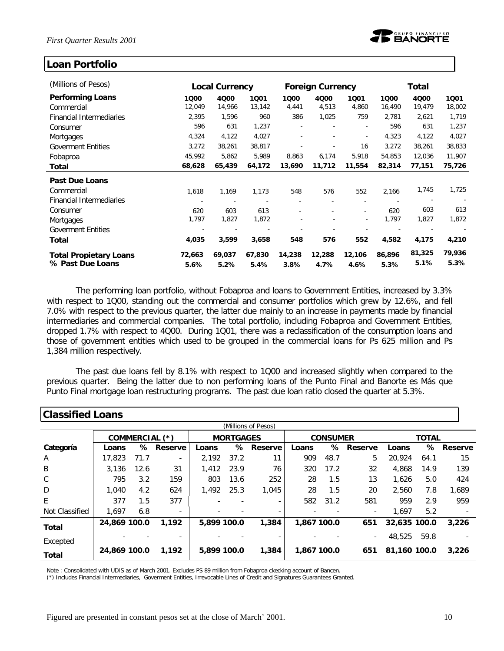

| (Millions of Pesos)             | <b>Local Currency</b> |                          |                          | <b>Foreign Currency</b> |        | Total  |                          |                          |        |
|---------------------------------|-----------------------|--------------------------|--------------------------|-------------------------|--------|--------|--------------------------|--------------------------|--------|
| <b>Performing Loans</b>         | 1000                  | 4000                     | 1001                     | 1000                    | 4000   | 1001   | 1000                     | 4000                     | 1001   |
| Commercial                      | 12,049                | 14,966                   | 13,142                   | 4,441                   | 4,513  | 4,860  | 16,490                   | 19,479                   | 18,002 |
| <b>Financial Intermediaries</b> | 2,395                 | 1,596                    | 960                      | 386                     | 1,025  | 759    | 2,781                    | 2,621                    | 1,719  |
| Consumer                        | 596                   | 631                      | 1,237                    |                         |        |        | 596                      | 631                      | 1,237  |
| <b>Mortgages</b>                | 4,324                 | 4,122                    | 4,027                    |                         |        |        | 4,323                    | 4,122                    | 4,027  |
| <b>Goverment Entities</b>       | 3,272                 | 38,261                   | 38,817                   |                         |        | 16     | 3,272                    | 38,261                   | 38,833 |
| Fobaproa                        | 45,992                | 5,862                    | 5,989                    | 8,863                   | 6,174  | 5,918  | 54,853                   | 12,036                   | 11,907 |
| Total                           | 68,628                | 65,439                   | 64,172                   | 13,690                  | 11,712 | 11,554 | 82,314                   | 77,151                   | 75,726 |
| <b>Past Due Loans</b>           |                       |                          |                          |                         |        |        |                          |                          |        |
| Commercial                      | 1,618                 | 1,169                    | 1,173                    | 548                     | 576    | 552    | 2,166                    | 1,745                    | 1,725  |
| <b>Financial Intermediaries</b> |                       | $\overline{\phantom{a}}$ | $\overline{\phantom{a}}$ |                         |        |        | $\overline{\phantom{a}}$ | $\overline{\phantom{a}}$ |        |
| Consumer                        | 620                   | 603                      | 613                      |                         |        |        | 620                      | 603                      | 613    |
| <b>Mortgages</b>                | 1,797                 | 1,827                    | 1,872                    |                         |        |        | 1,797                    | 1,827                    | 1,872  |
| <b>Goverment Entities</b>       |                       |                          | $\overline{\phantom{a}}$ |                         |        |        |                          | $\overline{\phantom{a}}$ |        |
| <b>Total</b>                    | 4,035                 | 3,599                    | 3,658                    | 548                     | 576    | 552    | 4,582                    | 4,175                    | 4,210  |
| <b>Total Propietary Loans</b>   | 72,663                | 69,037                   | 67,830                   | 14,238                  | 12,288 | 12,106 | 86,896                   | 81,325                   | 79,936 |
| % Past Due Loans                | 5.6%                  | 5.2%                     | 5.4%                     | 3.8%                    | 4.7%   | 4.6%   | 5.3%                     | 5.1%                     | 5.3%   |

The performing loan portfolio, without Fobaproa and loans to Government Entities, increased by 3.3% with respect to 1Q00, standing out the commercial and consumer portfolios which grew by 12.6%, and fell 7.0% with respect to the previous quarter, the latter due mainly to an increase in payments made by financial intermediaries and commercial companies. The total portfolio, including Fobaproa and Government Entities, dropped 1.7% with respect to 4Q00. During 1Q01, there was a reclassification of the consumption loans and those of government entities which used to be grouped in the commercial loans for Ps 625 million and Ps 1,384 million respectively.

The past due loans fell by 8.1% with respect to 1Q00 and increased slightly when compared to the previous quarter. Being the latter due to non performing loans of the Punto Final and Banorte es Más que Punto Final mortgage loan restructuring programs. The past due loan ratio closed the quarter at 5.3%.

| UIUJJIHUU LUUHJ |              |      |                |             |                  |                     |                 |      |         |              |      |         |
|-----------------|--------------|------|----------------|-------------|------------------|---------------------|-----------------|------|---------|--------------|------|---------|
|                 |              |      |                |             |                  | (Millions of Pesos) |                 |      |         |              |      |         |
|                 |              |      | COMMERCIAL (*) |             | <b>MORTGAGES</b> |                     | <b>CONSUMER</b> |      |         | <b>TOTAL</b> |      |         |
| Categoría       | Loans        | ℅    | Reserve        | Loans       | ℅                | <b>Reserve</b>      | Loans           | ℅    | Reserve | Loans        | ℅    | Reserve |
| $\mathsf{A}$    | 17,823       | 71.7 |                | 2.192       | 37.2             | 11                  | 909             | 48.7 | 5       | 20.924       | 64.1 | 15      |
| B               | 3.136        | 12.6 | 31             | 1,412       | 23.9             | 76                  | 320             | 17.2 | 32      | 4.868        | 14.9 | 139     |
| C               | 795          | 3.2  | 159            | 803         | 13.6             | 252                 | 28              | 1.5  | 13      | 1.626        | 5.0  | 424     |
| D               | 1.040        | 4.2  | 624            | 1.492       | 25.3             | 1.045               | 28              | 1.5  | 20      | 2.560        | 7.8  | 1.689   |
| E               | 377          | 1.5  | 377            |             |                  |                     | 582             | 31.2 | 581     | 959          | 2.9  | 959     |
| Not Classified  | 1.697        | 6.8  | ٠              |             |                  |                     |                 |      | -       | 1.697        | 5.2  |         |
| Total           | 24,869 100.0 |      | 1,192          | 5,899 100.0 |                  | 1,384               | 1,867 100.0     |      | 651     | 32,635 100.0 |      | 3,226   |
| Excepted        |              |      |                |             |                  |                     |                 |      | ۰.      | 48,525       | 59.8 |         |
| <b>Total</b>    | 24,869 100.0 |      | 1,192          | 5,899 100.0 |                  | 1,384               | 1,867 100.0     |      | 651     | 81.160 100.0 |      | 3,226   |

# **Classified Loans**

Note : Consolidated with UDIS as of March 2001. Excludes PS 89 million from Fobaproa ckecking account of Bancen.

(\*) Includes Financial Intermediaries, Goverment Entities, Irrevocable Lines of Credit and Signatures Guarantees Granted.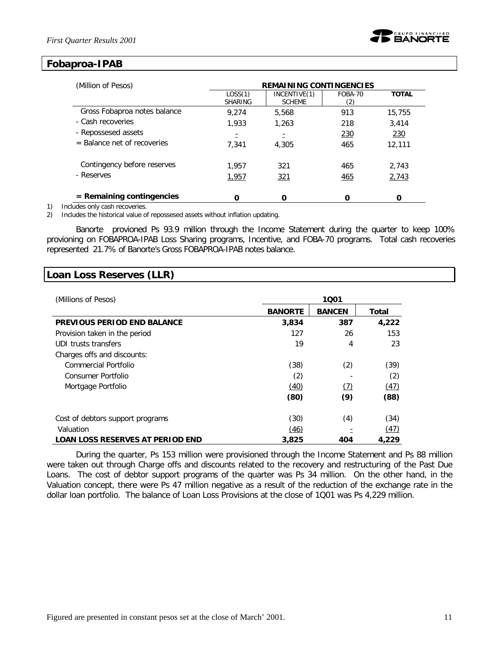

#### **Fobaproa-IPAB**

| (Million of Pesos)            | <b>REMAINING CONTINGENCIES</b> |                               |                |              |  |  |  |  |
|-------------------------------|--------------------------------|-------------------------------|----------------|--------------|--|--|--|--|
|                               | LOS(1)<br><b>SHARING</b>       | INCENTIVE(1)<br><b>SCHEME</b> | FOBA-70<br>(2) | <b>TOTAL</b> |  |  |  |  |
| Gross Fobaproa notes balance  | 9.274                          | 5.568                         | 913            | 15,755       |  |  |  |  |
| - Cash recoveries             | 1,933                          | 1,263                         | 218            | 3,414        |  |  |  |  |
| - Repossesed assets           | Ξ                              | Ξ                             | 230            | 230          |  |  |  |  |
| $=$ Balance net of recoveries | 7.341                          | 4.305                         | 465            | 12,111       |  |  |  |  |
| Contingency before reserves   | 1,957                          | 321                           | 465            | 2.743        |  |  |  |  |
| - Reserves                    | 1,957                          | 321                           | 465            | 2,743        |  |  |  |  |
| $=$ Remaining contingencies   | 0                              | 0                             | O              | 0            |  |  |  |  |

1) Includes only cash recoveries.

2) Includes the historical value of repossesed assets without inflation updating.

Banorte provioned Ps 93.9 million through the Income Statement during the quarter to keep 100% provioning on FOBAPROA-IPAB Loss Sharing programs, Incentive, and FOBA-70 programs. Total cash recoveries represented 21.7% of Banorte's Gross FOBAPROA-IPAB notes balance.

#### **Loan Loss Reserves (LLR)**

| (Millions of Pesos)                     |                | 1001          |       |  |
|-----------------------------------------|----------------|---------------|-------|--|
|                                         | <b>BANORTE</b> | <b>BANCEN</b> | Total |  |
| <b>PREVIOUS PERIOD END BALANCE</b>      | 3,834          | 387           | 4,222 |  |
| Provision taken in the period           | 127            | 26            | 153   |  |
| UDI trusts transfers                    | 19             | 4             | 23    |  |
| Charges offs and discounts:             |                |               |       |  |
| Commercial Portfolio                    | (38)           | (2)           | (39)  |  |
| Consumer Portfolio                      | (2)            |               | (2)   |  |
| Mortgage Portfolio                      | (40)           | (7)           | (47)  |  |
|                                         | (80)           | (9)           | (88)  |  |
| Cost of debtors support programs        | (30)           | (4)           | (34)  |  |
| Valuation                               | (46)           |               | (47)  |  |
| <b>LOAN LOSS RESERVES AT PERIOD END</b> | 3,825          | 404           | 4,229 |  |

During the quarter, Ps 153 million were provisioned through the Income Statement and Ps 88 million were taken out through Charge offs and discounts related to the recovery and restructuring of the Past Due Loans. The cost of debtor support programs of the quarter was Ps 34 million. On the other hand, in the Valuation concept, there were Ps 47 million negative as a result of the reduction of the exchange rate in the dollar loan portfolio. The balance of Loan Loss Provisions at the close of 1Q01 was Ps 4,229 million.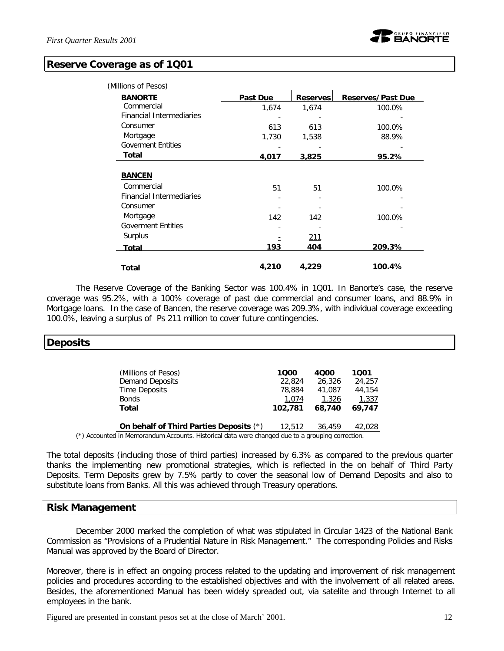#### **Reserve Coverage as of 1Q01**

| <b>BANORTE</b>                  | <b>Past Due</b> | <b>Reserves</b> | <b>Reserves/Past Due</b> |
|---------------------------------|-----------------|-----------------|--------------------------|
| Commercial                      | 1,674           | 1,674           | 100.0%                   |
| <b>Financial Intermediaries</b> |                 |                 |                          |
| Consumer                        | 613             | 613             | 100.0%                   |
| Mortgage                        | 1,730           | 1,538           | 88.9%                    |
| <b>Goverment Entities</b>       |                 |                 |                          |
| Total                           | 4,017           | 3,825           | 95.2%                    |
|                                 |                 |                 |                          |
| <b>BANCEN</b>                   |                 |                 |                          |
| Commercial                      | 51              | 51              | 100.0%                   |
| <b>Financial Intermediaries</b> |                 |                 |                          |
| Consumer                        |                 |                 |                          |
| Mortgage                        | 142             | 142             | 100.0%                   |
| <b>Goverment Entities</b>       |                 |                 |                          |
| Surplus                         |                 | 211             |                          |
| Total                           | 193             | 404             | 209.3%                   |
| Total                           | 4,210           | 4,229           | 100.4%                   |

The Reserve Coverage of the Banking Sector was 100.4% in 1Q01. In Banorte's case, the reserve coverage was 95.2%, with a 100% coverage of past due commercial and consumer loans, and 88.9% in Mortgage loans. In the case of Bancen, the reserve coverage was 209.3%, with individual coverage exceeding 100.0%, leaving a surplus of Ps 211 million to cover future contingencies.

# **Deposits**

| (Millions of Pesos)                                                                                               | 1000    | 4000   | 1001   |
|-------------------------------------------------------------------------------------------------------------------|---------|--------|--------|
| Demand Deposits                                                                                                   | 22,824  | 26,326 | 24,257 |
| Time Deposits                                                                                                     | 78,884  | 41.087 | 44.154 |
| <b>Bonds</b>                                                                                                      | 1,074   | 1,326  | 1,337  |
| Total                                                                                                             | 102.781 | 68,740 | 69.747 |
|                                                                                                                   |         |        |        |
| On behalf of Third Parties Deposits (*)                                                                           | 12,512  | 36,459 | 42,028 |
| المتحالف ومستجم المتشامس والمتحارب والمستحدث والمتحارب والمتحارب المتحارب والمستحدث والمستحدث والمستحال والمستحار |         |        |        |

(\*) Accounted in Memorandum Accounts. Historical data were changed due to a grouping correction.

The total deposits (including those of third parties) increased by 6.3% as compared to the previous quarter thanks the implementing new promotional strategies, which is reflected in the on behalf of Third Party Deposits. Term Deposits grew by 7.5% partly to cover the seasonal low of Demand Deposits and also to substitute loans from Banks. All this was achieved through Treasury operations.

#### **Risk Management**

December 2000 marked the completion of what was stipulated in Circular 1423 of the National Bank Commission as "Provisions of a Prudential Nature in Risk Management." The corresponding Policies and Risks Manual was approved by the Board of Director.

Moreover, there is in effect an ongoing process related to the updating and improvement of risk management policies and procedures according to the established objectives and with the involvement of all related areas. Besides, the aforementioned Manual has been widely spreaded out, via satelite and through Internet to all employees in the bank.

Figured are presented in constant pesos set at the close of March' 2001. 12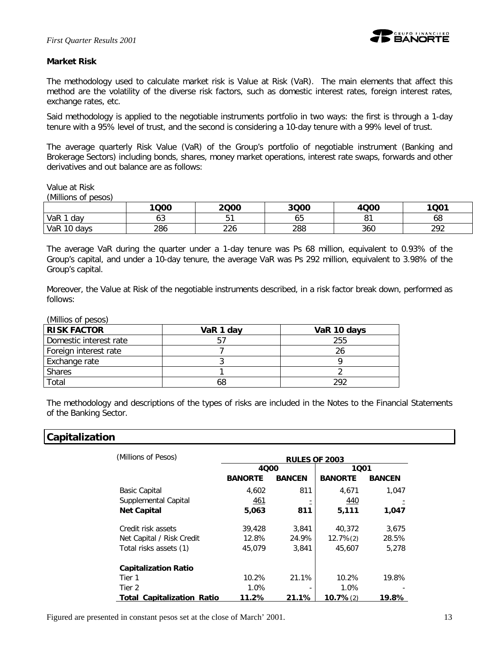

#### **Market Risk**

The methodology used to calculate market risk is Value at Risk (VaR). The main elements that affect this method are the volatility of the diverse risk factors, such as domestic interest rates, foreign interest rates, exchange rates, etc.

Said methodology is applied to the negotiable instruments portfolio in two ways: the first is through a 1-day tenure with a 95% level of trust, and the second is considering a 10-day tenure with a 99% level of trust.

The average quarterly Risk Value (VaR) of the Group's portfolio of negotiable instrument (Banking and Brokerage Sectors) including bonds, shares, money market operations, interest rate swaps, forwards and other derivatives and out balance are as follows:

Value at Risk

*(Millions of pesos)*

|              | 1Q00          | 2000 | 3Q00                    | 4Q00        | 1Q01        |
|--------------|---------------|------|-------------------------|-------------|-------------|
| VaR 1<br>dav | $\sim$<br>0 J |      | $\epsilon$ $\sim$<br>ია | $\sim$<br>ັ | οč          |
| VaR 10 days  | 286           | 226  | 288                     | 360         | າດາ<br>ے رے |

The average VaR during the quarter under a 1-day tenure was Ps 68 million, equivalent to 0.93% of the Group's capital, and under a 10-day tenure, the average VaR was Ps 292 million, equivalent to 3.98% of the Group's capital.

Moreover, the Value at Risk of the negotiable instruments described, in a risk factor break down, performed as follows:

*(Millios of pesos)*

| <b>RISK FACTOR</b>     | VaR 1 day | VaR 10 days |
|------------------------|-----------|-------------|
| Domestic interest rate |           | 255         |
| Foreign interest rate  |           | 26          |
| Exchange rate          |           |             |
| <b>Shares</b>          |           |             |
| Total                  | 68        | 292         |

The methodology and descriptions of the types of risks are included in the Notes to the Financial Statements of the Banking Sector.

#### **Capitalization**

| (Millions of Pesos)                  | <b>RULES OF 2003</b> |               |                |               |
|--------------------------------------|----------------------|---------------|----------------|---------------|
|                                      | 4000                 |               | 1001           |               |
|                                      | <b>BANORTE</b>       | <b>BANCEN</b> | <b>BANORTE</b> | <b>BANCEN</b> |
| <b>Basic Capital</b>                 | 4,602                | 811           | 4.671          | 1.047         |
| Supplemental Capital                 | 461                  |               | 440            |               |
| <b>Net Capital</b>                   | 5,063                | 811           | 5,111          | 1,047         |
| Credit risk assets                   | 39,428               | 3.841         | 40.372         | 3,675         |
| Net Capital / Risk Credit            | 12.8%                | 24.9%         | $12.7\%(2)$    | 28.5%         |
| Total risks assets (1)               | 45,079               | 3.841         | 45,607         | 5.278         |
| <b>Capitalization Ratio</b>          |                      |               |                |               |
| Tier 1                               | 10.2%                | 21.1%         | 10.2%          | 19.8%         |
| Tier 2                               | 1.0%                 |               | 1.0%           |               |
| <b>Capitalization Ratio</b><br>Total | 11.2%                | 21.1%         | 10.7%(2)       | 19.8%         |

Figured are presented in constant pesos set at the close of March' 2001. 13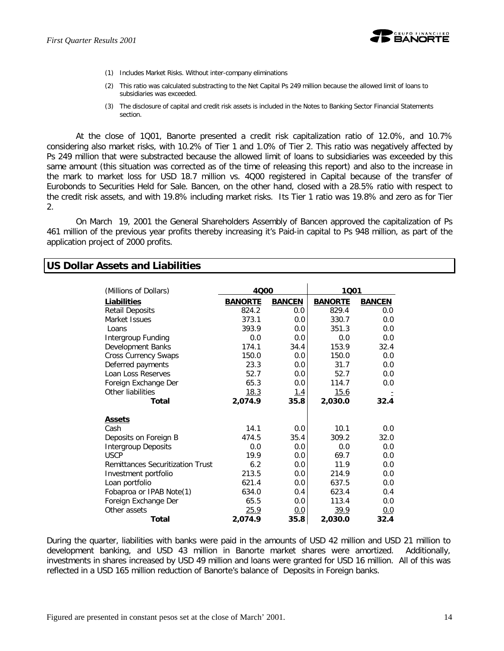

- (1) Includes Market Risks. Without inter-company eliminations
- (2) This ratio was calculated substracting to the Net Capital Ps 249 million because the allowed limit of loans to subsidiaries was exceeded.
- (3) The disclosure of capital and credit risk assets is included in the Notes to Banking Sector Financial Statements section.

At the close of 1Q01, Banorte presented a credit risk capitalization ratio of 12.0%, and 10.7% considering also market risks, with 10.2% of Tier 1 and 1.0% of Tier 2. This ratio was negatively affected by Ps 249 million that were substracted because the allowed limit of loans to subsidiaries was exceeded by this same amount (this situation was corrected as of the time of releasing this report) and also to the increase in the mark to market loss for USD 18.7 million vs. 4Q00 registered in Capital because of the transfer of Eurobonds to Securities Held for Sale. Bancen, on the other hand, closed with a 28.5% ratio with respect to the credit risk assets, and with 19.8% including market risks. Its Tier 1 ratio was 19.8% and zero as for Tier 2.

On March 19, 2001 the General Shareholders Assembly of Bancen approved the capitalization of Ps 461 million of the previous year profits thereby increasing it's Paid-in capital to Ps 948 million, as part of the application project of 2000 profits.

#### **US Dollar Assets and Liabilities**

| (Millions of Dollars)                   | 4000           |               | 1001           |               |
|-----------------------------------------|----------------|---------------|----------------|---------------|
| <b>Liabilities</b>                      | <b>BANORTE</b> | <b>BANCEN</b> | <b>BANORTE</b> | <b>BANCEN</b> |
| <b>Retail Deposits</b>                  | 824.2          | 0.0           | 829.4          | 0.0           |
| Market Issues                           | 373.1          | 0.0           | 330.7          | 0.0           |
| Loans                                   | 393.9          | 0.0           | 351.3          | 0.0           |
| Intergroup Funding                      | 0.0            | 0.0           | 0.0            | 0.0           |
| Development Banks                       | 174.1          | 34.4          | 153.9          | 32.4          |
| <b>Cross Currency Swaps</b>             | 150.0          | 0.0           | 150.0          | 0.0           |
| Deferred payments                       | 23.3           | 0.0           | 31.7           | 0.0           |
| Loan Loss Reserves                      | 52.7           | 0.0           | 52.7           | 0.0           |
| Foreign Exchange Der                    | 65.3           | 0.0           | 114.7          | 0.0           |
| Other liabilities                       | 18.3           | <u>1.4</u>    | <u>15.6</u>    |               |
| Total                                   | 2,074.9        | 35.8          | 2,030.0        | 32.4          |
| <u>Assets</u>                           |                |               |                |               |
| Cash                                    | 14.1           | 0.0           | 10.1           | 0.0           |
| Deposits on Foreign B                   | 474.5          | 35.4          | 309.2          | 32.0          |
| <b>Intergroup Deposits</b>              | 0.0            | 0.0           | 0.0            | 0.0           |
| <b>USCP</b>                             | 19.9           | 0.0           | 69.7           | 0.0           |
| <b>Remittances Securitization Trust</b> | 6.2            | 0.0           | 11.9           | 0.0           |
| Investment portfolio                    | 213.5          | 0.0           | 214.9          | 0.0           |
| Loan portfolio                          | 621.4          | 0.0           | 637.5          | 0.0           |
| Fobaproa or IPAB Note(1)                | 634.0          | 0.4           | 623.4          | 0.4           |
| Foreign Exchange Der                    | 65.5           | 0.0           | 113.4          | 0.0           |
| Other assets                            | 25.9           | 0.0           | <u>39.9</u>    | <u>0.0</u>    |
| Total                                   | 2,074.9        | 35.8          | 2,030.0        | 32.4          |

During the quarter, liabilities with banks were paid in the amounts of USD 42 million and USD 21 million to development banking, and USD 43 million in Banorte market shares were amortized. Additionally, investments in shares increased by USD 49 million and loans were granted for USD 16 million. All of this was reflected in a USD 165 million reduction of Banorte's balance of Deposits in Foreign banks.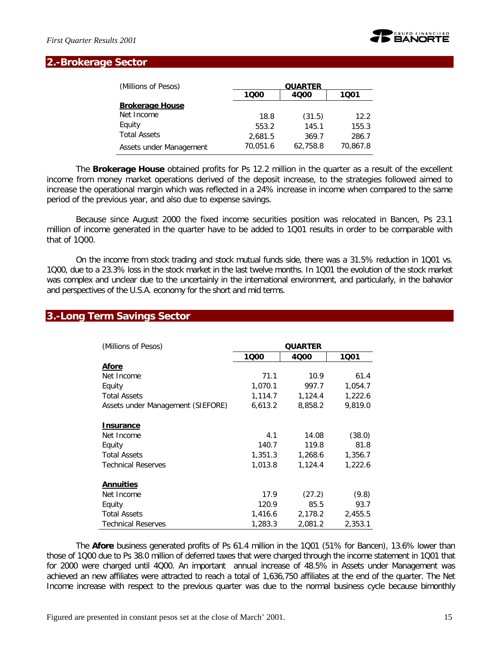

## **2.-Brokerage Sector**

| (Millions of Pesos)     |          | <b>QUARTER</b> |          |  |  |
|-------------------------|----------|----------------|----------|--|--|
|                         | 1000     | 4000           | 1001     |  |  |
| <b>Brokerage House</b>  |          |                |          |  |  |
| Net Income              | 18.8     | (31.5)         | 12.2     |  |  |
| Equity                  | 553.2    | 145.1          | 155.3    |  |  |
| <b>Total Assets</b>     | 2,681.5  | 369.7          | 286.7    |  |  |
| Assets under Management | 70,051.6 | 62,758.8       | 70,867.8 |  |  |

The *Brokerage House* obtained profits for Ps 12.2 million in the quarter as a result of the excellent income from money market operations derived of the deposit increase, to the strategies followed aimed to increase the operational margin which was reflected in a 24% increase in income when compared to the same period of the previous year, and also due to expense savings.

Because since August 2000 the fixed income securities position was relocated in Bancen, Ps 23.1 million of income generated in the quarter have to be added to 1Q01 results in order to be comparable with that of 1Q00.

On the income from stock trading and stock mutual funds side, there was a 31.5% reduction in 1Q01 vs. 1Q00, due to a 23.3% loss in the stock market in the last twelve months. In 1Q01 the evolution of the stock market was complex and unclear due to the uncertainly in the international environment, and particularly, in the bahavior and perspectives of the U.S.A. economy for the short and mid terms.

#### **3.-Long Term Savings Sector**

| (Millions of Pesos)               | <b>QUARTER</b> |         |         |
|-----------------------------------|----------------|---------|---------|
|                                   | 1000           | 4000    | 1001    |
| Afore                             |                |         |         |
| Net Income                        | 71.1           | 10.9    | 61.4    |
| Equity                            | 1,070.1        | 997.7   | 1,054.7 |
| <b>Total Assets</b>               | 1,114.7        | 1,124.4 | 1,222.6 |
| Assets under Management (SIEFORE) | 6,613.2        | 8,858.2 | 9,819.0 |
| <b>Insurance</b>                  |                |         |         |
| Net Income                        | 4.1            | 14.08   | (38.0)  |
| Equity                            | 140.7          | 119.8   | 81.8    |
| <b>Total Assets</b>               | 1,351.3        | 1,268.6 | 1,356.7 |
| <b>Technical Reserves</b>         | 1,013.8        | 1,124.4 | 1,222.6 |
| <b>Annuities</b>                  |                |         |         |
| Net Income                        | 17.9           | (27.2)  | (9.8)   |
| Equity                            | 120.9          | 85.5    | 93.7    |
| <b>Total Assets</b>               | 1,416.6        | 2,178.2 | 2,455.5 |
| <b>Technical Reserves</b>         | 1,283.3        | 2,081.2 | 2,353.1 |

The *Afore* business generated profits of Ps 61.4 million in the 1Q01 (51% for Bancen), 13.6% lower than those of 1Q00 due to Ps 38.0 million of deferred taxes that were charged through the income statement in 1Q01 that for 2000 were charged until 4Q00. An important annual increase of 48.5% in Assets under Management was achieved an new affiliates were attracted to reach a total of 1,636,750 affiliates at the end of the quarter. The Net Income increase with respect to the previous quarter was due to the normal business cycle because bimonthly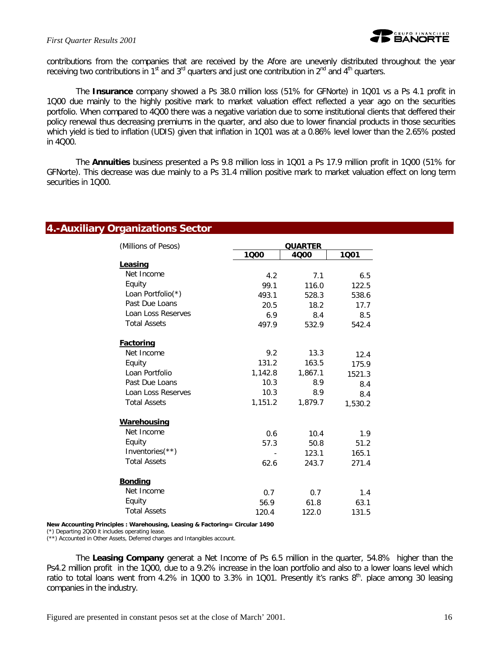

contributions from the companies that are received by the Afore are unevenly distributed throughout the year receiving two contributions in 1<sup>st</sup> and 3<sup>rd</sup> quarters and just one contribution in 2<sup>nd</sup> and 4<sup>th</sup> quarters.

The *Insurance* company showed a Ps 38.0 million loss (51% for GFNorte) in 1Q01 vs a Ps 4.1 profit in 1Q00 due mainly to the highly positive mark to market valuation effect reflected a year ago on the securities portfolio. When compared to 4Q00 there was a negative variation due to some institutional clients that deffered their policy renewal thus decreasing premiums in the quarter, and also due to lower financial products in those securities which yield is tied to inflation (UDIS) given that inflation in 1Q01 was at a 0.86% level lower than the 2.65% posted in 4Q00.

The *Annuities* business presented a Ps 9.8 million loss in 1Q01 a Ps 17.9 million profit in 1Q00 (51% for GFNorte). This decrease was due mainly to a Ps 31.4 million positive mark to market valuation effect on long term securities in 1Q00.

#### **4.-Auxiliary Organizations Sector**

| (Millions of Pesos) | <b>QUARTER</b> |         |         |
|---------------------|----------------|---------|---------|
|                     | 1000           | 4000    | 1001    |
| Leasing             |                |         |         |
| Net Income          | 4.2            | 7.1     | 6.5     |
| Equity              | 99.1           | 116.0   | 122.5   |
| Loan Portfolio(*)   | 493.1          | 528.3   | 538.6   |
| Past Due Loans      | 20.5           | 18.2    | 17.7    |
| Loan Loss Reserves  | 6.9            | 8.4     | 8.5     |
| <b>Total Assets</b> | 497.9          | 532.9   | 542.4   |
| Factoring           |                |         |         |
| Net Income          | 9.2            | 13.3    | 12.4    |
| Equity              | 131.2          | 163.5   | 175.9   |
| Loan Portfolio      | 1,142.8        | 1,867.1 | 1521.3  |
| Past Due Loans      | 10.3           | 8.9     | 8.4     |
| Loan Loss Reserves  | 10.3           | 8.9     | 8.4     |
| <b>Total Assets</b> | 1,151.2        | 1,879.7 | 1,530.2 |
| <b>Warehousing</b>  |                |         |         |
| Net Income          | 0.6            | 10.4    | 1.9     |
| Equity              | 57.3           | 50.8    | 51.2    |
| Inventories(**)     |                | 123.1   | 165.1   |
| <b>Total Assets</b> | 62.6           | 243.7   | 271.4   |
| <b>Bonding</b>      |                |         |         |
| Net Income          | 0.7            | 0.7     | 1.4     |
| Equity              | 56.9           | 61.8    | 63.1    |
| <b>Total Assets</b> | 120.4          | 122.0   | 131.5   |

**New Accounting Principles : Warehousing, Leasing & Factoring= Circular 1490**

(\*) Departing 2Q00 it includes operating lease.

(\*\*) Accounted in Other Assets, Deferred charges and Intangibles account.

The *Leasing Company* generat a Net Income of Ps 6.5 million in the quarter, 54.8% higher than the Ps4.2 million profit in the 1Q00, due to a 9.2% increase in the loan portfolio and also to a lower loans level which ratio to total loans went from 4.2% in 1Q00 to 3.3% in 1Q01. Presently it's ranks  $8<sup>th</sup>$ . place among 30 leasing companies in the industry.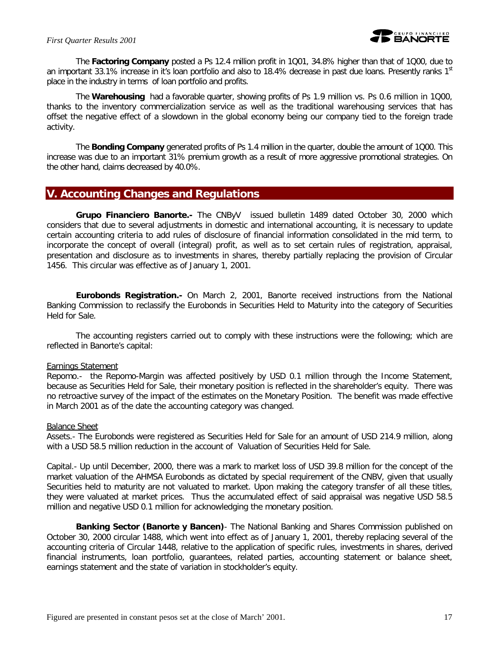#### *First Quarter Results 2001*

The *Factoring Company* posted a Ps 12.4 million profit in 1Q01, 34.8% higher than that of 1Q00, due to an important 33.1% increase in it's loan portfolio and also to 18.4% decrease in past due loans. Presently ranks 1st place in the industry in terms of loan portfolio and profits.

The *Warehousing* had a favorable quarter, showing profits of Ps 1.9 million vs. Ps 0.6 million in 1Q00, thanks to the inventory commercialization service as well as the traditional warehousing services that has offset the negative effect of a slowdown in the global economy being our company tied to the foreign trade activity.

The *Bonding Company* generated profits of Ps 1.4 million in the quarter, double the amount of 1Q00. This increase was due to an important 31% premium growth as a result of more aggressive promotional strategies. On the other hand, claims decreased by 40.0%.

#### **V. Accounting Changes and Regulations**

*Grupo Financiero Banorte.-* The CNByV issued bulletin 1489 dated October 30, 2000 which considers that due to several adjustments in domestic and international accounting, it is necessary to update certain accounting criteria to add rules of disclosure of financial information consolidated in the mid term, to incorporate the concept of overall (integral) profit, as well as to set certain rules of registration, appraisal, presentation and disclosure as to investments in shares, thereby partially replacing the provision of Circular 1456. This circular was effective as of January 1, 2001.

*Eurobonds Registration.-* On March 2, 2001, Banorte received instructions from the National Banking Commission to reclassify the Eurobonds in Securities Held to Maturity into the category of Securities Held for Sale.

The accounting registers carried out to comply with these instructions were the following; which are reflected in Banorte's capital:

#### Earnings Statement

Repomo.- the Repomo-Margin was affected positively by USD 0.1 million through the Income Statement, because as Securities Held for Sale, their monetary position is reflected in the shareholder's equity. There was no retroactive survey of the impact of the estimates on the Monetary Position. The benefit was made effective in March 2001 as of the date the accounting category was changed.

#### Balance Sheet

Assets.- The Eurobonds were registered as Securities Held for Sale for an amount of USD 214.9 million, along with a USD 58.5 million reduction in the account of Valuation of Securities Held for Sale.

Capital.- Up until December, 2000, there was a mark to market loss of USD 39.8 million for the concept of the market valuation of the AHMSA Eurobonds as dictated by special requirement of the CNBV, given that usually Securities held to maturity are not valuated to market. Upon making the category transfer of all these titles, they were valuated at market prices. Thus the accumulated effect of said appraisal was negative USD 58.5 million and negative USD 0.1 million for acknowledging the monetary position.

*Banking Sector (Banorte y Bancen)*- The National Banking and Shares Commission published on October 30, 2000 circular 1488, which went into effect as of January 1, 2001, thereby replacing several of the accounting criteria of Circular 1448, relative to the application of specific rules, investments in shares, derived financial instruments, loan portfolio, guarantees, related parties, accounting statement or balance sheet, earnings statement and the state of variation in stockholder's equity.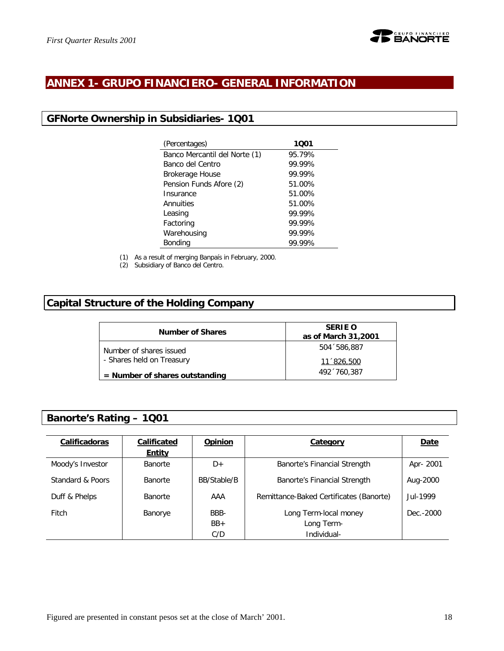

# **ANNEX 1- GRUPO FINANCIERO- GENERAL INFORMATION**

## **GFNorte Ownership in Subsidiaries- 1Q01**

| (Percentages)                 | 1001   |
|-------------------------------|--------|
| Banco Mercantil del Norte (1) | 95.79% |
| Banco del Centro              | 99.99% |
| Brokerage House               | 99.99% |
| Pension Funds Afore (2)       | 51.00% |
| Insurance                     | 51.00% |
| Annuities                     | 51.00% |
| Leasing                       | 99.99% |
| Factoring                     | 99.99% |
| Warehousing                   | 99.99% |
| Bonding                       | 99.99% |

(1) As a result of merging Banpaís in February, 2000.

(2) Subsidiary of Banco del Centro.

## **Capital Structure of the Holding Company**

| <b>Number of Shares</b>          | <b>SERIE O</b><br>as of March 31,2001 |
|----------------------------------|---------------------------------------|
| Number of shares issued          | 504 586,887                           |
| - Shares held on Treasury        | 11 ^ 826,500                          |
| $=$ Number of shares outstanding | 492 760.387                           |

## **Banorte's Rating – 1Q01**

| Calificadoras    | Calificated<br><b>Entity</b> | Opinion     | Category                                | <b>Date</b> |
|------------------|------------------------------|-------------|-----------------------------------------|-------------|
| Moody's Investor | <b>Banorte</b>               | D+          | Banorte's Financial Strength            | Apr-2001    |
| Standard & Poors | <b>Banorte</b>               | BB/Stable/B | Banorte's Financial Strength            | Aug-2000    |
| Duff & Phelps    | <b>Banorte</b>               | AAA         | Remittance-Baked Certificates (Banorte) | Jul-1999    |
| Fitch            | Banorye                      | BBB-        | Long Term-local money                   | Dec. - 2000 |
|                  |                              | $BB+$       | Long Term-                              |             |
|                  |                              | C/D         | Individual-                             |             |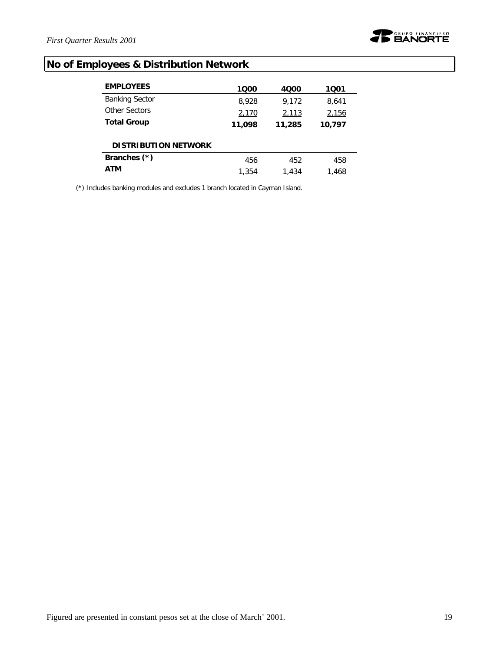

# **No of Employees & Distribution Network**

| <b>EMPLOYEES</b>            | 1000   | 4000   | 1001   |
|-----------------------------|--------|--------|--------|
| <b>Banking Sector</b>       | 8.928  | 9.172  | 8,641  |
| Other Sectors               | 2,170  | 2,113  | 2,156  |
| <b>Total Group</b>          | 11,098 | 11,285 | 10,797 |
| <b>DISTRIBUTION NETWORK</b> |        |        |        |
| Branches (*)                | 456    | 452    | 458    |
| ATM                         | 1,354  | 1.434  | 1.468  |

(\*) Includes banking modules and excludes 1 branch located in Cayman Island.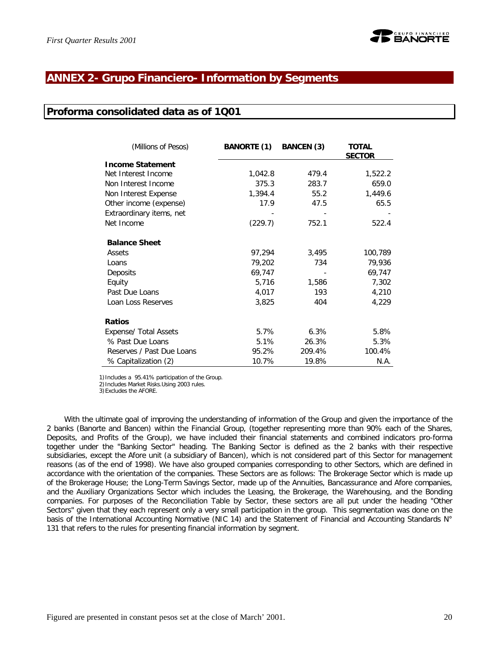

## **ANNEX 2- Grupo Financiero- Information by Segments**

#### **Proforma consolidated data as of 1Q01**

| (Millions of Pesos)       | BANORTE (1) | <b>BANCEN (3)</b> | TOTAL<br><b>SECTOR</b> |
|---------------------------|-------------|-------------------|------------------------|
| <b>Income Statement</b>   |             |                   |                        |
| Net Interest Income       | 1,042.8     | 479.4             | 1,522.2                |
| Non Interest Income       | 375.3       | 283.7             | 659.0                  |
| Non Interest Expense      | 1,394.4     | 55.2              | 1,449.6                |
| Other income (expense)    | 17.9        | 47.5              | 65.5                   |
| Extraordinary items, net  |             |                   |                        |
| Net Income                | (229.7)     | 752.1             | 522.4                  |
| <b>Balance Sheet</b>      |             |                   |                        |
| Assets                    | 97,294      | 3,495             | 100,789                |
| Loans                     | 79,202      | 734               | 79,936                 |
| Deposits                  | 69,747      |                   | 69,747                 |
| Equity                    | 5,716       | 1,586             | 7,302                  |
| Past Due Loans            | 4,017       | 193               | 4,210                  |
| Loan Loss Reserves        | 3,825       | 404               | 4,229                  |
| <b>Ratios</b>             |             |                   |                        |
| Expense/ Total Assets     | 5.7%        | 6.3%              | 5.8%                   |
| % Past Due Loans          | 5.1%        | 26.3%             | 5.3%                   |
| Reserves / Past Due Loans | 95.2%       | 209.4%            | 100.4%                 |
| % Capitalization (2)      | 10.7%       | 19.8%             | N.A.                   |

1)Includes a 95.41% participation of the Group.

2)Includes Market Risks.Using 2003 rules.

3)Excludes the AFORE.

With the ultimate goal of improving the understanding of information of the Group and given the importance of the 2 banks (Banorte and Bancen) within the Financial Group, (together representing more than 90% each of the Shares, Deposits, and Profits of the Group), we have included their financial statements and combined indicators pro-forma together under the "Banking Sector" heading. The Banking Sector is defined as the 2 banks with their respective subsidiaries, except the Afore unit (a subsidiary of Bancen), which is not considered part of this Sector for management reasons (as of the end of 1998). We have also grouped companies corresponding to other Sectors, which are defined in accordance with the orientation of the companies. These Sectors are as follows: The Brokerage Sector which is made up of the Brokerage House; the Long-Term Savings Sector, made up of the Annuities, Bancassurance and Afore companies, and the Auxiliary Organizations Sector which includes the Leasing, the Brokerage, the Warehousing, and the Bonding companies. For purposes of the Reconciliation Table by Sector, these sectors are all put under the heading "Other Sectors" given that they each represent only a very small participation in the group. This segmentation was done on the basis of the International Accounting Normative (NIC 14) and the Statement of Financial and Accounting Standards N° 131 that refers to the rules for presenting financial information by segment.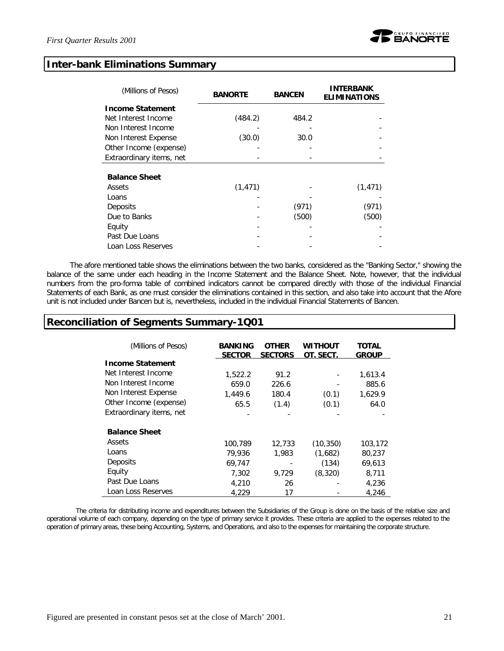

#### **Inter-bank Eliminations Summary**

| (Millions of Pesos)      | <b>BANORTE</b> | <b>BANCEN</b> | INTERBANK<br><b>ELIMINATIONS</b> |  |
|--------------------------|----------------|---------------|----------------------------------|--|
| <b>Income Statement</b>  |                |               |                                  |  |
| Net Interest Income      | (484.2)        | 484.2         |                                  |  |
| Non Interest Income      |                |               |                                  |  |
| Non Interest Expense     | (30.0)         | 30.0          |                                  |  |
| Other Income (expense)   |                |               |                                  |  |
| Extraordinary items, net |                |               |                                  |  |
|                          |                |               |                                  |  |
| <b>Balance Sheet</b>     |                |               |                                  |  |
| Assets                   | (1, 471)       |               | (1, 471)                         |  |
| Loans                    |                |               |                                  |  |
| Deposits                 |                | (971)         | (971)                            |  |
| Due to Banks             |                | (500)         | (500)                            |  |
| Equity                   |                |               |                                  |  |
| Past Due Loans           |                |               |                                  |  |
| Loan Loss Reserves       |                |               |                                  |  |

The afore mentioned table shows the eliminations between the two banks, considered as the "Banking Sector," showing the balance of the same under each heading in the Income Statement and the Balance Sheet. Note, however, that the individual numbers from the pro-forma table of combined indicators cannot be compared directly with those of the individual Financial Statements of each Bank, as one must consider the eliminations contained in this section, and also take into account that the Afore unit is not included under Bancen but *i*s, nevertheless, included in the individual Financial Statements of Bancen.

## **Reconciliation of Segments Summary-1Q01**

| (Millions of Pesos)      | <b>BANKING</b><br><b>SECTOR</b> | <b>OTHER</b><br><b>SECTORS</b> | WITHOUT<br>OT. SECT. | <b>TOTAL</b><br><b>GROUP</b> |
|--------------------------|---------------------------------|--------------------------------|----------------------|------------------------------|
| <b>Income Statement</b>  |                                 |                                |                      |                              |
| Net Interest Income      | 1,522.2                         | 91.2                           |                      | 1,613.4                      |
| Non Interest Income      | 659.0                           | 226.6                          |                      | 885.6                        |
| Non Interest Expense     | 1,449.6                         | 180.4                          | (0.1)                | 1,629.9                      |
| Other Income (expense)   | 65.5                            | (1.4)                          | (0.1)                | 64.0                         |
| Extraordinary items, net |                                 |                                |                      |                              |
| <b>Balance Sheet</b>     |                                 |                                |                      |                              |
| Assets                   | 100,789                         | 12,733                         | (10.350)             | 103,172                      |
| Loans                    | 79,936                          | 1,983                          | (1,682)              | 80,237                       |
| Deposits                 | 69,747                          |                                | (134)                | 69,613                       |
| Equity                   | 7,302                           | 9.729                          | (8, 320)             | 8,711                        |
| Past Due Loans           | 4,210                           | 26                             |                      | 4,236                        |
| Loan Loss Reserves       | 4.229                           | 17                             |                      | 4.246                        |

The criteria for distributing income and expenditures between the Subsidiaries of the Group is done on the basis of the relative size and operational volume of each company, depending on the type of primary service it provides. These criteria are applied to the expenses related to the operation of primary areas, these being Accounting, Systems, and Operations, and also to the expenses for maintaining the corporate structure.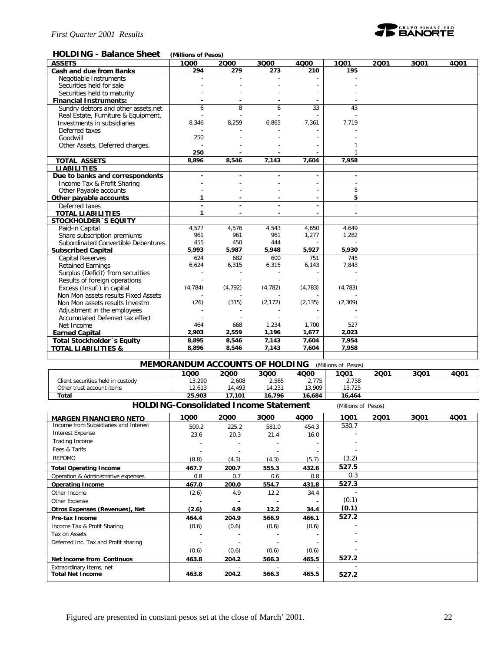

#### **HOLDING - Balance Sheet** *(Millions of Pesos)*

| <b>ASSETS</b>                       | 1000     | 2000     | 3000                     | 4000                     | 1001     | 2001 | 3001 | 4001 |
|-------------------------------------|----------|----------|--------------------------|--------------------------|----------|------|------|------|
| Cash and due from Banks             | 294      | 279      | 273                      | 210                      | 195      |      |      |      |
| Negotiable Instruments              |          |          |                          |                          |          |      |      |      |
| Securities held for sale            |          |          |                          |                          |          |      |      |      |
| Securities held to maturity         |          |          |                          |                          |          |      |      |      |
| <b>Financial Instruments:</b>       |          |          |                          |                          |          |      |      |      |
| Sundry debtors and other assets.net | 6        | 8        | 6                        | 33                       | 43       |      |      |      |
| Real Estate, Furniture & Equipment, |          |          |                          | $\overline{\phantom{a}}$ |          |      |      |      |
| Investments in subsidiaries         | 8,346    | 8,259    | 6,865                    | 7,361                    | 7,719    |      |      |      |
| Deferred taxes                      |          |          |                          |                          |          |      |      |      |
| Goodwill                            | 250      |          |                          |                          |          |      |      |      |
| Other Assets, Deferred charges,     |          |          |                          |                          |          |      |      |      |
|                                     | 250      |          |                          |                          |          |      |      |      |
| <b>TOTAL ASSETS</b>                 | 8,896    | 8,546    | 7,143                    | 7,604                    | 7,958    |      |      |      |
| <b>LIABILITIES</b>                  |          |          |                          |                          |          |      |      |      |
| Due to banks and correspondents     |          |          | $\overline{\phantom{a}}$ |                          |          |      |      |      |
| Income Tax & Profit Sharing         |          |          |                          |                          |          |      |      |      |
| Other Payable accounts              |          |          |                          |                          | 5        |      |      |      |
| Other payable accounts              | 1        |          |                          |                          | 5        |      |      |      |
| Deferred taxes                      |          |          | ٠                        |                          | $\sim$   |      |      |      |
| <b>TOTAL LIABILITIES</b>            | 1        |          |                          |                          |          |      |      |      |
| <b>STOCKHOLDER 'S EQUITY</b>        |          |          |                          |                          |          |      |      |      |
| Paid-in Capital                     | 4,577    | 4,576    | 4,543                    | 4,650                    | 4.649    |      |      |      |
| Share subscription premiums         | 961      | 961      | 961                      | 1,277                    | 1,282    |      |      |      |
| Subordinated Convertible Debentures | 455      | 450      | 444                      | $\sim$                   |          |      |      |      |
| <b>Subscribed Capital</b>           | 5,993    | 5,987    | 5,948                    | 5,927                    | 5,930    |      |      |      |
| <b>Capital Reserves</b>             | 624      | 682      | 600                      | 751                      | 745      |      |      |      |
| <b>Retained Earnings</b>            | 6,624    | 6,315    | 6,315                    | 6,143                    | 7,843    |      |      |      |
| Surplus (Deficit) from securities   |          |          |                          |                          |          |      |      |      |
| Results of foreign operations       |          |          |                          |                          |          |      |      |      |
| Excess (Insuf.) in capital          | (4, 784) | (4, 792) | (4, 782)                 | (4, 783)                 | (4, 783) |      |      |      |
| Non Mon assets results Fixed Assets |          |          |                          |                          |          |      |      |      |
| Non Mon assets results Investm      | (26)     | (315)    | (2, 172)                 | (2, 135)                 | (2,309)  |      |      |      |
| Adjustment in the employees         |          |          |                          |                          |          |      |      |      |
| Accumulated Deferred tax effect     |          |          |                          |                          |          |      |      |      |
| Net Income                          | 464      | 668      | 1,234                    | 1,700                    | 527      |      |      |      |
| <b>Earned Capital</b>               | 2,903    | 2,559    | 1,196                    | 1,677                    | 2,023    |      |      |      |
| Total Stockholder's Equity          | 8,895    | 8,546    | 7,143                    | 7,604                    | 7,954    |      |      |      |
| <b>TOTAL LIABILITIES &amp;</b>      | 8.896    | 8,546    | 7,143                    | 7.604                    | 7,958    |      |      |      |
|                                     |          |          |                          |                          |          |      |      |      |

| <b>MEMORANDUM ACCOUNTS OF HOLDING</b> (Millions of Pesos) |  |  |  |
|-----------------------------------------------------------|--|--|--|
|-----------------------------------------------------------|--|--|--|

|                                                                             | 1000   | 2000   | 3Q00   | 4000   | 1001   | 2001 | 3001 | 4Q01 |
|-----------------------------------------------------------------------------|--------|--------|--------|--------|--------|------|------|------|
| Client securities held in custody                                           | 13,290 | 2,608  | 2,565  | 2.775  | 2.738  |      |      |      |
| Other trust account items                                                   | 12.613 | 4.493  | 14.231 | 13.909 | 13.725 |      |      |      |
| Total                                                                       | 25,903 | 17.101 | 16.796 | 16.684 | 16,464 |      |      |      |
| <b>IDO DINC Concolidated Income Ctatement</b><br>$\lambda$<br>$\sim$ $\sim$ |        |        |        |        |        |      |      |      |

|                                       | <b>HOLDING-Consolidated Income Statement</b><br>(Millions of Pesos) |       |       |       |       |      |      |      |  |
|---------------------------------------|---------------------------------------------------------------------|-------|-------|-------|-------|------|------|------|--|
| <b>MARGEN FINANCIERO NETO</b>         | 1Q00                                                                | 2000  | 3Q00  | 4000  | 1001  | 2001 | 3Q01 | 4Q01 |  |
| Income from Subsidiaries and Interest | 500.2                                                               | 225.2 | 581.0 | 454.3 | 530.7 |      |      |      |  |
| <b>Interest Expense</b>               | 23.6                                                                | 20.3  | 21.4  | 16.0  |       |      |      |      |  |
| Trading Income                        |                                                                     |       |       |       |       |      |      |      |  |
| Fees & Tarifs                         | $\overline{\phantom{a}}$                                            |       |       |       |       |      |      |      |  |
| <b>REPOMO</b>                         | (8.8)                                                               | (4.3) | (4.3) | (5.7) | (3.2) |      |      |      |  |
| <b>Total Operating Income</b>         | 467.7                                                               | 200.7 | 555.3 | 432.6 | 527.5 |      |      |      |  |
| Operation & Administrative expenses   | 0.8                                                                 | 0.7   | 0.6   | 0.8   | 0.3   |      |      |      |  |
| <b>Operating Income</b>               | 467.0                                                               | 200.0 | 554.7 | 431.8 | 527.3 |      |      |      |  |
| Other Income                          | (2.6)                                                               | 4.9   | 12.2  | 34.4  |       |      |      |      |  |
| Other Expense                         |                                                                     |       |       |       | (0.1) |      |      |      |  |
| Otros Expenses (Revenues), Net        | (2.6)                                                               | 4.9   | 12.2  | 34.4  | (0.1) |      |      |      |  |
| Pre-tax Income                        | 464.4                                                               | 204.9 | 566.9 | 466.1 | 527.2 |      |      |      |  |
| Income Tax & Profit Sharing           | (0.6)                                                               | (0.6) | (0.6) | (0.6) |       |      |      |      |  |
| Tax on Assets                         |                                                                     |       |       |       |       |      |      |      |  |
| Deferred Inc. Tax and Profit sharing  |                                                                     |       |       |       |       |      |      |      |  |
|                                       | (0.6)                                                               | (0.6) | (0.6) | (0.6) |       |      |      |      |  |
| Net income from Continuos             | 463.8                                                               | 204.2 | 566.3 | 465.5 | 527.2 |      |      |      |  |
| Extraordinary Items, net              |                                                                     |       |       |       |       |      |      |      |  |
| <b>Total Net Income</b>               | 463.8                                                               | 204.2 | 566.3 | 465.5 | 527.2 |      |      |      |  |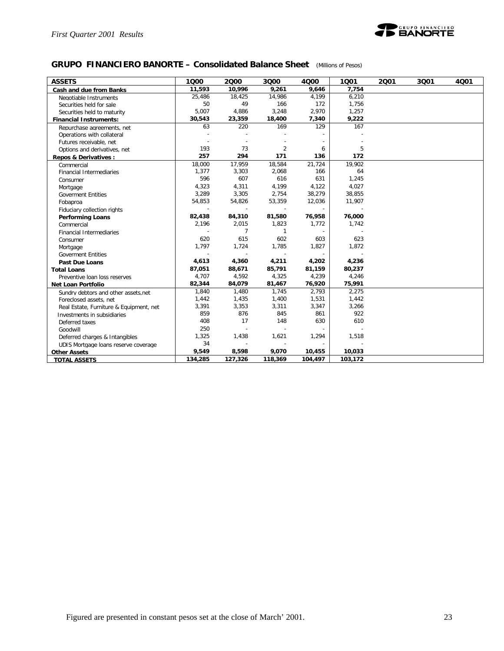

#### **GRUPO FINANCIERO BANORTE – Consolidated Balance Sheet** *(Millions of Pesos)*

| <b>ASSETS</b>                           | 1000    | 2000                     | 3000                     | 4000                     | 1001    | 2001 | 3Q01 | 4Q01 |
|-----------------------------------------|---------|--------------------------|--------------------------|--------------------------|---------|------|------|------|
| Cash and due from Banks                 | 11,593  | 10,996                   | 9,261                    | 9,646                    | 7,754   |      |      |      |
| Negotiable Instruments                  | 25,486  | 18,425                   | 14.986                   | 4.199                    | 6,210   |      |      |      |
| Securities held for sale                | 50      | 49                       | 166                      | 172                      | 1,756   |      |      |      |
| Securities held to maturity             | 5,007   | 4,886                    | 3,248                    | 2,970                    | 1,257   |      |      |      |
| <b>Financial Instruments:</b>           | 30,543  | 23,359                   | 18,400                   | 7,340                    | 9,222   |      |      |      |
| Repurchase agreements, net              | 63      | 220                      | 169                      | 129                      | 167     |      |      |      |
| Operations with collateral              |         |                          |                          |                          |         |      |      |      |
| Futures receivable, net                 |         |                          |                          |                          |         |      |      |      |
| Options and derivatives, net            | 193     | 73                       | $\overline{2}$           | 6                        | 5       |      |      |      |
| <b>Repos &amp; Derivatives:</b>         | 257     | 294                      | 171                      | 136                      | 172     |      |      |      |
| Commercial                              | 18,000  | 17,959                   | 18,584                   | 21,724                   | 19,902  |      |      |      |
| <b>Financial Intermediaries</b>         | 1,377   | 3,303                    | 2,068                    | 166                      | 64      |      |      |      |
| Consumer                                | 596     | 607                      | 616                      | 631                      | 1,245   |      |      |      |
| Mortgage                                | 4,323   | 4,311                    | 4,199                    | 4,122                    | 4,027   |      |      |      |
| <b>Goverment Entities</b>               | 3,289   | 3,305                    | 2,754                    | 38,279                   | 38,855  |      |      |      |
| Fobaproa                                | 54,853  | 54,826                   | 53,359                   | 12,036                   | 11,907  |      |      |      |
| Fiduciary collection rights             |         |                          |                          |                          |         |      |      |      |
| <b>Performing Loans</b>                 | 82,438  | 84,310                   | 81,580                   | 76,958                   | 76,000  |      |      |      |
| Commercial                              | 2,196   | 2,015                    | 1,823                    | 1,772                    | 1,742   |      |      |      |
| <b>Financial Intermediaries</b>         |         | 7                        | $\mathbf{1}$             |                          |         |      |      |      |
| Consumer                                | 620     | 615                      | 602                      | 603                      | 623     |      |      |      |
| Mortgage                                | 1,797   | 1,724                    | 1,785                    | 1,827                    | 1,872   |      |      |      |
| <b>Goverment Entities</b>               | ÷,      | $\overline{\phantom{a}}$ | $\overline{\phantom{a}}$ | $\overline{\phantom{a}}$ |         |      |      |      |
| <b>Past Due Loans</b>                   | 4,613   | 4,360                    | 4,211                    | 4,202                    | 4,236   |      |      |      |
| <b>Total Loans</b>                      | 87,051  | 88,671                   | 85,791                   | 81,159                   | 80,237  |      |      |      |
| Preventive loan loss reserves           | 4,707   | 4,592                    | 4,325                    | 4,239                    | 4,246   |      |      |      |
| Net Loan Portfolio                      | 82,344  | 84,079                   | 81,467                   | 76,920                   | 75,991  |      |      |      |
| Sundry debtors and other assets, net    | 1,840   | 1,480                    | 1,745                    | 2,793                    | 2,275   |      |      |      |
| Foreclosed assets, net                  | 1,442   | 1,435                    | 1,400                    | 1,531                    | 1,442   |      |      |      |
| Real Estate, Furniture & Equipment, net | 3,391   | 3,353                    | 3,311                    | 3,347                    | 3,266   |      |      |      |
| Investments in subsidiaries             | 859     | 876                      | 845                      | 861                      | 922     |      |      |      |
| Deferred taxes                          | 408     | 17                       | 148                      | 630                      | 610     |      |      |      |
| Goodwill                                | 250     | $\overline{a}$           | $\overline{a}$           |                          |         |      |      |      |
| Deferred charges & Intangibles          | 1,325   | 1,438                    | 1,621                    | 1,294                    | 1,518   |      |      |      |
| UDIS Mortgage loans reserve coverage    | 34      |                          | $\overline{\phantom{a}}$ |                          |         |      |      |      |
| <b>Other Assets</b>                     | 9,549   | 8,598                    | 9,070                    | 10,455                   | 10,033  |      |      |      |
| <b>TOTAL ASSETS</b>                     | 134,285 | 127,326                  | 118,369                  | 104,497                  | 103,172 |      |      |      |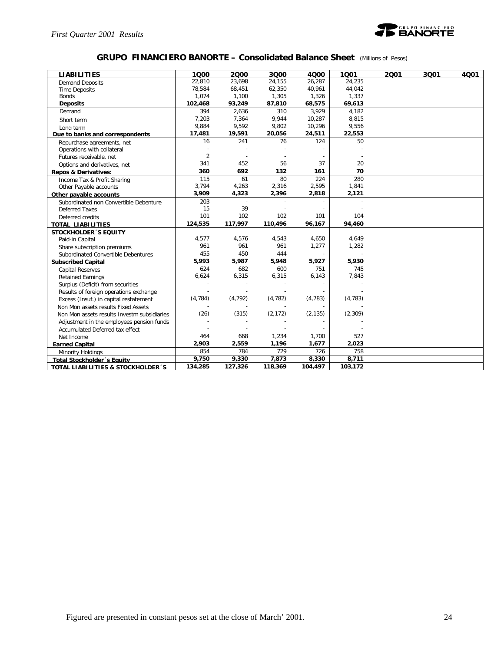

#### **GRUPO FINANCIERO BANORTE – Consolidated Balance Sheet** *(Millions of Pesos)*

| <b>LIABILITIES</b>                          | 1000           | 2000     | 3000     | 4000     | 1001     | 2001 | 3Q01 | 4001 |
|---------------------------------------------|----------------|----------|----------|----------|----------|------|------|------|
| <b>Demand Deposits</b>                      | 22,810         | 23,698   | 24,155   | 26,287   | 24,235   |      |      |      |
| <b>Time Deposits</b>                        | 78,584         | 68,451   | 62,350   | 40,961   | 44,042   |      |      |      |
| <b>Bonds</b>                                | 1,074          | 1,100    | 1,305    | 1,326    | 1,337    |      |      |      |
| <b>Deposits</b>                             | 102,468        | 93,249   | 87,810   | 68,575   | 69,613   |      |      |      |
| Demand                                      | 394            | 2,636    | 310      | 3.929    | 4.182    |      |      |      |
| Short term                                  | 7,203          | 7,364    | 9,944    | 10,287   | 8,815    |      |      |      |
| Long term                                   | 9,884          | 9,592    | 9,802    | 10,296   | 9,556    |      |      |      |
| Due to banks and correspondents             | 17,481         | 19,591   | 20,056   | 24,511   | 22,553   |      |      |      |
| Repurchase agreements, net                  | 16             | 241      | 76       | 124      | 50       |      |      |      |
| Operations with collateral                  |                |          |          |          |          |      |      |      |
| Futures receivable, net                     | $\overline{2}$ |          |          |          |          |      |      |      |
| Options and derivatives, net                | 341            | 452      | 56       | 37       | 20       |      |      |      |
| <b>Repos &amp; Derivatives:</b>             | 360            | 692      | 132      | 161      | 70       |      |      |      |
| Income Tax & Profit Sharing                 | 115            | 61       | 80       | 224      | 280      |      |      |      |
| Other Payable accounts                      | 3,794          | 4,263    | 2,316    | 2,595    | 1,841    |      |      |      |
| Other payable accounts                      | 3,909          | 4,323    | 2,396    | 2,818    | 2,121    |      |      |      |
| Subordinated non Convertible Debenture      | 203            |          |          |          |          |      |      |      |
| <b>Deferred Taxes</b>                       | 15             | 39       |          |          |          |      |      |      |
| Deferred credits                            | 101            | 102      | 102      | 101      | 104      |      |      |      |
| <b>TOTAL LIABILITIES</b>                    | 124,535        | 117,997  | 110,496  | 96,167   | 94,460   |      |      |      |
| <b>STOCKHOLDER 'S EQUITY</b>                |                |          |          |          |          |      |      |      |
| Paid-in Capital                             | 4,577          | 4,576    | 4,543    | 4,650    | 4,649    |      |      |      |
|                                             | 961            | 961      | 961      | 1,277    | 1,282    |      |      |      |
| Share subscription premiums                 | 455            | 450      | 444      |          |          |      |      |      |
| Subordinated Convertible Debentures         | 5,993          | 5,987    | 5,948    | 5,927    | 5,930    |      |      |      |
| <b>Subscribed Capital</b>                   | 624            | 682      | 600      | 751      | 745      |      |      |      |
| <b>Capital Reserves</b>                     | 6,624          | 6,315    | 6,315    |          |          |      |      |      |
| <b>Retained Earnings</b>                    |                |          |          | 6,143    | 7,843    |      |      |      |
| Surplus (Deficit) from securities           |                |          |          |          |          |      |      |      |
| Results of foreign operations exchange      |                |          |          |          |          |      |      |      |
| Excess (Insuf.) in capital restatement      | (4, 784)       | (4, 792) | (4, 782) | (4, 783) | (4, 783) |      |      |      |
| Non Mon assets results Fixed Assets         |                |          |          |          |          |      |      |      |
| Non Mon assets results Investm subsidiaries | (26)           | (315)    | (2, 172) | (2, 135) | (2,309)  |      |      |      |
| Adjustment in the employees pension funds   |                |          |          |          |          |      |      |      |
| Accumulated Deferred tax effect             |                |          |          |          |          |      |      |      |
| Net Income                                  | 464            | 668      | 1,234    | 1,700    | 527      |      |      |      |
| <b>Earned Capital</b>                       | 2,903          | 2,559    | 1,196    | 1,677    | 2,023    |      |      |      |
| Minority Holdings                           | 854            | 784      | 729      | 726      | 758      |      |      |      |
| <b>Total Stockholder</b> 's Equity          | 9,750          | 9,330    | 7,873    | 8,330    | 8,711    |      |      |      |
| TOTAL LIABILITIES & STOCKHOLDER 'S          | 134,285        | 127,326  | 118,369  | 104,497  | 103,172  |      |      |      |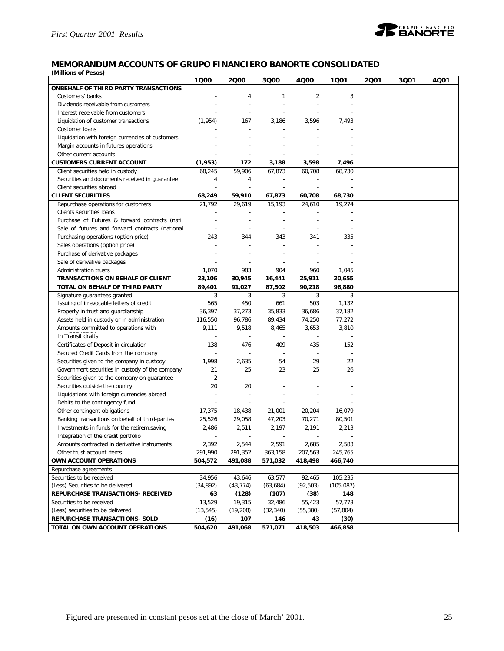

## **MEMORANDUM ACCOUNTS OF GRUPO FINANCIERO BANORTE CONSOLIDATED**

*(Millions of Pesos)*

|                                                  | 1000                     | 2000                     | 3Q00                     | 4Q00      | 1001           | 2001 | 3Q01 | 4Q01 |
|--------------------------------------------------|--------------------------|--------------------------|--------------------------|-----------|----------------|------|------|------|
| ONBEHALF OF THIRD PARTY TRANSACTIONS             |                          |                          |                          |           |                |      |      |      |
| Customers' banks                                 |                          | 4                        | 1                        | 2         | 3              |      |      |      |
| Dividends receivable from customers              |                          |                          |                          |           |                |      |      |      |
| Interest receivable from customers               |                          |                          |                          |           |                |      |      |      |
| Liquidation of customer transactions             | (1, 954)                 | 167                      | 3,186                    | 3,596     | 7,493          |      |      |      |
| Customer Ioans                                   |                          |                          |                          |           |                |      |      |      |
| Liquidation with foreign currencies of customers |                          |                          |                          |           |                |      |      |      |
| Margin accounts in futures operations            |                          |                          |                          |           |                |      |      |      |
| Other current accounts                           |                          |                          |                          |           |                |      |      |      |
| <b>CUSTOMERS CURRENT ACCOUNT</b>                 | (1,953)                  | 172                      | 3,188                    | 3,598     | 7,496          |      |      |      |
| Client securities held in custody                | 68,245                   | 59.906                   | 67,873                   | 60,708    | 68.730         |      |      |      |
| Securities and documents received in quarantee   | 4                        | 4                        |                          |           |                |      |      |      |
| Client securities abroad                         |                          |                          | $\overline{\phantom{a}}$ |           |                |      |      |      |
| <b>CLIENT SECURITIES</b>                         | 68,249                   | 59,910                   | 67,873                   | 60,708    | 68,730         |      |      |      |
| Repurchase operations for customers              | 21,792                   | 29,619                   | 15,193                   | 24,610    | 19,274         |      |      |      |
| Clients securities loans                         |                          |                          |                          |           |                |      |      |      |
| Purchase of Futures & forward contracts (nati.   | $\overline{a}$           | $\overline{\phantom{a}}$ | $\overline{\phantom{a}}$ |           |                |      |      |      |
| Sale of futures and forward contracts (national  |                          |                          | ÷,                       |           |                |      |      |      |
| Purchasing operations (option price)             | 243                      | 344                      | 343                      | 341       | 335            |      |      |      |
| Sales operations (option price)                  |                          |                          |                          |           |                |      |      |      |
| Purchase of derivative packages                  |                          |                          |                          |           |                |      |      |      |
| Sale of derivative packages                      |                          |                          |                          |           |                |      |      |      |
| Administration trusts                            | 1,070                    | 983                      | 904                      | 960       | 1,045          |      |      |      |
| TRANSACTIONS ON BEHALF OF CLIENT                 | 23,106                   | 30,945                   | 16,441                   | 25,911    | 20,655         |      |      |      |
| TOTAL ON BEHALF OF THIRD PARTY                   | 89,401                   | 91,027                   | 87,502                   | 90,218    | 96,880         |      |      |      |
| Signature guarantees granted                     | 3                        | 3                        | 3                        | 3         | 3              |      |      |      |
| Issuing of irrevocable letters of credit         | 565                      | 450                      | 661                      | 503       | 1,132          |      |      |      |
| Property in trust and guardianship               | 36,397                   | 37,273                   | 35,833                   | 36,686    | 37,182         |      |      |      |
| Assets held in custody or in administration      | 116,550                  | 96,786                   | 89,434                   | 74,250    | 77,272         |      |      |      |
| Amounts committed to operations with             | 9,111                    | 9,518                    | 8,465                    | 3,653     | 3,810          |      |      |      |
| In Transit drafts                                |                          | $\overline{a}$           | $\overline{a}$           |           |                |      |      |      |
| Certificates of Deposit in circulation           | 138                      | 476                      | 409                      | 435       | 152            |      |      |      |
| Secured Credit Cards from the company            | $\overline{\phantom{a}}$ | ÷                        | ÷                        |           | $\overline{a}$ |      |      |      |
|                                                  | 1,998                    | 2,635                    | 54                       | 29        | 22             |      |      |      |
| Securities given to the company in custody       | 21                       | 25                       | 23                       | 25        | 26             |      |      |      |
| Government securities in custody of the company  | 2                        |                          | $\overline{a}$           |           |                |      |      |      |
| Securities given to the company on guarantee     | 20                       | 20                       |                          |           |                |      |      |      |
| Securities outside the country                   |                          |                          | ÷,                       |           |                |      |      |      |
| Liquidations with foreign currencies abroad      | $\overline{\phantom{a}}$ | $\overline{\phantom{a}}$ |                          |           |                |      |      |      |
| Debits to the contingency fund                   |                          |                          | $\overline{a}$           |           |                |      |      |      |
| Other contingent obligations                     | 17,375                   | 18,438                   | 21,001                   | 20,204    | 16,079         |      |      |      |
| Banking transactions on behalf of third-parties  | 25,526                   | 29,058                   | 47,203                   | 70,271    | 80,501         |      |      |      |
| Investments in funds for the retirem.saving      | 2,486                    | 2,511                    | 2,197                    | 2,191     | 2,213          |      |      |      |
| Integration of the credit portfolio              |                          |                          |                          |           |                |      |      |      |
| Amounts contracted in derivative instruments     | 2,392                    | 2,544                    | 2,591                    | 2,685     | 2,583          |      |      |      |
| Other trust account items                        | 291,990                  | 291,352                  | 363,158                  | 207,563   | 245,765        |      |      |      |
| OWN ACCOUNT OPERATIONS                           | 504,572                  | 491,088                  | 571,032                  | 418,498   | 466,740        |      |      |      |
| Repurchase agreements                            |                          |                          |                          |           |                |      |      |      |
| Securities to be received                        | 34,956                   | 43,646                   | 63,577                   | 92,465    | 105,235        |      |      |      |
| (Less) Securities to be delivered                | (34, 892)                | (43, 774)                | (63, 684)                | (92, 503) | (105, 087)     |      |      |      |
| REPURCHASE TRANSACTIONS- RECEIVED                | 63                       | (128)                    | (107)                    | (38)      | 148            |      |      |      |
| Securities to be received                        | 13,529                   | 19,315                   | 32,486                   | 55,423    | 57,773         |      |      |      |
| (Less) securities to be delivered                | (13, 545)                | (19, 208)                | (32, 340)                | (55, 380) | (57, 804)      |      |      |      |
| REPURCHASE TRANSACTIONS- SOLD                    | (16)                     | 107                      | 146                      | 43        | (30)           |      |      |      |
| TOTAL ON OWN ACCOUNT OPERATIONS                  | 504,620                  | 491,068                  | 571,071                  | 418,503   | 466,858        |      |      |      |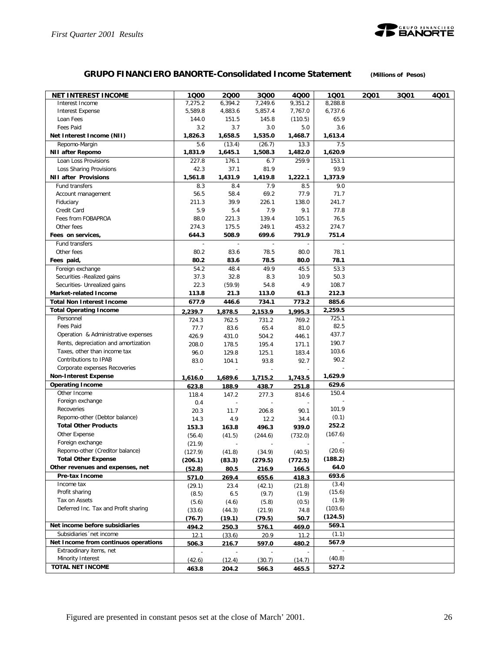

#### **GRUPO FINANCIERO BANORTE-Consolidated Income Statement** *(Millions of Pesos)*

| <b>NET INTEREST INCOME</b>              | 1Q00    | 2000          | 3Q00           | 4000    | 1Q01              | 2001 | 3Q01 | 4Q01 |
|-----------------------------------------|---------|---------------|----------------|---------|-------------------|------|------|------|
| Interest Income                         | 7,275.2 | 6,394.2       | 7,249.6        | 9,351.2 | 8,288.8           |      |      |      |
| <b>Interest Expense</b>                 | 5,589.8 | 4,883.6       | 5,857.4        | 7,767.0 | 6,737.6           |      |      |      |
| Loan Fees                               | 144.0   | 151.5         | 145.8          | (110.5) | 65.9              |      |      |      |
| Fees Paid                               | 3.2     | 3.7           | 3.0            | 5.0     | 3.6               |      |      |      |
| Net Interest Income (NII)               | 1,826.3 | 1,658.5       | 1,535.0        | 1,468.7 | 1,613.4           |      |      |      |
| Repomo-Margin                           | 5.6     | (13.4)        | (26.7)         | 13.3    | 7.5               |      |      |      |
| <b>NII after Repomo</b>                 | 1,831.9 | 1,645.1       | 1,508.3        | 1,482.0 | 1,620.9           |      |      |      |
| Loan Loss Provisions                    | 227.8   | 176.1         | 6.7            | 259.9   | 153.1             |      |      |      |
| Loss Sharing Provisions                 | 42.3    | 37.1          | 81.9           |         | 93.9              |      |      |      |
| <b>NII after Provisions</b>             | 1,561.8 | 1,431.9       | 1,419.8        | 1,222.1 | 1,373.9           |      |      |      |
| Fund transfers                          | 8.3     | 8.4           | 7.9            | 8.5     | 9.0               |      |      |      |
| Account management                      | 56.5    | 58.4          | 69.2           | 77.9    | 71.7              |      |      |      |
| Fiduciary                               | 211.3   | 39.9          | 226.1          | 138.0   | 241.7             |      |      |      |
| Credit Card                             | 5.9     | 5.4           | 7.9            | 9.1     | 77.8              |      |      |      |
| Fees from FOBAPROA                      | 88.0    | 221.3         | 139.4          | 105.1   | 76.5              |      |      |      |
| Other fees                              | 274.3   | 175.5         | 249.1          | 453.2   | 274.7             |      |      |      |
| Fees on services,                       | 644.3   | 508.9         | 699.6          | 791.9   | 751.4             |      |      |      |
| Fund transfers                          |         |               | $\overline{a}$ |         |                   |      |      |      |
| Other fees                              | 80.2    | 83.6          | 78.5           | 80.0    | 78.1              |      |      |      |
| Fees paid,                              | 80.2    | 83.6          | 78.5           | 80.0    | 78.1              |      |      |      |
| Foreign exchange                        | 54.2    | 48.4          | 49.9           | 45.5    | 53.3              |      |      |      |
| Securities - Realized gains             | 37.3    | 32.8          | 8.3            | 10.9    | 50.3              |      |      |      |
| Securities- Unrealized gains            | 22.3    | (59.9)        | 54.8           | 4.9     | 108.7             |      |      |      |
| <b>Market-related Income</b>            | 113.8   | 21.3          | 113.0          | 61.3    | 212.3             |      |      |      |
| <b>Total Non Interest Income</b>        | 677.9   | 446.6         | 734.1          | 773.2   | 885.6             |      |      |      |
| <b>Total Operating Income</b>           |         |               |                |         | 2,259.5           |      |      |      |
| Personnel                               | 2,239.7 | 1,878.5       | 2,153.9        | 1,995.3 | 725.1             |      |      |      |
| <b>Fees Paid</b>                        | 724.3   | 762.5         | 731.2          | 769.2   | 82.5              |      |      |      |
| Operation & Administrative expenses     | 77.7    | 83.6          | 65.4           | 81.0    | 437.7             |      |      |      |
| Rents, depreciation and amortization    | 426.9   | 431.0         | 504.2          | 446.1   | 190.7             |      |      |      |
| Taxes, other than income tax            | 208.0   | 178.5         | 195.4          | 171.1   | 103.6             |      |      |      |
| Contributions to IPAB                   | 96.0    | 129.8         | 125.1          | 183.4   | 90.2              |      |      |      |
| Corporate expenses Recoveries           | 83.0    | 104.1         | 93.8           | 92.7    |                   |      |      |      |
| <b>Non-Interest Expense</b>             |         |               |                |         | 1,629.9           |      |      |      |
|                                         | 1,616.0 | 1,689.6       | 1,715.2        | 1,743.5 | 629.6             |      |      |      |
| <b>Operating Income</b><br>Other Income | 623.8   | 188.9         | 438.7          | 251.8   | 150.4             |      |      |      |
| Foreign exchange                        | 118.4   | 147.2         | 277.3          | 814.6   |                   |      |      |      |
| Recoveries                              | 0.4     |               |                |         | 101.9             |      |      |      |
| Repomo-other (Debtor balance)           | 20.3    | 11.7          | 206.8          | 90.1    | (0.1)             |      |      |      |
| <b>Total Other Products</b>             | 14.3    | 4.9           | 12.2           | 34.4    | 252.2             |      |      |      |
| Other Expense                           | 153.3   | 163.8         | 496.3          | 939.0   |                   |      |      |      |
| Foreign exchange                        | (56.4)  | (41.5)        | (244.6)        | (732.0) | (167.6)           |      |      |      |
| Repomo-other (Creditor balance)         | (21.9)  |               |                |         |                   |      |      |      |
| <b>Total Other Expense</b>              | (127.9) | (41.8)        | (34.9)         | (40.5)  | (20.6)<br>(188.2) |      |      |      |
| Other revenues and expenses, net        | (206.1) | (83.3)        | (279.5)        | (772.5) | 64.0              |      |      |      |
| Pre-tax Income                          | (52.8)  | 80.5          | 216.9          | 166.5   | 693.6             |      |      |      |
|                                         | 571.0   | 269.4         | 655.6          | 418.3   |                   |      |      |      |
| Income tax<br>Profit sharing            | (29.1)  | 23.4          | (42.1)         | (21.8)  | (3.4)<br>(15.6)   |      |      |      |
| Tax on Assets                           | (8.5)   | 6.5           | (9.7)          | (1.9)   | (1.9)             |      |      |      |
| Deferred Inc. Tax and Profit sharing    | (5.6)   | (4.6)         | (5.8)          | (0.5)   |                   |      |      |      |
|                                         | (33.6)  | (44.3)        | (21.9)         | 74.8    | (103.6)           |      |      |      |
|                                         | (76.7)  | (19.1)        | (79.5)         | 50.7    | (124.5)           |      |      |      |
| Net income before subsidiaries          | 494.2   | 250.3         | 576.1          | 469.0   | 569.1             |      |      |      |
| Subsidiaries 'net income                | 12.1    | (33.6)        | 20.9           | 11.2    | (1.1)             |      |      |      |
| Net Income from continuos operations    | 506.3   | <u> 216.7</u> | 597.0          | 480.2   | 567.9             |      |      |      |
| Extraodinary items, net                 |         |               |                |         |                   |      |      |      |
| Minority Interest                       | (42.6)  | (12.4)        | (30.7)         | (14.7)  | (40.8)            |      |      |      |
| TOTAL NET INCOME                        | 463.8   | 204.2         | 566.3          | 465.5   | 527.2             |      |      |      |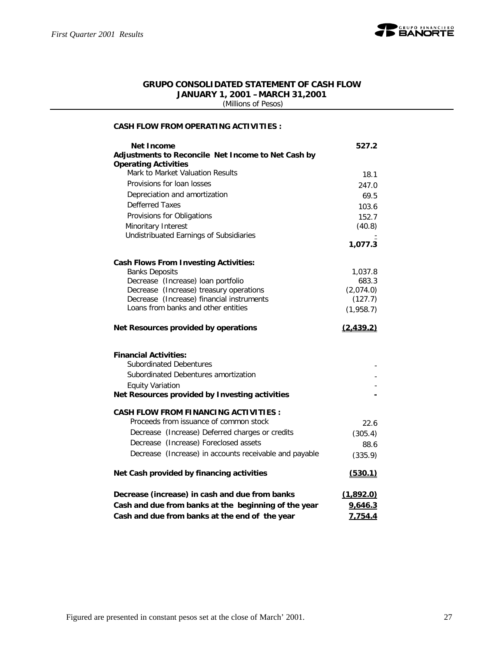

#### **GRUPO CONSOLIDATED STATEMENT OF CASH FLOW JANUARY 1, 2001 –MARCH 31,2001**

 *(Millions of Pesos)*

#### **CASH FLOW FROM OPERATING ACTIVITIES :**

| Net Income                                                                           | 527.2                |
|--------------------------------------------------------------------------------------|----------------------|
| Adjustments to Reconcile Net Income to Net Cash by<br><b>Operating Activities</b>    |                      |
| Mark to Market Valuation Results                                                     | 18.1                 |
| Provisions for loan losses                                                           | 247.0                |
| Depreciation and amortization                                                        | 69.5                 |
| <b>Defferred Taxes</b>                                                               | 103.6                |
| Provisions for Obligations                                                           | 152.7                |
| Minoritary Interest                                                                  | (40.8)               |
| Undistribuated Earnings of Subsidiaries                                              |                      |
|                                                                                      | 1,077.3              |
| <b>Cash Flows From Investing Activities:</b>                                         |                      |
| <b>Banks Deposits</b>                                                                | 1,037.8              |
| Decrease (Increase) loan portfolio                                                   | 683.3                |
| Decrease (Increase) treasury operations<br>Decrease (Increase) financial instruments | (2,074.0)<br>(127.7) |
| Loans from banks and other entities                                                  | (1,958.7)            |
|                                                                                      |                      |
| Net Resources provided by operations                                                 | (2.439.2)            |
|                                                                                      |                      |
| <b>Financial Activities:</b>                                                         |                      |
| Subordinated Debentures                                                              |                      |
| Subordinated Debentures amortization                                                 |                      |
| <b>Equity Variation</b><br>Net Resources provided by Investing activities            |                      |
|                                                                                      |                      |
| <b>CASH FLOW FROM FINANCING ACTIVITIES:</b>                                          |                      |
| Proceeds from issuance of common stock                                               | 22.6                 |
| Decrease (Increase) Deferred charges or credits                                      | (305.4)              |
| Decrease (Increase) Foreclosed assets                                                | 88.6                 |
| Decrease (Increase) in accounts receivable and payable                               | (335.9)              |
| Net Cash provided by financing activities                                            | (530.1)              |
| Decrease (increase) in cash and due from banks                                       | (1,892.0)            |
|                                                                                      |                      |
| Cash and due from banks at the beginning of the year                                 | 9,646.3              |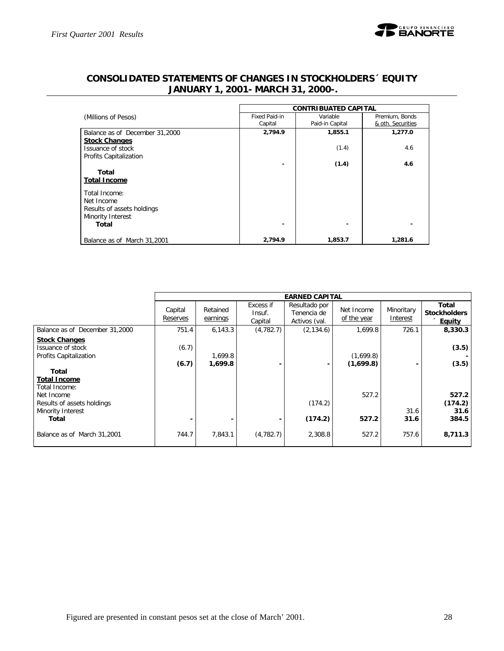

|                                |               | <b>CONTRIBUATED CAPITAL</b> |                   |
|--------------------------------|---------------|-----------------------------|-------------------|
| (Millions of Pesos)            | Fixed Paid-in | Variable                    | Premium, Bonds    |
|                                | Capital       | Paid-in Capital             | & oth. Securities |
| Balance as of December 31,2000 | 2,794.9       | 1,855.1                     | 1,277.0           |
| <b>Stock Changes</b>           |               |                             |                   |
| Issuance of stock              |               | (1.4)                       | 4.6               |
| Profits Capitalization         |               |                             |                   |
|                                |               | (1.4)                       | 4.6               |
| Total                          |               |                             |                   |
| <b>Total Income</b>            |               |                             |                   |
| Total Income:                  |               |                             |                   |
| Net Income                     |               |                             |                   |
| Results of assets holdings     |               |                             |                   |
| Minority Interest              |               |                             |                   |
| Total                          |               |                             |                   |
| Balance as of March 31,2001    | 2,794.9       | 1,853.7                     | 1,281.6           |

## **CONSOLIDATED STATEMENTS OF CHANGES IN STOCKHOLDERS´ EQUITY JANUARY 1, 2001- MARCH 31, 2000-.**

|                                                                     |                     |                      |                                | <b>EARNED CAPITAL</b>                         |                           |                        |                                               |
|---------------------------------------------------------------------|---------------------|----------------------|--------------------------------|-----------------------------------------------|---------------------------|------------------------|-----------------------------------------------|
|                                                                     | Capital<br>Reserves | Retained<br>earnings | Excess if<br>Insuf.<br>Capital | Resultado por<br>Tenencia de<br>Activos (val. | Net Income<br>of the year | Minoritary<br>Interest | Total<br><b>Stockholders</b><br><b>Equity</b> |
| Balance as of December 31,2000                                      | 751.4               | 6,143.3              | (4, 782.7)                     | (2, 134.6)                                    | 1,699.8                   | 726.1                  | 8,330.3                                       |
| <b>Stock Changes</b><br>Issuance of stock<br>Profits Capitalization | (6.7)<br>(6.7)      | 1,699.8<br>1,699.8   |                                |                                               | (1,699.8)<br>(1,699.8)    |                        | (3.5)<br>(3.5)                                |
| Total<br>Total Income                                               |                     |                      |                                |                                               |                           |                        |                                               |
| Total Income:<br>Net Income<br>Results of assets holdings           |                     |                      |                                | (174.2)                                       | 527.2                     |                        | 527.2<br>(174.2)                              |
| Minority Interest<br>Total                                          |                     |                      |                                | (174.2)                                       | 527.2                     | 31.6<br>31.6           | 31.6<br>384.5                                 |
| Balance as of March 31,2001                                         | 744.7               | 7,843.1              | (4, 782.7)                     | 2,308.8                                       | 527.2                     | 757.6                  | 8,711.3                                       |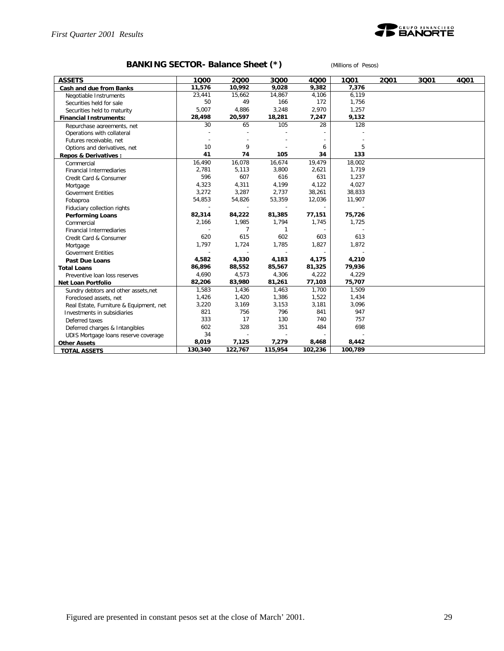

## **BANKING SECTOR- Balance Sheet (\*)** *(Millions of Pesos)*

| <b>ASSETS</b>                           | 1000                     | 2000           | 3000    | 4000    | 1001    | 2001 | 3001 | 4001 |
|-----------------------------------------|--------------------------|----------------|---------|---------|---------|------|------|------|
| Cash and due from Banks                 | 11,576                   | 10,992         | 9,028   | 9,382   | 7,376   |      |      |      |
| Negotiable Instruments                  | 23,441                   | 15,662         | 14,867  | 4,106   | 6,119   |      |      |      |
| Securities held for sale                | 50                       | 49             | 166     | 172     | 1,756   |      |      |      |
| Securities held to maturity             | 5,007                    | 4,886          | 3,248   | 2,970   | 1,257   |      |      |      |
| <b>Financial Instruments:</b>           | 28,498                   | 20,597         | 18,281  | 7,247   | 9,132   |      |      |      |
| Repurchase agreements, net              | 30                       | 65             | 105     | 28      | 128     |      |      |      |
| Operations with collateral              |                          |                |         |         |         |      |      |      |
| Futures receivable, net                 |                          |                |         |         |         |      |      |      |
| Options and derivatives, net            | 10                       | 9              |         | 6       | 5       |      |      |      |
| Repos & Derivatives:                    | 41                       | 74             | 105     | 34      | 133     |      |      |      |
| Commercial                              | 16,490                   | 16,078         | 16,674  | 19,479  | 18,002  |      |      |      |
| <b>Financial Intermediaries</b>         | 2,781                    | 5,113          | 3,800   | 2,621   | 1,719   |      |      |      |
| Credit Card & Consumer                  | 596                      | 607            | 616     | 631     | 1,237   |      |      |      |
| Mortgage                                | 4,323                    | 4,311          | 4,199   | 4,122   | 4,027   |      |      |      |
| <b>Goverment Entities</b>               | 3,272                    | 3,287          | 2,737   | 38,261  | 38,833  |      |      |      |
| Fobaproa                                | 54,853                   | 54,826         | 53,359  | 12,036  | 11,907  |      |      |      |
| Fiduciary collection rights             | $\overline{\phantom{a}}$ |                |         |         |         |      |      |      |
| <b>Performing Loans</b>                 | 82,314                   | 84,222         | 81,385  | 77,151  | 75,726  |      |      |      |
| Commercial                              | 2,166                    | 1,985          | 1,794   | 1,745   | 1,725   |      |      |      |
| <b>Financial Intermediaries</b>         |                          | $\overline{7}$ |         |         |         |      |      |      |
| Credit Card & Consumer                  | 620                      | 615            | 602     | 603     | 613     |      |      |      |
| Mortgage                                | 1,797                    | 1,724          | 1,785   | 1,827   | 1,872   |      |      |      |
| <b>Goverment Entities</b>               |                          |                |         |         |         |      |      |      |
| <b>Past Due Loans</b>                   | 4,582                    | 4,330          | 4,183   | 4,175   | 4,210   |      |      |      |
| <b>Total Loans</b>                      | 86,896                   | 88,552         | 85,567  | 81,325  | 79,936  |      |      |      |
| Preventive loan loss reserves           | 4,690                    | 4,573          | 4,306   | 4,222   | 4,229   |      |      |      |
| Net Loan Portfolio                      | 82,206                   | 83,980         | 81,261  | 77,103  | 75,707  |      |      |      |
| Sundry debtors and other assets, net    | 1,583                    | 1,436          | 1,463   | 1,700   | 1,509   |      |      |      |
| Foreclosed assets, net                  | 1,426                    | 1,420          | 1,386   | 1,522   | 1,434   |      |      |      |
| Real Estate, Furniture & Equipment, net | 3,220                    | 3,169          | 3,153   | 3,181   | 3,096   |      |      |      |
| Investments in subsidiaries             | 821                      | 756            | 796     | 841     | 947     |      |      |      |
| Deferred taxes                          | 333                      | 17             | 130     | 740     | 757     |      |      |      |
| Deferred charges & Intangibles          | 602                      | 328            | 351     | 484     | 698     |      |      |      |
| UDIS Mortgage loans reserve coverage    | 34                       |                |         |         |         |      |      |      |
| <b>Other Assets</b>                     | 8,019                    | 7,125          | 7,279   | 8,468   | 8,442   |      |      |      |
| <b>TOTAL ASSETS</b>                     | 130,340                  | 122,767        | 115,954 | 102,236 | 100,789 |      |      |      |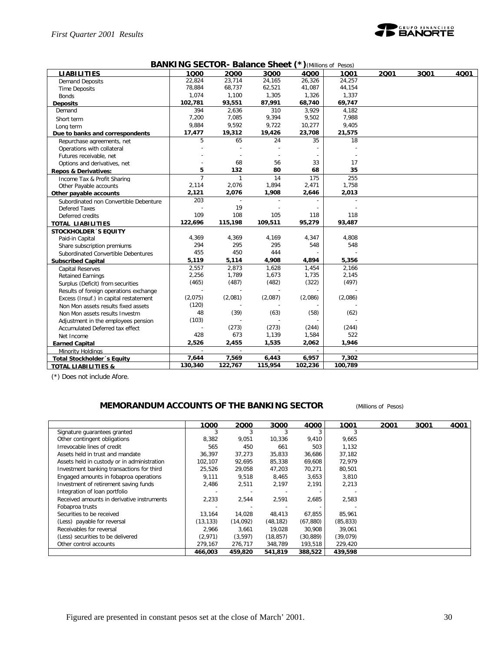

#### **BANKING SECTOR- Balance Sheet (\*)***(Millions of Pesos)*

|                                        |                |              | ,,,,,,,,,,,,,,, |         | $\sum$ ( <i>intimated of the code)</i> |      |      |      |
|----------------------------------------|----------------|--------------|-----------------|---------|----------------------------------------|------|------|------|
| <b>LIABILITIES</b>                     | 1000           | 2000         | 3000            | 4000    | 1001                                   | 2001 | 3Q01 | 4Q01 |
| <b>Demand Deposits</b>                 | 22,824         | 23,714       | 24,165          | 26,326  | 24,257                                 |      |      |      |
| <b>Time Deposits</b>                   | 78,884         | 68,737       | 62,521          | 41,087  | 44,154                                 |      |      |      |
| <b>Bonds</b>                           | 1,074          | 1,100        | 1,305           | 1,326   | 1,337                                  |      |      |      |
| <b>Deposits</b>                        | 102,781        | 93,551       | 87,991          | 68,740  | 69,747                                 |      |      |      |
| Demand                                 | 394            | 2,636        | 310             | 3,929   | 4,182                                  |      |      |      |
| Short term                             | 7,200          | 7,085        | 9,394           | 9,502   | 7,988                                  |      |      |      |
| Long term                              | 9,884          | 9,592        | 9,722           | 10,277  | 9,405                                  |      |      |      |
| Due to banks and correspondents        | 17,477         | 19,312       | 19,426          | 23,708  | 21,575                                 |      |      |      |
| Repurchase agreements, net             | 5              | 65           | 24              | 35      | 18                                     |      |      |      |
| Operations with collateral             |                |              |                 |         |                                        |      |      |      |
| Futures receivable, net                |                |              |                 |         |                                        |      |      |      |
| Options and derivatives, net           |                | 68           | 56              | 33      | 17                                     |      |      |      |
| <b>Repos &amp; Derivatives:</b>        | 5              | 132          | 80              | 68      | 35                                     |      |      |      |
| Income Tax & Profit Sharing            | $\overline{7}$ | $\mathbf{1}$ | 14              | 175     | 255                                    |      |      |      |
| Other Payable accounts                 | 2,114          | 2,076        | 1,894           | 2,471   | 1,758                                  |      |      |      |
| Other payable accounts                 | 2,121          | 2,076        | 1,908           | 2,646   | 2,013                                  |      |      |      |
| Subordinated non Convertible Debenture | 203            |              |                 |         |                                        |      |      |      |
| Defered Taxes                          |                | 19           |                 |         |                                        |      |      |      |
| Deferred credits                       | 109            | 108          | 105             | 118     | 118                                    |      |      |      |
| <b>TOTAL LIABILITIES</b>               | 122,696        | 115,198      | 109,511         | 95,279  | 93,487                                 |      |      |      |
| <b>STOCKHOLDER 'S EQUITY</b>           |                |              |                 |         |                                        |      |      |      |
| Paid-in Capital                        | 4,369          | 4,369        | 4,169           | 4,347   | 4,808                                  |      |      |      |
| Share subscription premiums            | 294            | 295          | 295             | 548     | 548                                    |      |      |      |
| Subordinated Convertible Debentures    | 455            | 450          | 444             |         |                                        |      |      |      |
| <b>Subscribed Capital</b>              | 5,119          | 5,114        | 4,908           | 4,894   | 5,356                                  |      |      |      |
| Capital Reserves                       | 2,557          | 2,873        | 1,628           | 1,454   | 2,166                                  |      |      |      |
| <b>Retained Earnings</b>               | 2,256          | 1,789        | 1,673           | 1,735   | 2,145                                  |      |      |      |
| Surplus (Deficit) from securities      | (465)          | (487)        | (482)           | (322)   | (497)                                  |      |      |      |
| Results of foreign operations exchange |                |              |                 |         |                                        |      |      |      |
| Excess (Insuf.) in capital restatement | (2,075)        | (2,081)      | (2,087)         | (2,086) | (2,086)                                |      |      |      |
| Non Mon assets results fixed assets    | (120)          |              |                 |         |                                        |      |      |      |
| Non Mon assets results Investm         | 48             | (39)         | (63)            | (58)    | (62)                                   |      |      |      |
| Adjustment in the employees pension    | (103)          |              |                 |         |                                        |      |      |      |
| Accumulated Deferred tax effect        |                | (273)        | (273)           | (244)   | (244)                                  |      |      |      |
| Net Income                             | 428            | 673          | 1,139           | 1,584   | 522                                    |      |      |      |
| <b>Earned Capital</b>                  | 2,526          | 2,455        | 1,535           | 2,062   | 1,946                                  |      |      |      |
| Minority Holdings                      | $\sim$         | $\sim$       | $\mathbf{r}$    | $\sim$  |                                        |      |      |      |
| Total Stockholder's Equity             | 7,644          | 7,569        | 6,443           | 6,957   | 7,302                                  |      |      |      |
| <b>TOTAL LIABILITIES &amp;</b>         | 130,340        | 122,767      | 115,954         | 102,236 | 100,789                                |      |      |      |
|                                        |                |              |                 |         |                                        |      |      |      |

(\*) Does not include Afore.

#### **MEMORANDUM ACCOUNTS OF THE BANKING SECTOR** *(Millions of Pesos)*

|                                             | 1000      | 2000     | 3000      | 4Q00      | 1001      | 2001 | 3Q01 | 4Q01 |
|---------------------------------------------|-----------|----------|-----------|-----------|-----------|------|------|------|
| Signature guarantees granted                |           |          |           |           |           |      |      |      |
| Other contingent obligations                | 8,382     | 9,051    | 10,336    | 9,410     | 9,665     |      |      |      |
| Irrevocable lines of credit                 | 565       | 450      | 661       | 503       | 1,132     |      |      |      |
| Assets held in trust and mandate            | 36,397    | 37,273   | 35,833    | 36,686    | 37,182    |      |      |      |
| Assets held in custody or in administration | 102,107   | 92,695   | 85,338    | 69,608    | 72,979    |      |      |      |
| Investment banking transactions for third   | 25,526    | 29,058   | 47,203    | 70,271    | 80,501    |      |      |      |
| Engaged amounts in fobaproa operations      | 9,111     | 9,518    | 8,465     | 3,653     | 3,810     |      |      |      |
| Investment of retirement saving funds       | 2,486     | 2,511    | 2,197     | 2,191     | 2,213     |      |      |      |
| Integration of loan portfolio               |           |          |           |           |           |      |      |      |
| Received amounts in derivative instruments  | 2,233     | 2,544    | 2,591     | 2,685     | 2,583     |      |      |      |
| Fobaproa trusts                             |           |          |           |           |           |      |      |      |
| Securities to be received                   | 13,164    | 14,028   | 48,413    | 67,855    | 85,961    |      |      |      |
| (Less) payable for reversal                 | (13, 133) | (14,092) | (48, 182) | (67, 880) | (85, 833) |      |      |      |
| Receivables for reversal                    | 2.966     | 3,661    | 19,028    | 30,908    | 39,061    |      |      |      |
| (Less) securities to be delivered           | (2,971)   | (3, 597) | (18, 857) | (30, 889) | (39, 079) |      |      |      |
| Other control accounts                      | 279,167   | 276,717  | 348,789   | 193,518   | 229,420   |      |      |      |
|                                             | 466,003   | 459,820  | 541,819   | 388,522   | 439,598   |      |      |      |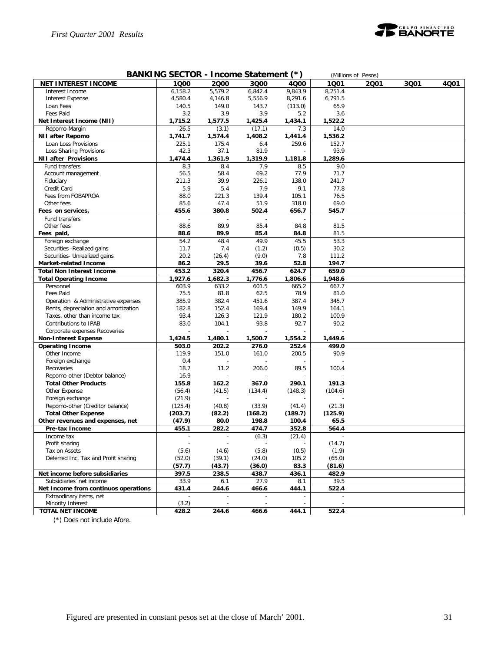

| BANKING SECTOR - Income Statement (*)<br>(Millions of Pesos) |         |                          |         |         |         |      |      |      |  |  |  |
|--------------------------------------------------------------|---------|--------------------------|---------|---------|---------|------|------|------|--|--|--|
| <b>NET INTEREST INCOME</b>                                   | 1000    | 2000                     | 3Q00    | 4Q00    | 1001    | 2001 | 3Q01 | 4Q01 |  |  |  |
| Interest Income                                              | 6,158.2 | 5,579.2                  | 6,842.4 | 9,843.9 | 8,251.4 |      |      |      |  |  |  |
| <b>Interest Expense</b>                                      | 4,580.4 | 4,146.8                  | 5,556.9 | 8,291.6 | 6,791.5 |      |      |      |  |  |  |
| Loan Fees                                                    | 140.5   | 149.0                    | 143.7   | (113.0) | 65.9    |      |      |      |  |  |  |
| Fees Paid                                                    | 3.2     | 3.9                      | 3.9     | 5.2     | 3.6     |      |      |      |  |  |  |
| Net Interest Income (NII)                                    | 1,715.2 | 1,577.5                  | 1,425.4 | 1,434.1 | 1,522.2 |      |      |      |  |  |  |
| Repomo-Margin                                                | 26.5    | (3.1)                    | (17.1)  | 7.3     | 14.0    |      |      |      |  |  |  |
| <b>NII after Repomo</b>                                      | 1,741.7 | 1,574.4                  | 1,408.2 | 1,441.4 | 1,536.2 |      |      |      |  |  |  |
| Loan Loss Provisions                                         | 225.1   | 175.4                    | 6.4     | 259.6   | 152.7   |      |      |      |  |  |  |
| Loss Sharing Provisions                                      | 42.3    | 37.1                     | 81.9    |         | 93.9    |      |      |      |  |  |  |
| <b>NII after Provisions</b>                                  | 1,474.4 | 1,361.9                  | 1,319.9 | 1,181.8 | 1,289.6 |      |      |      |  |  |  |
| Fund transfers                                               | 8.3     | 8.4                      | 7.9     | 8.5     | 9.0     |      |      |      |  |  |  |
| Account management                                           | 56.5    | 58.4                     | 69.2    | 77.9    | 71.7    |      |      |      |  |  |  |
| Fiduciary                                                    | 211.3   | 39.9                     | 226.1   | 138.0   | 241.7   |      |      |      |  |  |  |
| Credit Card                                                  | 5.9     | 5.4                      | 7.9     | 9.1     | 77.8    |      |      |      |  |  |  |
| Fees from FOBAPROA                                           | 88.0    | 221.3                    | 139.4   | 105.1   | 76.5    |      |      |      |  |  |  |
| Other fees                                                   | 85.6    | 47.4                     | 51.9    | 318.0   | 69.0    |      |      |      |  |  |  |
| Fees on services,                                            | 455.6   | 380.8                    | 502.4   | 656.7   | 545.7   |      |      |      |  |  |  |
| Fund transfers                                               |         | $\overline{\phantom{a}}$ | $\sim$  | $\sim$  | $\sim$  |      |      |      |  |  |  |
| Other fees                                                   | 88.6    | 89.9                     | 85.4    | 84.8    | 81.5    |      |      |      |  |  |  |
| Fees paid,                                                   | 88.6    | 89.9                     | 85.4    | 84.8    | 81.5    |      |      |      |  |  |  |
| Foreign exchange                                             | 54.2    | 48.4                     | 49.9    | 45.5    | 53.3    |      |      |      |  |  |  |
| Securities - Realized gains                                  | 11.7    | 7.4                      | (1.2)   | (0.5)   | 30.2    |      |      |      |  |  |  |
| Securities- Unrealized gains                                 | 20.2    | (26.4)                   | (9.0)   | 7.8     | 111.2   |      |      |      |  |  |  |
| Market-related Income                                        | 86.2    | 29.5                     | 39.6    | 52.8    | 194.7   |      |      |      |  |  |  |
| <b>Total Non Interest Income</b>                             | 453.2   | 320.4                    | 456.7   | 624.7   | 659.0   |      |      |      |  |  |  |
| <b>Total Operating Income</b>                                | 1,927.6 | 1,682.3                  | 1,776.6 | 1,806.6 | 1,948.6 |      |      |      |  |  |  |
| Personnel                                                    | 603.9   | 633.2                    | 601.5   | 665.2   | 667.7   |      |      |      |  |  |  |
| Fees Paid                                                    | 75.5    | 81.8                     | 62.5    | 78.9    | 81.0    |      |      |      |  |  |  |
| Operation & Administrative expenses                          | 385.9   | 382.4                    | 451.6   | 387.4   | 345.7   |      |      |      |  |  |  |
| Rents, depreciation and amortization                         | 182.8   | 152.4                    | 169.4   | 149.9   | 164.1   |      |      |      |  |  |  |
| Taxes, other than income tax                                 | 93.4    | 126.3                    | 121.9   | 180.2   | 100.9   |      |      |      |  |  |  |
| Contributions to IPAB                                        | 83.0    | 104.1                    | 93.8    | 92.7    | 90.2    |      |      |      |  |  |  |
| Corporate expenses Recoveries                                |         |                          |         |         |         |      |      |      |  |  |  |
| <b>Non-Interest Expense</b>                                  | 1,424.5 | 1,480.1                  | 1,500.7 | 1,554.2 | 1,449.6 |      |      |      |  |  |  |
| <b>Operating Income</b>                                      | 503.0   | 202.2                    | 276.0   | 252.4   | 499.0   |      |      |      |  |  |  |
| Other Income                                                 | 119.9   | 151.0                    | 161.0   | 200.5   | 90.9    |      |      |      |  |  |  |
| Foreign exchange                                             | 0.4     |                          |         |         |         |      |      |      |  |  |  |
| Recoveries                                                   | 18.7    | 11.2                     | 206.0   | 89.5    | 100.4   |      |      |      |  |  |  |
| Repomo-other (Debtor balance)                                | 16.9    |                          |         |         |         |      |      |      |  |  |  |
| <b>Total Other Products</b>                                  | 155.8   | 162.2                    | 367.0   | 290.1   | 191.3   |      |      |      |  |  |  |
| Other Expense                                                | (56.4)  | (41.5)                   | (134.4) | (148.3) | (104.6) |      |      |      |  |  |  |
| Foreign exchange                                             | (21.9)  |                          |         |         |         |      |      |      |  |  |  |
| Repomo-other (Creditor balance)                              | (125.4) | (40.8)                   | (33.9)  | (41.4)  | (21.3)  |      |      |      |  |  |  |
| <b>Total Other Expense</b>                                   | (203.7) | (82.2)                   | (168.2) | (189.7) | (125.9) |      |      |      |  |  |  |
| Other revenues and expenses, net                             | (47.9)  | 80.0                     | 198.8   | 100.4   | 65.5    |      |      |      |  |  |  |
| Pre-tax Income                                               | 455.1   | 282.2                    | 474.7   | 352.8   | 564.4   |      |      |      |  |  |  |
| Income tax                                                   |         |                          | (6.3)   | (21.4)  |         |      |      |      |  |  |  |
| Profit sharing                                               | $\sim$  | $\overline{\phantom{a}}$ |         |         | (14.7)  |      |      |      |  |  |  |
| Tax on Assets                                                | (5.6)   | (4.6)                    | (5.8)   | (0.5)   | (1.9)   |      |      |      |  |  |  |
| Deferred Inc. Tax and Profit sharing                         | (52.0)  | (39.1)                   | (24.0)  | 105.2   | (65.0)  |      |      |      |  |  |  |
|                                                              | (57.7)  | (43.7)                   | (36.0)  | 83.3    | (81.6)  |      |      |      |  |  |  |
| Net income before subsidiaries                               | 397.5   | 238.5                    | 438.7   | 436.1   | 482.9   |      |      |      |  |  |  |
| Subsidiaries 'net income                                     | 33.9    | 6.1                      | 27.9    | 8.1     | 39.5    |      |      |      |  |  |  |
| Net Income from continuos operations                         | 431.4   | 244.6                    | 466.6   | 444.1   | 522.4   |      |      |      |  |  |  |
| Extraodinary items, net                                      |         |                          |         |         |         |      |      |      |  |  |  |
| Minority Interest                                            | (3.2)   |                          |         |         |         |      |      |      |  |  |  |
| <b>TOTAL NET INCOME</b>                                      | 428.2   | 244.6                    | 466.6   | 444.1   | 522.4   |      |      |      |  |  |  |

(\*) Does not include Afore.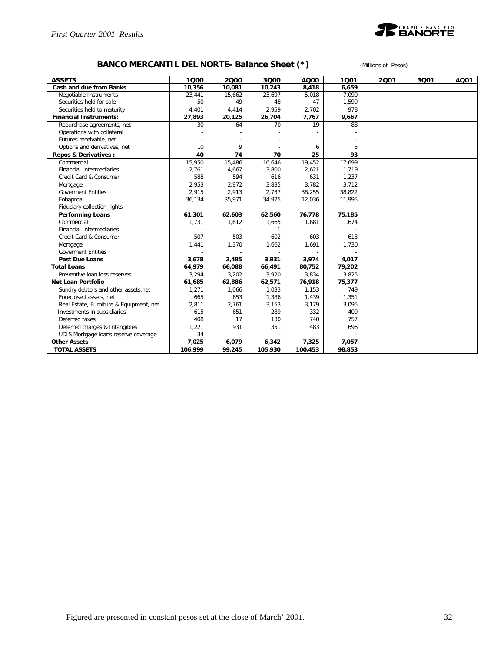

## **BANCO MERCANTIL DEL NORTE- Balance Sheet (\*)** *(Millions of Pesos)*

| <b>ASSETS</b>                           | 1000    | 2000   | 3000    | 4000    | 1001   | 2001 | 3Q01 | 4001 |
|-----------------------------------------|---------|--------|---------|---------|--------|------|------|------|
| Cash and due from Banks                 | 10,356  | 10,081 | 10,243  | 8,418   | 6,659  |      |      |      |
| Negotiable Instruments                  | 23,441  | 15,662 | 23,697  | 5,018   | 7,090  |      |      |      |
| Securities held for sale                | 50      | 49     | 48      | 47      | 1,599  |      |      |      |
| Securities held to maturity             | 4,401   | 4,414  | 2,959   | 2,702   | 978    |      |      |      |
| <b>Financial Instruments:</b>           | 27,893  | 20,125 | 26,704  | 7,767   | 9,667  |      |      |      |
| Repurchase agreements, net              | 30      | 64     | 70      | 19      | 88     |      |      |      |
| Operations with collateral              |         |        |         |         |        |      |      |      |
| Futures receivable, net                 |         |        |         |         |        |      |      |      |
| Options and derivatives, net            | 10      | 9      |         | 6       | 5      |      |      |      |
| Repos & Derivatives :                   | 40      | 74     | 70      | 25      | 93     |      |      |      |
| Commercial                              | 15,950  | 15,486 | 16,646  | 19,452  | 17,699 |      |      |      |
| <b>Financial Intermediaries</b>         | 2,761   | 4,667  | 3,800   | 2,621   | 1,719  |      |      |      |
| Credit Card & Consumer                  | 588     | 594    | 616     | 631     | 1,237  |      |      |      |
| Mortgage                                | 2,953   | 2,972  | 3,835   | 3,782   | 3,712  |      |      |      |
| <b>Goverment Entities</b>               | 2,915   | 2,913  | 2,737   | 38,255  | 38.822 |      |      |      |
| Fobaproa                                | 36,134  | 35,971 | 34,925  | 12,036  | 11,995 |      |      |      |
| Fiduciary collection rights             |         |        |         |         |        |      |      |      |
| <b>Performing Loans</b>                 | 61,301  | 62,603 | 62,560  | 76,778  | 75,185 |      |      |      |
| Commercial                              | 1.731   | 1,612  | 1,665   | 1,681   | 1,674  |      |      |      |
| <b>Financial Intermediaries</b>         |         |        | 1       |         |        |      |      |      |
| Credit Card & Consumer                  | 507     | 503    | 602     | 603     | 613    |      |      |      |
| Mortgage                                | 1,441   | 1,370  | 1,662   | 1,691   | 1,730  |      |      |      |
| <b>Goverment Entities</b>               |         |        |         |         |        |      |      |      |
| Past Due Loans                          | 3,678   | 3,485  | 3,931   | 3,974   | 4,017  |      |      |      |
| <b>Total Loans</b>                      | 64,979  | 66,088 | 66,491  | 80,752  | 79,202 |      |      |      |
| Preventive loan loss reserves           | 3,294   | 3,202  | 3,920   | 3,834   | 3,825  |      |      |      |
| <b>Net Loan Portfolio</b>               | 61,685  | 62,886 | 62,571  | 76,918  | 75,377 |      |      |      |
| Sundry debtors and other assets, net    | 1,271   | 1,066  | 1,033   | 1,153   | 749    |      |      |      |
| Foreclosed assets, net                  | 665     | 653    | 1,386   | 1,439   | 1,351  |      |      |      |
| Real Estate, Furniture & Equipment, net | 2,811   | 2,761  | 3,153   | 3,179   | 3,095  |      |      |      |
| Investments in subsidiaries             | 615     | 651    | 289     | 332     | 409    |      |      |      |
| Deferred taxes                          | 408     | 17     | 130     | 740     | 757    |      |      |      |
| Deferred charges & Intangibles          | 1,221   | 931    | 351     | 483     | 696    |      |      |      |
| UDIS Mortgage loans reserve coverage    | 34      |        |         |         |        |      |      |      |
| <b>Other Assets</b>                     | 7,025   | 6,079  | 6,342   | 7,325   | 7,057  |      |      |      |
| <b>TOTAL ASSETS</b>                     | 106,999 | 99,245 | 105,930 | 100,453 | 98,853 |      |      |      |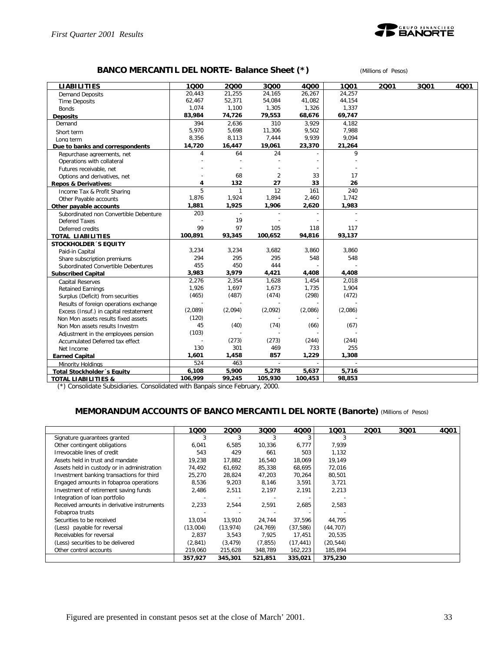

#### **BANCO MERCANTIL DEL NORTE- Balance Sheet (\*)** *(Millions of Pesos)*

| <b>LIABILITIES</b>                     | 1000    | 2000                     | 3000           | 4000    | 1001    | 2001 | 3Q01 | 4Q01 |
|----------------------------------------|---------|--------------------------|----------------|---------|---------|------|------|------|
| <b>Demand Deposits</b>                 | 20.443  | 21,255                   | 24.165         | 26,267  | 24,257  |      |      |      |
| <b>Time Deposits</b>                   | 62,467  | 52,371                   | 54,084         | 41,082  | 44,154  |      |      |      |
| <b>Bonds</b>                           | 1,074   | 1,100                    | 1,305          | 1,326   | 1,337   |      |      |      |
| <b>Deposits</b>                        | 83,984  | 74,726                   | 79,553         | 68,676  | 69,747  |      |      |      |
| Demand                                 | 394     | 2,636                    | 310            | 3,929   | 4,182   |      |      |      |
| Short term                             | 5,970   | 5,698                    | 11,306         | 9,502   | 7,988   |      |      |      |
| Long term                              | 8,356   | 8,113                    | 7,444          | 9,939   | 9,094   |      |      |      |
| Due to banks and correspondents        | 14,720  | 16,447                   | 19,061         | 23,370  | 21,264  |      |      |      |
| Repurchase agreements, net             | 4       | 64                       | 24             |         | 9       |      |      |      |
| Operations with collateral             |         |                          |                |         |         |      |      |      |
| Futures receivable, net                |         |                          |                |         |         |      |      |      |
| Options and derivatives, net           |         | 68                       | $\overline{2}$ | 33      | 17      |      |      |      |
| <b>Repos &amp; Derivatives:</b>        | 4       | 132                      | 27             | 33      | 26      |      |      |      |
| Income Tax & Profit Sharing            | 5       | $\mathbf{1}$             | 12             | 161     | 240     |      |      |      |
| Other Payable accounts                 | 1,876   | 1,924                    | 1,894          | 2,460   | 1,742   |      |      |      |
| Other payable accounts                 | 1,881   | 1,925                    | 1,906          | 2,620   | 1,983   |      |      |      |
| Subordinated non Convertible Debenture | 203     | $\overline{\phantom{a}}$ |                |         |         |      |      |      |
| Defered Taxes                          |         | 19                       |                |         |         |      |      |      |
| Deferred credits                       | 99      | 97                       | 105            | 118     | 117     |      |      |      |
| <b>TOTAL LIABILITIES</b>               | 100,891 | 93,345                   | 100,652        | 94,816  | 93,137  |      |      |      |
| <b>STOCKHOLDER 'S EQUITY</b>           |         |                          |                |         |         |      |      |      |
| Paid-in Capital                        | 3,234   | 3,234                    | 3,682          | 3,860   | 3,860   |      |      |      |
| Share subscription premiums            | 294     | 295                      | 295            | 548     | 548     |      |      |      |
| Subordinated Convertible Debentures    | 455     | 450                      | 444            |         |         |      |      |      |
| <b>Subscribed Capital</b>              | 3,983   | 3,979                    | 4,421          | 4,408   | 4,408   |      |      |      |
| <b>Capital Reserves</b>                | 2,276   | 2,354                    | 1,628          | 1,454   | 2,018   |      |      |      |
| <b>Retained Earnings</b>               | 1,926   | 1,697                    | 1,673          | 1,735   | 1,904   |      |      |      |
| Surplus (Deficit) from securities      | (465)   | (487)                    | (474)          | (298)   | (472)   |      |      |      |
| Results of foreign operations exchange |         |                          |                |         |         |      |      |      |
| Excess (Insuf.) in capital restatement | (2,089) | (2,094)                  | (2,092)        | (2,086) | (2,086) |      |      |      |
| Non Mon assets results fixed assets    | (120)   |                          |                |         |         |      |      |      |
| Non Mon assets results Investm         | 45      | (40)                     | (74)           | (66)    | (67)    |      |      |      |
| Adjustment in the employees pension    | (103)   |                          |                |         |         |      |      |      |
| Accumulated Deferred tax effect        |         | (273)                    | (273)          | (244)   | (244)   |      |      |      |
| Net Income                             | 130     | 301                      | 469            | 733     | 255     |      |      |      |
| <b>Earned Capital</b>                  | 1,601   | 1,458                    | 857            | 1,229   | 1,308   |      |      |      |
| Minority Holdings                      | 524     | 463                      | $\sim$         |         | $\sim$  |      |      |      |
| <b>Total Stockholder's Equity</b>      | 6,108   | 5,900                    | 5,278          | 5,637   | 5,716   |      |      |      |
| <b>TOTAL LIABILITIES &amp;</b>         | 106,999 | 99,245                   | 105,930        | 100,453 | 98,853  |      |      |      |

(\*) Consolidate Subsidiaries. Consolidated with Banpaís since February, 2000.

#### **MEMORANDUM ACCOUNTS OF BANCO MERCANTIL DEL NORTE (Banorte)** *(Millions of Pesos)*

|                                             | 1Q00     | 2000      | 3Q00      | 4000      | 1001      | 2001 | 3Q01 | 4Q01 |
|---------------------------------------------|----------|-----------|-----------|-----------|-----------|------|------|------|
| Signature guarantees granted                |          |           |           |           |           |      |      |      |
| Other contingent obligations                | 6,041    | 6,585     | 10,336    | 6,777     | 7,939     |      |      |      |
| Irrevocable lines of credit                 | 543      | 429       | 661       | 503       | 1,132     |      |      |      |
| Assets held in trust and mandate            | 19,238   | 17,882    | 16,540    | 18,069    | 19,149    |      |      |      |
| Assets held in custody or in administration | 74,492   | 61,692    | 85,338    | 68,695    | 72,016    |      |      |      |
| Investment banking transactions for third   | 25,270   | 28,824    | 47,203    | 70,264    | 80,501    |      |      |      |
| Engaged amounts in fobaproa operations      | 8,536    | 9,203     | 8,146     | 3,591     | 3,721     |      |      |      |
| Investment of retirement saving funds       | 2,486    | 2,511     | 2.197     | 2,191     | 2,213     |      |      |      |
| Integration of loan portfolio               |          |           |           |           |           |      |      |      |
| Received amounts in derivative instruments  | 2,233    | 2,544     | 2.591     | 2,685     | 2,583     |      |      |      |
| Fobaproa trusts                             |          |           |           |           |           |      |      |      |
| Securities to be received                   | 13,034   | 13.910    | 24,744    | 37,596    | 44,795    |      |      |      |
| (Less) payable for reversal                 | (13,004) | (13, 974) | (24, 769) | (37,586)  | (44, 707) |      |      |      |
| Receivables for reversal                    | 2.837    | 3.543     | 7.925     | 17,451    | 20,535    |      |      |      |
| (Less) securities to be delivered           | (2,841)  | (3, 479)  | (7, 855)  | (17, 441) | (20, 544) |      |      |      |
| Other control accounts                      | 219,060  | 215,628   | 348,789   | 162,223   | 185,894   |      |      |      |
|                                             | 357,927  | 345,301   | 521,851   | 335,021   | 375,230   |      |      |      |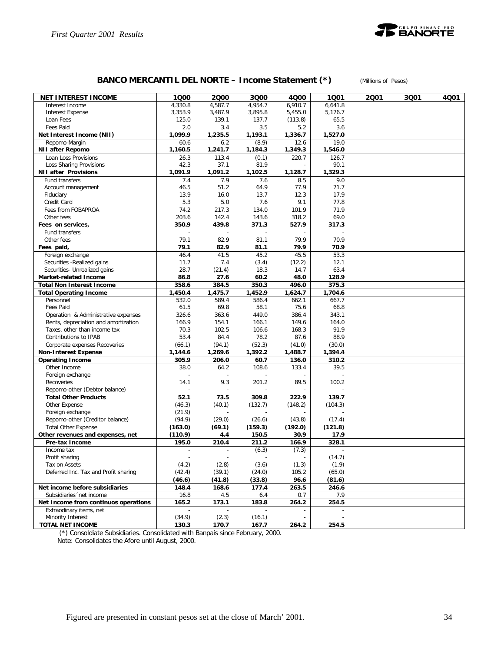

## **BANCO MERCANTIL DEL NORTE – Income Statement (\*)** *(Millions of Pesos)*

| <b>NET INTEREST INCOME</b>                             | 1000               | 2000             | 3000             | 4Q00             | 1001             | 2001 | 3Q01 | 4001 |
|--------------------------------------------------------|--------------------|------------------|------------------|------------------|------------------|------|------|------|
| Interest Income                                        | 4,330.8            | 4,587.7          | 4,954.7          | 6,910.7          | 6,641.8          |      |      |      |
| <b>Interest Expense</b>                                | 3,353.9            | 3,487.9          | 3,895.8          | 5,455.0          | 5,176.7          |      |      |      |
| Loan Fees                                              | 125.0              | 139.1            | 137.7            | (113.8)          | 65.5             |      |      |      |
| Fees Paid                                              | 2.0                | 3.4              | 3.5              | 5.2              | 3.6              |      |      |      |
| Net Interest Income (NII)                              | 1,099.9            | 1,235.5          | 1,193.1          | 1,336.7          | 1,527.0          |      |      |      |
| Repomo-Margin                                          | 60.6               | 6.2              | (8.9)            | 12.6             | 19.0             |      |      |      |
| <b>NII after Repomo</b>                                | 1,160.5            | 1,241.7          | 1,184.3          | 1,349.3          | 1,546.0          |      |      |      |
| Loan Loss Provisions                                   | 26.3               | 113.4            | (0.1)            | 220.7            | 126.7            |      |      |      |
| Loss Sharing Provisions<br><b>NII after Provisions</b> | 42.3<br>1,091.9    | 37.1<br>1,091.2  | 81.9<br>1,102.5  | 1,128.7          | 90.1<br>1,329.3  |      |      |      |
| Fund transfers                                         | 7.4                | 7.9              | 7.6              | 8.5              | 9.0              |      |      |      |
| Account management                                     | 46.5               | 51.2             | 64.9             | 77.9             | 71.7             |      |      |      |
| Fiduciary                                              | 13.9               | 16.0             | 13.7             | 12.3             | 17.9             |      |      |      |
| Credit Card                                            | 5.3                | 5.0              | 7.6              | 9.1              | 77.8             |      |      |      |
| Fees from FOBAPROA                                     | 74.2               | 217.3            | 134.0            | 101.9            | 71.9             |      |      |      |
| Other fees                                             | 203.6              | 142.4            | 143.6            | 318.2            | 69.0             |      |      |      |
| Fees on services,                                      | 350.9              | 439.8            | 371.3            | 527.9            | 317.3            |      |      |      |
| Fund transfers                                         |                    |                  |                  |                  |                  |      |      |      |
| Other fees                                             | 79.1               | 82.9             | 81.1             | 79.9             | 70.9             |      |      |      |
| Fees paid,                                             | 79.1               | 82.9             | 81.1             | 79.9             | 70.9             |      |      |      |
| Foreign exchange                                       | 46.4               | 41.5             | 45.2             | 45.5             | 53.3             |      |      |      |
| Securities - Realized gains                            | 11.7               | 7.4              | (3.4)            | (12.2)           | 12.1             |      |      |      |
| Securities- Unrealized gains                           | 28.7               | (21.4)           | 18.3             | 14.7             | 63.4             |      |      |      |
| Market-related Income                                  | 86.8               | 27.6             | 60.2             | 48.0             | 128.9            |      |      |      |
| <b>Total Non Interest Income</b>                       | 358.6              | 384.5            | 350.3            | 496.0            | 375.3            |      |      |      |
| <b>Total Operating Income</b><br>Personnel             | 1,450.4<br>532.0   | 1,475.7<br>589.4 | 1,452.9<br>586.4 | 1,624.7<br>662.1 | 1,704.6<br>667.7 |      |      |      |
| Fees Paid                                              | 61.5               | 69.8             | 58.1             | 75.6             | 68.8             |      |      |      |
| Operation & Administrative expenses                    | 326.6              | 363.6            | 449.0            | 386.4            | 343.1            |      |      |      |
| Rents, depreciation and amortization                   | 166.9              | 154.1            | 166.1            | 149.6            | 164.0            |      |      |      |
| Taxes, other than income tax                           | 70.3               | 102.5            | 106.6            | 168.3            | 91.9             |      |      |      |
| Contributions to IPAB                                  | 53.4               | 84.4             | 78.2             | 87.6             | 88.9             |      |      |      |
| Corporate expenses Recoveries                          | (66.1)             | (94.1)           | (52.3)           | (41.0)           | (30.0)           |      |      |      |
| <b>Non-Interest Expense</b>                            | 1,144.6            | 1,269.6          | 1,392.2          | 1,488.7          | 1,394.4          |      |      |      |
| <b>Operating Income</b>                                | 305.9              | 206.0            | 60.7             | 136.0            | 310.2            |      |      |      |
| Other Income                                           | 38.0               | 64.2             | 108.6            | 133.4            | 39.5             |      |      |      |
| Foreign exchange                                       |                    |                  |                  |                  |                  |      |      |      |
| Recoveries                                             | 14.1               | 9.3              | 201.2            | 89.5             | 100.2            |      |      |      |
| Repomo-other (Debtor balance)                          |                    |                  |                  |                  |                  |      |      |      |
| <b>Total Other Products</b>                            | 52.1               | 73.5             | 309.8            | 222.9            | 139.7            |      |      |      |
| Other Expense                                          | (46.3)             | (40.1)           | (132.7)          | (148.2)          | (104.3)          |      |      |      |
| Foreign exchange<br>Repomo-other (Creditor balance)    | (21.9)             |                  |                  |                  |                  |      |      |      |
| <b>Total Other Expense</b>                             | (94.9)             | (29.0)           | (26.6)           | (43.8)           | (17.4)           |      |      |      |
| Other revenues and expenses, net                       | (163.0)<br>(110.9) | (69.1)<br>4.4    | (159.3)<br>150.5 | (192.0)<br>30.9  | (121.8)<br>17.9  |      |      |      |
| Pre-tax Income                                         | 195.0              | 210.4            | 211.2            | 166.9            | 328.1            |      |      |      |
| Income tax                                             |                    |                  | (6.3)            | (7.3)            |                  |      |      |      |
| Profit sharing                                         |                    |                  |                  |                  | (14.7)           |      |      |      |
| Tax on Assets                                          | (4.2)              | (2.8)            | (3.6)            | (1.3)            | (1.9)            |      |      |      |
| Deferred Inc. Tax and Profit sharing                   | (42.4)             | (39.1)           | (24.0)           | 105.2            | (65.0)           |      |      |      |
|                                                        | (46.6)             | (41.8)           | (33.8)           | 96.6             | (81.6)           |      |      |      |
| Net income before subsidiaries                         | 148.4              | 168.6            | 177.4            | 263.5            | 246.6            |      |      |      |
| Subsidiaries 'net income                               | 16.8               | 4.5              | 6.4              | 0.7              | 7.9              |      |      |      |
| Net Income from continuos operations                   | 165.2              | 173.1            | 183.8            | 264.2            | 254.5            |      |      |      |
| Extraodinary items, net                                |                    |                  |                  |                  |                  |      |      |      |
| Minority Interest                                      | (34.9)             | (2.3)            | (16.1)           |                  |                  |      |      |      |
| TOTAL NET INCOME                                       | 130.3              | 170.7            | 167.7            | 264.2            | 254.5            |      |      |      |

(\*) Consoldiate Subsidiaries. Consolidated with Banpaís since February, 2000.

Note: Consolidates the Afore until August, 2000.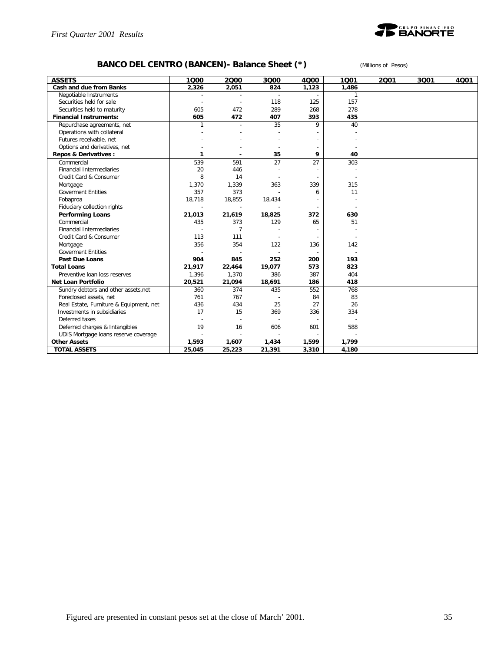

## **BANCO DEL CENTRO (BANCEN)- Balance Sheet (\*)** *(Millions of Pesos)*

| <b>ASSETS</b>                           | 1000   | 2000           | 3000   | 4000  | 1001         | 2001 | 3Q01 | 4001 |
|-----------------------------------------|--------|----------------|--------|-------|--------------|------|------|------|
| Cash and due from Banks                 | 2,326  | 2,051          | 824    | 1,123 | 1,486        |      |      |      |
| Negotiable Instruments                  |        |                |        |       | $\mathbf{1}$ |      |      |      |
| Securities held for sale                |        |                | 118    | 125   | 157          |      |      |      |
| Securities held to maturity             | 605    | 472            | 289    | 268   | 278          |      |      |      |
| <b>Financial Instruments:</b>           | 605    | 472            | 407    | 393   | 435          |      |      |      |
| Repurchase agreements, net              |        |                | 35     | 9     | 40           |      |      |      |
| Operations with collateral              |        |                |        |       |              |      |      |      |
| Futures receivable, net                 |        |                |        |       |              |      |      |      |
| Options and derivatives, net            |        |                |        |       |              |      |      |      |
| Repos & Derivatives:                    | 1      |                | 35     | 9     | 40           |      |      |      |
| Commercial                              | 539    | 591            | 27     | 27    | 303          |      |      |      |
| <b>Financial Intermediaries</b>         | 20     | 446            |        |       |              |      |      |      |
| Credit Card & Consumer                  | 8      | 14             |        |       |              |      |      |      |
| Mortgage                                | 1,370  | 1,339          | 363    | 339   | 315          |      |      |      |
| <b>Goverment Entities</b>               | 357    | 373            |        | 6     | 11           |      |      |      |
| Fobaproa                                | 18,718 | 18,855         | 18,434 |       |              |      |      |      |
| Fiduciary collection rights             |        | $\sim$         |        |       |              |      |      |      |
| <b>Performing Loans</b>                 | 21,013 | 21,619         | 18,825 | 372   | 630          |      |      |      |
| Commercial                              | 435    | 373            | 129    | 65    | 51           |      |      |      |
| <b>Financial Intermediaries</b>         |        | $\overline{7}$ |        |       |              |      |      |      |
| Credit Card & Consumer                  | 113    | 111            |        |       |              |      |      |      |
| Mortgage                                | 356    | 354            | 122    | 136   | 142          |      |      |      |
| <b>Goverment Entities</b>               |        |                |        |       |              |      |      |      |
| <b>Past Due Loans</b>                   | 904    | 845            | 252    | 200   | 193          |      |      |      |
| <b>Total Loans</b>                      | 21,917 | 22,464         | 19,077 | 573   | 823          |      |      |      |
| Preventive loan loss reserves           | 1,396  | 1,370          | 386    | 387   | 404          |      |      |      |
| <b>Net Loan Portfolio</b>               | 20,521 | 21,094         | 18,691 | 186   | 418          |      |      |      |
| Sundry debtors and other assets, net    | 360    | 374            | 435    | 552   | 768          |      |      |      |
| Foreclosed assets, net                  | 761    | 767            |        | 84    | 83           |      |      |      |
| Real Estate, Furniture & Equipment, net | 436    | 434            | 25     | 27    | 26           |      |      |      |
| Investments in subsidiaries             | 17     | 15             | 369    | 336   | 334          |      |      |      |
| Deferred taxes                          |        |                |        |       |              |      |      |      |
| Deferred charges & Intangibles          | 19     | 16             | 606    | 601   | 588          |      |      |      |
| UDIS Mortgage loans reserve coverage    |        |                |        |       |              |      |      |      |
| <b>Other Assets</b>                     | 1,593  | 1,607          | 1,434  | 1,599 | 1,799        |      |      |      |
| <b>TOTAL ASSETS</b>                     | 25,045 | 25,223         | 21,391 | 3,310 | 4,180        |      |      |      |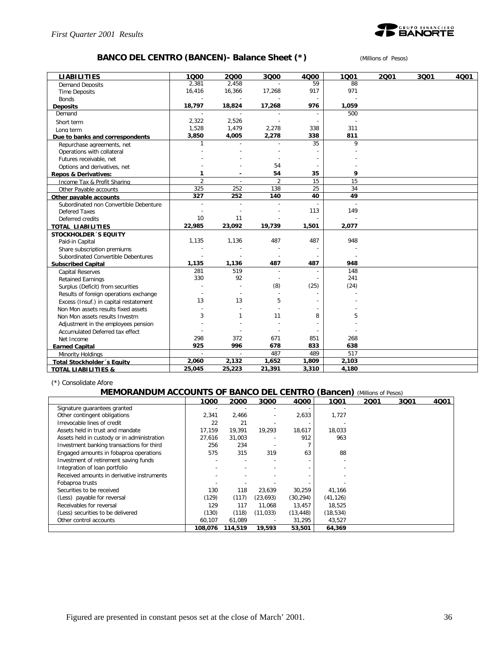

## **BANCO DEL CENTRO (BANCEN)- Balance Sheet (\*)** *(Millions of Pesos)*

| <b>LIABILITIES</b>                     | 1000           | 2000           | 3000           | 4000           | 1001  | 2001 | 3001 | 4001 |
|----------------------------------------|----------------|----------------|----------------|----------------|-------|------|------|------|
| <b>Demand Deposits</b>                 | 2,381          | 2,458          |                | 59             | 88    |      |      |      |
| <b>Time Deposits</b>                   | 16,416         | 16,366         | 17,268         | 917            | 971   |      |      |      |
| <b>Bonds</b>                           |                |                |                | $\overline{a}$ |       |      |      |      |
| <b>Deposits</b>                        | 18,797         | 18,824         | 17,268         | 976            | 1,059 |      |      |      |
| Demand                                 |                |                |                |                | 500   |      |      |      |
| Short term                             | 2,322          | 2,526          |                | $\sim$         |       |      |      |      |
| Long term                              | 1,528          | 1,479          | 2,278          | 338            | 311   |      |      |      |
| Due to banks and correspondents        | 3,850          | 4,005          | 2,278          | 338            | 811   |      |      |      |
| Repurchase agreements, net             | $\mathbf{1}$   |                |                | 35             | 9     |      |      |      |
| Operations with collateral             |                |                |                |                |       |      |      |      |
| Futures receivable, net                |                |                |                |                |       |      |      |      |
| Options and derivatives, net           |                |                | 54             |                |       |      |      |      |
| <b>Repos &amp; Derivatives:</b>        | 1              |                | 54             | 35             | 9     |      |      |      |
| Income Tax & Profit Sharing            | $\overline{2}$ | $\overline{a}$ | $\overline{2}$ | 15             | 15    |      |      |      |
| Other Payable accounts                 | 325            | 252            | 138            | 25             | 34    |      |      |      |
| Other payable accounts                 | 327            | 252            | 140            | 40             | 49    |      |      |      |
| Subordinated non Convertible Debenture | $\overline{a}$ |                |                |                |       |      |      |      |
| Defered Taxes                          |                |                |                | 113            | 149   |      |      |      |
| Deferred credits                       | 10             | 11             |                |                |       |      |      |      |
| <b>TOTAL LIABILITIES</b>               | 22,985         | 23,092         | 19,739         | 1,501          | 2,077 |      |      |      |
| <b>STOCKHOLDER 'S EQUITY</b>           |                |                |                |                |       |      |      |      |
| Paid-in Capital                        | 1,135          | 1,136          | 487            | 487            | 948   |      |      |      |
| Share subscription premiums            |                |                |                | ÷,             |       |      |      |      |
| Subordinated Convertible Debentures    |                |                |                |                |       |      |      |      |
| <b>Subscribed Capital</b>              | 1,135          | 1,136          | 487            | 487            | 948   |      |      |      |
| <b>Capital Reserves</b>                | 281            | 519            | $\overline{a}$ | $\overline{a}$ | 148   |      |      |      |
| <b>Retained Earnings</b>               | 330            | 92             |                |                | 241   |      |      |      |
| Surplus (Deficit) from securities      |                |                | (8)            | (25)           | (24)  |      |      |      |
| Results of foreign operations exchange |                |                |                |                |       |      |      |      |
| Excess (Insuf.) in capital restatement | 13             | 13             | 5              |                |       |      |      |      |
| Non Mon assets results fixed assets    |                |                |                |                |       |      |      |      |
| Non Mon assets results Investm         | 3              | $\mathbf{1}$   | 11             | 8              | 5     |      |      |      |
| Adjustment in the employees pension    |                |                |                |                |       |      |      |      |
| Accumulated Deferred tax effect        |                |                |                |                |       |      |      |      |
| Net Income                             | 298            | 372            | 671            | 851            | 268   |      |      |      |
| <b>Earned Capital</b>                  | 925            | 996            | 678            | 833            | 638   |      |      |      |
| Minority Holdings                      | $\sim$         | $\sim$         | 487            | 489            | 517   |      |      |      |
| Total Stockholder's Equity             | 2,060          | 2,132          | 1,652          | 1,809          | 2,103 |      |      |      |
| <b>TOTAL LIABILITIES &amp;</b>         | 25,045         | 25,223         | 21,391         | 3,310          | 4,180 |      |      |      |

(\*) Consolidate Afore

#### **MEMORANDUM ACCOUNTS OF BANCO DEL CENTRO (Bancen)** *(Millions of Pesos)*

|                                             | 1000    | 2000    | 3000                     | 4000      | 1001      | 2001 | 3Q01 | 4Q01 |
|---------------------------------------------|---------|---------|--------------------------|-----------|-----------|------|------|------|
| Signature guarantees granted                |         |         |                          |           |           |      |      |      |
| Other contingent obligations                | 2,341   | 2,466   | $\overline{\phantom{a}}$ | 2,633     | 1,727     |      |      |      |
| Irrevocable lines of credit                 | 22      | 21      |                          |           |           |      |      |      |
| Assets held in trust and mandate            | 17,159  | 19,391  | 19,293                   | 18,617    | 18,033    |      |      |      |
| Assets held in custody or in administration | 27,616  | 31,003  |                          | 912       | 963       |      |      |      |
| Investment banking transactions for third   | 256     | 234     |                          |           |           |      |      |      |
| Engaged amounts in fobaproa operations      | 575     | 315     | 319                      | 63        | 88        |      |      |      |
| Investment of retirement saving funds       |         |         |                          |           |           |      |      |      |
| Integration of loan portfolio               |         |         |                          |           |           |      |      |      |
| Received amounts in derivative instruments  |         |         |                          |           |           |      |      |      |
| Fobaproa trusts                             |         |         |                          |           |           |      |      |      |
| Securities to be received                   | 130     | 118     | 23.639                   | 30,259    | 41,166    |      |      |      |
| (Less) payable for reversal                 | (129)   | (117)   | (23,693)                 | (30, 294) | (41, 126) |      |      |      |
| Receivables for reversal                    | 129     | 117     | 11,068                   | 13,457    | 18,525    |      |      |      |
| (Less) securities to be delivered           | (130)   | (118)   | (11, 033)                | (13, 448) | (18, 534) |      |      |      |
| Other control accounts                      | 60,107  | 61,089  |                          | 31,295    | 43,527    |      |      |      |
|                                             | 108,076 | 114,519 | 19,593                   | 53,501    | 64,369    |      |      |      |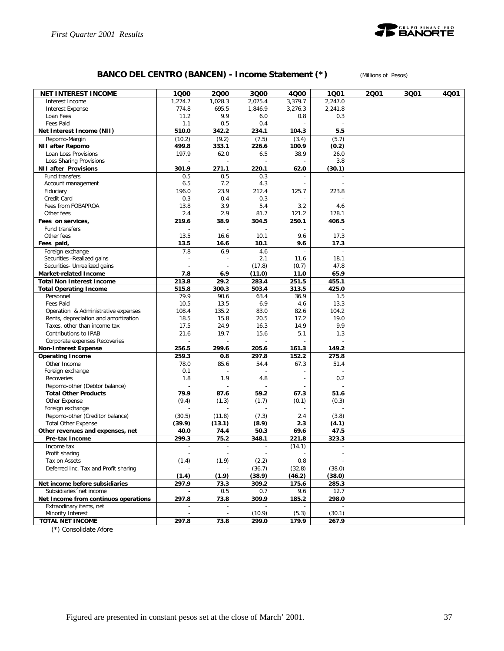

## **BANCO DEL CENTRO (BANCEN) - Income Statement (\*)** *(Millions of Pesos)*

| <b>NET INTEREST INCOME</b>           | 1000                     | 2000                     | 3000                     | 4Q00                     | 1001                     | 2001 | 3Q01 | 4Q01 |
|--------------------------------------|--------------------------|--------------------------|--------------------------|--------------------------|--------------------------|------|------|------|
| Interest Income                      | 1,274.7                  | 1,028.3                  | 2,075.4                  | 3,379.7                  | 2,247.0                  |      |      |      |
| <b>Interest Expense</b>              | 774.8                    | 695.5                    | 1,846.9                  | 3,276.3                  | 2,241.8                  |      |      |      |
| Loan Fees                            | 11.2                     | 9.9                      | 6.0                      | 0.8                      | 0.3                      |      |      |      |
| Fees Paid                            | 1.1                      | 0.5                      | 0.4                      |                          | ÷,                       |      |      |      |
| Net Interest Income (NII)            | 510.0                    | 342.2                    | 234.1                    | 104.3                    | 5.5                      |      |      |      |
| Repomo-Margin                        | (10.2)                   | (9.2)                    | (7.5)                    | (3.4)                    | (5.7)                    |      |      |      |
| <b>NII after Repomo</b>              | 499.8                    | 333.1                    | 226.6                    | 100.9                    | (0.2)                    |      |      |      |
| Loan Loss Provisions                 | 197.9                    | 62.0                     | 6.5                      | 38.9                     | 26.0                     |      |      |      |
| Loss Sharing Provisions              |                          |                          |                          |                          | 3.8                      |      |      |      |
| <b>NII after Provisions</b>          | 301.9                    | 271.1                    | 220.1                    | 62.0                     | (30.1)                   |      |      |      |
| Fund transfers                       | 0.5                      | 0.5                      | 0.3                      |                          |                          |      |      |      |
| Account management                   | 6.5                      | 7.2                      | 4.3                      | $\overline{a}$           |                          |      |      |      |
| Fiduciary                            | 196.0                    | 23.9                     | 212.4                    | 125.7                    | 223.8                    |      |      |      |
| Credit Card                          | 0.3                      | 0.4                      | 0.3                      |                          |                          |      |      |      |
| Fees from FOBAPROA                   | 13.8                     | 3.9                      | 5.4                      | 3.2                      | 4.6                      |      |      |      |
| Other fees                           | 2.4                      | 2.9                      | 81.7                     | 121.2                    | 178.1                    |      |      |      |
| Fees on services,                    | 219.6                    | 38.9                     | 304.5                    | 250.1                    | 406.5                    |      |      |      |
| Fund transfers                       | ÷                        | ÷,                       | $\overline{\phantom{a}}$ | $\overline{\phantom{a}}$ | $\overline{a}$           |      |      |      |
| Other fees                           | 13.5                     | 16.6                     | 10.1                     | 9.6                      | 17.3                     |      |      |      |
| Fees paid,                           | 13.5                     | 16.6                     | 10.1                     | 9.6                      | 17.3                     |      |      |      |
| Foreign exchange                     | 7.8                      | 6.9                      | 4.6                      |                          |                          |      |      |      |
| Securities - Realized gains          | Ĭ.                       | $\overline{\phantom{a}}$ | 2.1                      | 11.6                     | 18.1                     |      |      |      |
| Securities- Unrealized gains         |                          | ÷,                       | (17.8)                   | (0.7)                    | 47.8                     |      |      |      |
| <b>Market-related Income</b>         | 7.8                      | 6.9                      | (11.0)                   | 11.0                     | 65.9                     |      |      |      |
| <b>Total Non Interest Income</b>     | 213.8                    | 29.2                     | 283.4                    | 251.5                    | 455.1                    |      |      |      |
| <b>Total Operating Income</b>        | 515.8                    | 300.3                    | 503.4                    | 313.5                    | 425.0                    |      |      |      |
| Personnel                            | 79.9                     | 90.6                     | 63.4                     | 36.9                     | 1.5                      |      |      |      |
| <b>Fees Paid</b>                     | 10.5                     | 13.5                     | 6.9                      | 4.6                      | 13.3                     |      |      |      |
| Operation & Administrative expenses  | 108.4                    | 135.2                    | 83.0                     | 82.6                     | 104.2                    |      |      |      |
| Rents, depreciation and amortization | 18.5                     | 15.8                     | 20.5                     | 17.2                     | 19.0                     |      |      |      |
| Taxes, other than income tax         | 17.5                     | 24.9                     | 16.3                     | 14.9                     | 9.9                      |      |      |      |
| Contributions to IPAB                | 21.6                     | 19.7                     | 15.6                     | 5.1                      | 1.3                      |      |      |      |
| Corporate expenses Recoveries        |                          |                          |                          |                          |                          |      |      |      |
| <b>Non-Interest Expense</b>          | 256.5                    | 299.6                    | 205.6                    | 161.3                    | 149.2                    |      |      |      |
| <b>Operating Income</b>              | 259.3                    | 0.8                      | 297.8                    | 152.2                    | 275.8                    |      |      |      |
| Other Income                         | 78.0                     | 85.6                     | 54.4                     | 67.3                     | 51.4                     |      |      |      |
| Foreign exchange                     | 0.1                      | $\overline{\phantom{a}}$ |                          |                          |                          |      |      |      |
| Recoveries                           | 1.8                      | 1.9                      | 4.8                      |                          | 0.2                      |      |      |      |
| Repomo-other (Debtor balance)        |                          | $\overline{\phantom{a}}$ |                          |                          |                          |      |      |      |
| <b>Total Other Products</b>          | 79.9                     | 87.6                     | 59.2                     | 67.3                     | 51.6                     |      |      |      |
| Other Expense                        | (9.4)                    | (1.3)                    | (1.7)                    | (0.1)                    | (0.3)                    |      |      |      |
| Foreign exchange                     |                          |                          |                          |                          |                          |      |      |      |
| Repomo-other (Creditor balance)      | (30.5)                   | (11.8)                   | (7.3)                    | 2.4                      | (3.8)                    |      |      |      |
| <b>Total Other Expense</b>           | (39.9)                   | (13.1)                   | (8.9)                    | 2.3                      | (4.1)                    |      |      |      |
| Other revenues and expenses, net     | 40.0                     | 74.4                     | 50.3                     | 69.6                     | 47.5                     |      |      |      |
| Pre-tax Income                       | 299.3                    | 75.2                     | 348.1                    | 221.8                    | 323.3                    |      |      |      |
| Income tax                           | $\overline{\phantom{a}}$ | $\overline{\phantom{a}}$ | $\blacksquare$           | (14.1)                   | $\overline{\phantom{a}}$ |      |      |      |
| Profit sharing                       |                          |                          |                          | $\overline{\phantom{a}}$ |                          |      |      |      |
| Tax on Assets                        | (1.4)                    | (1.9)                    | (2.2)                    | 0.8                      |                          |      |      |      |
| Deferred Inc. Tax and Profit sharing |                          |                          | (36.7)                   | (32.8)                   | (38.0)                   |      |      |      |
|                                      | (1.4)                    | (1.9)                    | (38.9)                   | (46.2)                   | (38.0)                   |      |      |      |
| Net income before subsidiaries       | 297.9                    | 73.3                     | 309.2                    | 175.6                    | 285.3                    |      |      |      |
| Subsidiaries 'net income             | $\mathcal{L}$            | 0.5                      | 0.7                      | 9.6                      | 12.7                     |      |      |      |
| Net Income from continuos operations | 297.8                    | 73.8                     | 309.9                    | 185.2                    | 298.0                    |      |      |      |
| Extraodinary items, net              | $\mathcal{L}$            | $\blacksquare$           | $\sim$                   |                          |                          |      |      |      |
| Minority Interest                    |                          | $\overline{\phantom{a}}$ | (10.9)                   | (5.3)                    | (30.1)                   |      |      |      |
| <b>TOTAL NET INCOME</b>              | 297.8                    | 73.8                     | 299.0                    | 179.9                    | 267.9                    |      |      |      |

(\*) Consolidate Afore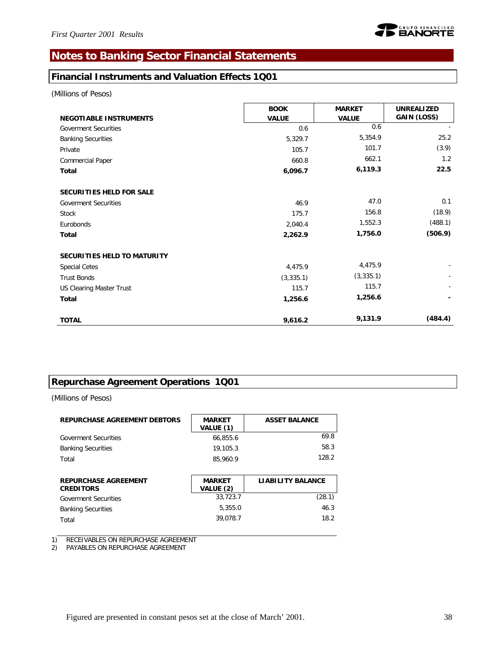# **Notes to Banking Sector Financial Statements**

## **Financial Instruments and Valuation Effects 1Q01**

*(Millions of Pesos)*

|                                 | <b>BOOK</b>  | <b>MARKET</b> | <b>UNREALIZED</b>        |
|---------------------------------|--------------|---------------|--------------------------|
| <b>NEGOTIABLE INSTRUMENTS</b>   | <b>VALUE</b> | <b>VALUE</b>  | <b>GAIN (LOSS)</b>       |
| <b>Goverment Securities</b>     | 0.6          | 0.6           | $\overline{\phantom{a}}$ |
| <b>Banking Securities</b>       | 5,329.7      | 5,354.9       | 25.2                     |
| Private                         | 105.7        | 101.7         | (3.9)                    |
| Commercial Paper                | 660.8        | 662.1         | 1.2                      |
| Total                           | 6,096.7      | 6,119.3       | 22.5                     |
| SECURITIES HELD FOR SALE        |              |               |                          |
| <b>Goverment Securities</b>     | 46.9         | 47.0          | 0.1                      |
| <b>Stock</b>                    | 175.7        | 156.8         | (18.9)                   |
| Eurobonds                       | 2,040.4      | 1,552.3       | (488.1)                  |
| Total                           | 2,262.9      | 1,756.0       | (506.9)                  |
| SECURITIES HELD TO MATURITY     |              |               |                          |
| <b>Special Cetes</b>            | 4,475.9      | 4,475.9       |                          |
| <b>Trust Bonds</b>              | (3,335.1)    | (3,335.1)     |                          |
| <b>US Clearing Master Trust</b> | 115.7        | 115.7         |                          |
| Total                           | 1,256.6      | 1,256.6       |                          |
| <b>TOTAL</b>                    | 9,616.2      | 9,131.9       | (484.4)                  |

## **Repurchase Agreement Operations 1Q01**

*(Millions of Pesos)*

| <b>REPURCHASE AGREEMENT DEBTORS</b>             | <b>MARKET</b><br>VALUE (1) | <b>ASSET BALANCE</b>     |
|-------------------------------------------------|----------------------------|--------------------------|
| <b>Goverment Securities</b>                     | 66,855.6                   | 69.8                     |
| <b>Banking Securities</b>                       | 19,105.3                   | 58.3                     |
| Total                                           | 85,960.9                   | 128.2                    |
|                                                 |                            |                          |
| <b>REPURCHASE AGREEMENT</b><br><b>CREDITORS</b> | <b>MARKET</b><br>VALUE (2) | <b>LIABILITY BALANCE</b> |
| <b>Goverment Securities</b>                     | 33.723.7                   | (28.1)                   |
| <b>Banking Securities</b>                       | 5.355.0                    | 46.3                     |
|                                                 |                            |                          |

1) RECEIVABLES ON REPURCHASE AGREEMENT

2) PAYABLES ON REPURCHASE AGREEMENT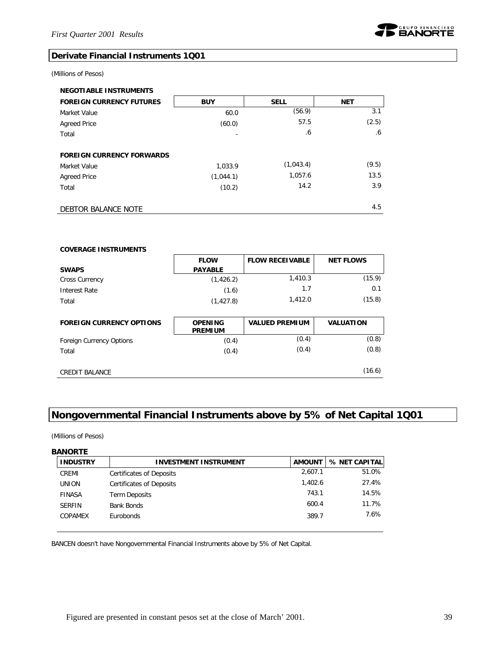

#### **Derivate Financial Instruments 1Q01**

#### *(Millions of Pesos)*

| <b>NEGOTIABLE INSTRUMENTS</b>    |            |             |            |
|----------------------------------|------------|-------------|------------|
| <b>FOREIGN CURRENCY FUTURES</b>  | <b>BUY</b> | <b>SELL</b> | <b>NET</b> |
| Market Value                     | 60.0       | (56.9)      | 3.1        |
| <b>Agreed Price</b>              | (60.0)     | 57.5        | (2.5)      |
| Total                            |            | .6          | .6         |
| <b>FOREIGN CURRENCY FORWARDS</b> |            |             |            |
| Market Value                     | 1,033.9    | (1,043.4)   | (9.5)      |
| <b>Agreed Price</b>              | (1,044.1)  | 1.057.6     | 13.5       |
| Total                            | (10.2)     | 14.2        | 3.9        |
| DEBTOR BALANCE NOTE              |            |             | 4.5        |

| <b>COVERAGE INSTRUMENTS</b>     |                                  |                        |                  |
|---------------------------------|----------------------------------|------------------------|------------------|
|                                 | <b>FLOW</b>                      | <b>FLOW RECEIVABLE</b> | <b>NET FLOWS</b> |
| <b>SWAPS</b>                    | <b>PAYABLE</b>                   |                        |                  |
| <b>Cross Currency</b>           | (1, 426.2)                       | 1,410.3                | (15.9)           |
| Interest Rate                   | (1.6)                            | 1.7                    | 0.1              |
| Total                           | (1, 427.8)                       | 1,412.0                | (15.8)           |
|                                 |                                  |                        |                  |
|                                 |                                  |                        |                  |
| <b>FOREIGN CURRENCY OPTIONS</b> | <b>OPENING</b><br><b>PREMIUM</b> | <b>VALUED PREMIUM</b>  | <b>VALUATION</b> |
| Foreign Currency Options        | (0.4)                            | (0.4)                  | (0.8)            |
| Total                           | (0.4)                            | (0.4)                  | (0.8)            |
|                                 |                                  |                        |                  |

## **Nongovernmental Financial Instruments above by 5% of Net Capital 1Q01**

*(Millions of Pesos)*

#### **BANORTE**

| <b>INDUSTRY</b> | INVESTMENT INSTRUMENT           | <b>AMOUNT</b> | % NET CAPITAL |
|-----------------|---------------------------------|---------------|---------------|
| CREMI           | Certificates of Deposits        | 2,607.1       | 51.0%         |
| <b>UNION</b>    | <b>Certificates of Deposits</b> | 1.402.6       | 27.4%         |
| <b>FINASA</b>   | Term Deposits                   | 743.1         | 14.5%         |
| <b>SERFIN</b>   | <b>Bank Bonds</b>               | 600.4         | 11.7%         |
| COPAMEX         | <b>Eurobonds</b>                | 389.7         | 7.6%          |

BANCEN doesn't have Nongovernmental Financial Instruments above by 5% of Net Capital.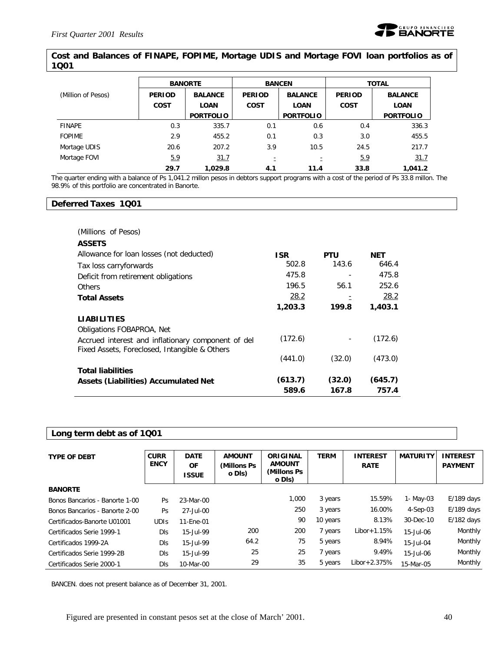

#### **Cost and Balances of FINAPE, FOPIME, Mortage UDIS and Mortage FOVI loan portfolios as of 1Q01**

|                    |               | <b>BANORTE</b>   | <b>BANCEN</b>            |                  |               | <b>TOTAL</b>     |  |
|--------------------|---------------|------------------|--------------------------|------------------|---------------|------------------|--|
| (Million of Pesos) | <b>PERIOD</b> | <b>BALANCE</b>   | <b>PERIOD</b>            | <b>BALANCE</b>   | <b>PERIOD</b> | <b>BALANCE</b>   |  |
|                    | <b>COST</b>   | <b>LOAN</b>      | <b>COST</b>              | <b>LOAN</b>      | <b>COST</b>   | <b>LOAN</b>      |  |
|                    |               | <b>PORTFOLIO</b> |                          | <b>PORTFOLIO</b> |               | <b>PORTFOLIO</b> |  |
| <b>FINAPE</b>      | 0.3           | 335.7            | 0.1                      | 0.6              | 0.4           | 336.3            |  |
| <b>FOPIME</b>      | 2.9           | 455.2            | 0.1                      | 0.3              | 3.0           | 455.5            |  |
| Mortage UDIS       | 20.6          | 207.2            | 3.9                      | 10.5             | 24.5          | 217.7            |  |
| Mortage FOVI       | 5.9           | 31.7             | $\overline{\phantom{a}}$ | Ξ                | 5.9           | 31.7             |  |
|                    | 29.7          | 1,029.8          | 4.1                      | 11.4             | 33.8          | 1,041.2          |  |

The quarter ending with a balance of Ps 1,041.2 millon pesos in debtors support programs with a cost of the period of Ps 33.8 millon. The 98.9% of this portfolio are concentrated in Banorte.

#### **Deferred Taxes 1Q01**

| (Millions of Pesos)                                                                                 |            |        |             |
|-----------------------------------------------------------------------------------------------------|------------|--------|-------------|
| <b>ASSETS</b>                                                                                       |            |        |             |
| Allowance for loan losses (not deducted)                                                            | <b>ISR</b> | PTU    | <b>NET</b>  |
| Tax loss carryforwards                                                                              | 502.8      | 143.6  | 646.4       |
| Deficit from retirement obligations                                                                 | 475.8      |        | 475.8       |
| <b>Others</b>                                                                                       | 196.5      | 56.1   | 252.6       |
| <b>Total Assets</b>                                                                                 | 28.2       |        | <u>28.2</u> |
|                                                                                                     | 1,203.3    | 199.8  | 1,403.1     |
| <b>LIABILITIES</b>                                                                                  |            |        |             |
| Obligations FOBAPROA, Net                                                                           |            |        |             |
| Accrued interest and inflationary component of del<br>Fixed Assets, Foreclosed, Intangible & Others | (172.6)    |        | (172.6)     |
|                                                                                                     | (441.0)    | (32.0) | (473.0)     |
| <b>Total liabilities</b>                                                                            |            |        |             |
| Assets (Liabilities) Accumulated Net                                                                | (613.7)    | (32.0) | (645.7)     |
|                                                                                                     | 589.6      | 167.8  | 757.4       |

#### **Long term debt as of 1Q01**

| <b>TYPE OF DEBT</b>            | <b>CURR</b><br><b>ENCY</b> | <b>DATE</b><br><b>OF</b><br><b>ISSUE</b> | <b>AMOUNT</b><br>(Millons Ps)<br>o DIs) | ORIGINAL<br><b>AMOUNT</b><br>(Millons Ps)<br>o DIs) | <b>TERM</b> | <b>INTEREST</b><br><b>RATE</b> | <b>MATURITY</b> | <b>INTEREST</b><br><b>PAYMENT</b> |
|--------------------------------|----------------------------|------------------------------------------|-----------------------------------------|-----------------------------------------------------|-------------|--------------------------------|-----------------|-----------------------------------|
| <b>BANORTE</b>                 |                            |                                          |                                         |                                                     |             |                                |                 |                                   |
| Bonos Bancarios - Banorte 1-00 | <b>Ps</b>                  | 23-Mar-00                                |                                         | 1,000                                               | 3 years     | 15.59%                         | 1- May-03       | $E/189$ days                      |
| Bonos Bancarios - Banorte 2-00 | <b>Ps</b>                  | $27 -$ Jul-00                            |                                         | 250                                                 | 3 years     | 16.00%                         | $4-Sep-03$      | $E/189$ days                      |
| Certificados-Banorte U01001    | <b>UDIS</b>                | 11-Ene-01                                |                                         | 90                                                  | 10 years    | 8.13%                          | 30-Dec-10       | $E/182$ days                      |
| Certificados Serie 1999-1      | <b>DIS</b>                 | 15-Jul-99                                | 200                                     | 200                                                 | 7 years     | $Libor+1.15%$                  | 15-Jul-06       | Monthly                           |
| Certificados 1999-2A           | <b>DIS</b>                 | 15-Jul-99                                | 64.2                                    | 75                                                  | 5 years     | 8.94%                          | $15 -$ Jul-04   | Monthly                           |
| Certificados Serie 1999-2B     | <b>DIS</b>                 | 15-Jul-99                                | 25                                      | 25                                                  | 7 years     | 9.49%                          | 15-Jul-06       | Monthly                           |
| Certificados Serie 2000-1      | <b>DIS</b>                 | 10-Mar-00                                | 29                                      | 35                                                  | 5 years     | $Libor + 2.375%$               | 15-Mar-05       | Monthly                           |

BANCEN. does not present balance as of December 31, 2001.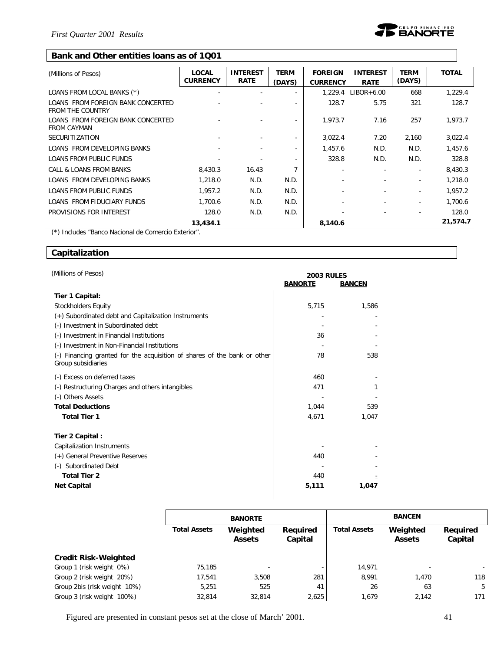

## **Bank and Other entities loans as of 1Q01**

| (Millions of Pesos)                                          | <b>LOCAL</b>    | <b>INTEREST</b> | <b>TERM</b>              | <b>FOREIGN</b>           | <b>INTEREST</b>          | <b>TERM</b>              | <b>TOTAL</b> |
|--------------------------------------------------------------|-----------------|-----------------|--------------------------|--------------------------|--------------------------|--------------------------|--------------|
|                                                              | <b>CURRENCY</b> | <b>RATE</b>     | (DAYS)                   | <b>CURRENCY</b>          | <b>RATE</b>              | (DAYS)                   |              |
| LOANS FROM LOCAL BANKS (*)                                   |                 |                 |                          | 1,229.4                  | $LIBOR+6.00$             | 668                      | 1,229.4      |
| LOANS FROM FOREIGN BANK CONCERTED<br><b>FROM THE COUNTRY</b> |                 |                 | $\overline{\phantom{0}}$ | 128.7                    | 5.75                     | 321                      | 128.7        |
| LOANS FROM FOREIGN BANK CONCERTED<br><b>FROM CAYMAN</b>      |                 |                 |                          | 1,973.7                  | 7.16                     | 257                      | 1,973.7      |
| <b>SECURITIZATION</b>                                        | $\blacksquare$  |                 | $\overline{\phantom{a}}$ | 3,022.4                  | 7.20                     | 2,160                    | 3,022.4      |
| LOANS FROM DEVELOPING BANKS                                  |                 |                 |                          | 1,457.6                  | N.D.                     | N.D.                     | 1,457.6      |
| <b>LOANS FROM PUBLIC FUNDS</b>                               |                 |                 |                          | 328.8                    | N.D.                     | N.D.                     | 328.8        |
| CALL & LOANS FROM BANKS                                      | 8,430.3         | 16.43           |                          |                          |                          | $\overline{\phantom{a}}$ | 8,430.3      |
| LOANS FROM DEVELOPING BANKS                                  | 1,218.0         | N.D.            | N.D.                     |                          |                          | $\overline{\phantom{a}}$ | 1,218.0      |
| <b>LOANS FROM PUBLIC FUNDS</b>                               | 1,957.2         | N.D.            | N.D.                     | $\overline{\phantom{a}}$ | $\overline{\phantom{a}}$ | $\overline{\phantom{a}}$ | 1,957.2      |
| LOANS FROM FIDUCIARY FUNDS                                   | 1,700.6         | N.D.            | N.D.                     |                          |                          | $\overline{\phantom{a}}$ | 1,700.6      |
| PROVISIONS FOR INTEREST                                      | 128.0           | N.D.            | N.D.                     |                          |                          |                          | 128.0        |
|                                                              | 13,434.1        |                 |                          | 8,140.6                  |                          |                          | 21,574.7     |

(\*) Includes "Banco Nacional de Comercio Exterior".

#### **Capitalization**

| (Millions of Pesos)                                                                            | <b>2003 RULES</b><br><b>BANORTE</b><br><b>BANCEN</b> |       |  |  |
|------------------------------------------------------------------------------------------------|------------------------------------------------------|-------|--|--|
| Tier 1 Capital:                                                                                |                                                      |       |  |  |
| Stockholders Equity                                                                            | 5,715                                                | 1,586 |  |  |
| (+) Subordinated debt and Capitalization Instruments                                           |                                                      |       |  |  |
| (-) Investment in Subordinated debt                                                            |                                                      |       |  |  |
| (-) Investment in Financial Institutions                                                       | 36                                                   |       |  |  |
| (-) Investment in Non-Financial Institutions                                                   |                                                      |       |  |  |
| (-) Financing granted for the acquisition of shares of the bank or other<br>Group subsidiaries | 78                                                   | 538   |  |  |
| (-) Excess on deferred taxes                                                                   | 460                                                  |       |  |  |
| (-) Restructuring Charges and others intangibles                                               | 471                                                  | 1     |  |  |
| (-) Others Assets                                                                              |                                                      |       |  |  |
| <b>Total Deductions</b>                                                                        | 1,044                                                | 539   |  |  |
| <b>Total Tier 1</b>                                                                            | 4,671                                                | 1,047 |  |  |
| Tier 2 Capital:                                                                                |                                                      |       |  |  |
| Capitalization Instruments                                                                     |                                                      |       |  |  |
| (+) General Preventive Reserves                                                                | 440                                                  |       |  |  |
| (-) Subordinated Debt                                                                          |                                                      |       |  |  |
| <b>Total Tier 2</b>                                                                            | 440                                                  |       |  |  |
| <b>Net Capital</b>                                                                             | 5,111                                                | 1,047 |  |  |

|                              | <b>BANORTE</b>      |                           |                     | <b>BANCEN</b>       |                           |                     |  |
|------------------------------|---------------------|---------------------------|---------------------|---------------------|---------------------------|---------------------|--|
|                              | <b>Total Assets</b> | Weighted<br><b>Assets</b> | Required<br>Capital | <b>Total Assets</b> | Weighted<br><b>Assets</b> | Required<br>Capital |  |
| <b>Credit Risk-Weighted</b>  |                     |                           |                     |                     |                           |                     |  |
| Group 1 (risk weight 0%)     | 75.185              |                           |                     | 14.971              |                           |                     |  |
| Group 2 (risk weight 20%)    | 17.541              | 3.508                     | 281                 | 8.991               | 1.470                     | 118                 |  |
| Group 2bis (risk weight 10%) | 5.251               | 525                       | 41                  | 26                  | 63                        | 5                   |  |
| Group 3 (risk weight 100%)   | 32,814              | 32,814                    | 2,625               | 1.679               | 2,142                     | 171                 |  |

Figured are presented in constant pesos set at the close of March' 2001. 41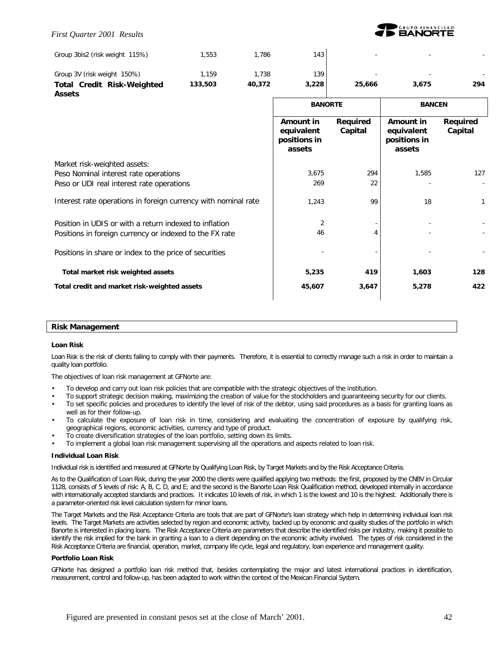#### *First Quarter 2001 Results*



| Group 3bis2 (risk weight 115%)                                 | 1,553   | 1,786  | 143                                               |                     |                                                   |                     |
|----------------------------------------------------------------|---------|--------|---------------------------------------------------|---------------------|---------------------------------------------------|---------------------|
| Group 3V (risk weight 150%)                                    | 1,159   | 1,738  | 139                                               |                     |                                                   |                     |
| <b>Total Credit Risk-Weighted</b><br><b>Assets</b>             | 133,503 | 40,372 | 3,228                                             | 25,666              | 3,675                                             | 294                 |
|                                                                |         |        | <b>BANORTE</b>                                    |                     | <b>BANCEN</b>                                     |                     |
|                                                                |         |        | Amount in<br>equivalent<br>positions in<br>assets | Required<br>Capital | Amount in<br>equivalent<br>positions in<br>assets | Required<br>Capital |
| Market risk-weighted assets:                                   |         |        |                                                   |                     |                                                   |                     |
| Peso Nominal interest rate operations                          |         |        | 3,675                                             | 294                 | 1,585                                             | 127                 |
| Peso or UDI real interest rate operations                      |         |        | 269                                               | 22                  |                                                   |                     |
| Interest rate operations in foreign currency with nominal rate |         |        | 1,243                                             | 99                  | 18                                                | 1                   |
| Position in UDIS or with a return indexed to inflation         |         |        | 2                                                 |                     |                                                   |                     |
| Positions in foreign currency or indexed to the FX rate        |         |        | 46                                                |                     |                                                   |                     |
| Positions in share or index to the price of securities         |         |        |                                                   |                     |                                                   |                     |
| Total market risk weighted assets                              |         |        | 5,235                                             | 419                 | 1,603                                             | 128                 |
| Total credit and market risk-weighted assets                   |         |        | 45,607                                            | 3,647               | 5,278                                             | 422                 |
|                                                                |         |        |                                                   |                     |                                                   |                     |

#### **Risk Management**

#### **Loan Risk**

Loan Risk is the risk of clients failing to comply with their payments. Therefore, it is essential to correctly manage such a risk in order to maintain a quality loan portfolio.

The objectives of loan risk management at GFNorte are:

- To develop and carry out loan risk policies that are compatible with the strategic objectives of the institution.
- To support strategic decision making, maximizing the creation of value for the stockholders and guaranteeing security for our clients.
- To set specific policies and procedures to identify the level of risk of the debtor, using said procedures as a basis for granting loans as well as for their follow-up.
- To calculate the exposure of loan risk in time, considering and evaluating the concentration of exposure by qualifying risk, geographical regions, economic activities, currency and type of product.
- To create diversification strategies of the loan portfolio, setting down its limits.
- To implement a global loan risk management supervising all the operations and aspects related to loan risk.

#### **Individual Loan Risk**

Individual risk is identified and measured at GFNorte by Qualifying Loan Risk, by Target Markets and by the Risk Acceptance Criteria.

As to the Qualification of Loan Risk, during the year 2000 the clients were qualified applying two methods: the first, proposed by the CNBV in Circular 1128, consists of 5 levels of risk: A, B, C, D, and E; and the second is the Banorte Loan Risk Qualification method, developed internally in accordance with internationally accepted standards and practices. It indicates 10 levels of risk, in which 1 is the lowest and 10 is the highest. Additionally there is a parameter-oriented risk level calculation system for minor loans.

The Target Markets and the Risk Acceptance Criteria are tools that are part of GFNorte's loan strategy which help in determining individual loan risk levels. The Target Markets are activities selected by region and economic activity, backed up by economic and quality studies of the portfolio in which Banorte is interested in placing loans. The Risk Acceptance Criteria are parameters that describe the identified risks per industry, making it possible to identify the risk implied for the bank in granting a loan to a client depending on the economic activity involved. The types of risk considered in the Risk Acceptance Criteria are financial, operation, market, company life cycle, legal and regulatory, loan experience and management quality.

#### **Portfolio Loan Risk**

GFNorte has designed a portfolio loan risk method that, besides contemplating the major and latest international practices in identification, measurement, control and follow-up, has been adapted to work within the context of the Mexican Financial System.